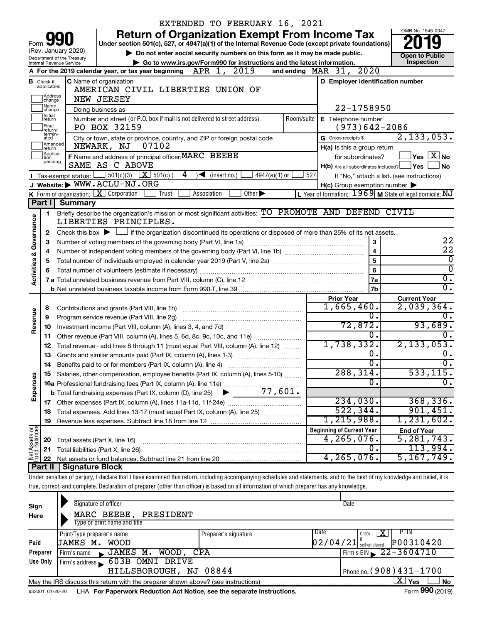|                                    |                                  |                                                        |                                                                   | EXTENDED TO FEBRUARY 16, 2021                                                                                                                                              |            |                                                      |                                                           |
|------------------------------------|----------------------------------|--------------------------------------------------------|-------------------------------------------------------------------|----------------------------------------------------------------------------------------------------------------------------------------------------------------------------|------------|------------------------------------------------------|-----------------------------------------------------------|
|                                    |                                  |                                                        |                                                                   | <b>Return of Organization Exempt From Income Tax</b>                                                                                                                       |            |                                                      | OMB No. 1545-0047                                         |
| Form                               |                                  |                                                        |                                                                   | Under section 501(c), 527, or 4947(a)(1) of the Internal Revenue Code (except private foundations)                                                                         |            |                                                      |                                                           |
|                                    |                                  | (Rev. January 2020)                                    |                                                                   | Do not enter social security numbers on this form as it may be made public.                                                                                                |            |                                                      | <b>Open to Public</b>                                     |
|                                    |                                  | Department of the Treasury<br>Internal Revenue Service |                                                                   | Go to www.irs.gov/Form990 for instructions and the latest information.                                                                                                     |            |                                                      | Inspection                                                |
|                                    |                                  |                                                        |                                                                   | A For the 2019 calendar year, or tax year beginning $APR$ 1, $2019$                                                                                                        |            | and ending $\n  MAR\n  31, 2020\n$                   |                                                           |
|                                    | <b>B</b> Check if<br>applicable: |                                                        | C Name of organization                                            | AMERICAN CIVIL LIBERTIES UNION OF                                                                                                                                          |            | D Employer identification number                     |                                                           |
|                                    | Address                          |                                                        |                                                                   |                                                                                                                                                                            |            |                                                      |                                                           |
|                                    | change<br> Name                  |                                                        | <b>NEW JERSEY</b>                                                 |                                                                                                                                                                            |            |                                                      |                                                           |
|                                    | change<br>Initial                |                                                        | Doing business as                                                 |                                                                                                                                                                            | 22-1758950 |                                                      |                                                           |
|                                    | return<br>Final                  |                                                        | PO BOX 32159                                                      | Number and street (or P.O. box if mail is not delivered to street address)                                                                                                 |            | Room/suite   E Telephone number<br>$(973)642 - 2086$ |                                                           |
|                                    | return/<br>termin-<br>ated       |                                                        |                                                                   | City or town, state or province, country, and ZIP or foreign postal code                                                                                                   |            | G Gross receipts \$                                  | 2, 133, 053.                                              |
|                                    | Amended<br>return                |                                                        | NEWARK, NJ<br>07102                                               |                                                                                                                                                                            |            | H(a) Is this a group return                          |                                                           |
|                                    | Applica-<br>tion                 |                                                        | F Name and address of principal officer: MARC BEEBE               |                                                                                                                                                                            |            | for subordinates?                                    | $\sqrt{\ }$ Yes $\sqrt{\ \mathrm{X}}\ \mathrm{No}$        |
|                                    | pending                          |                                                        | SAME AS C ABOVE                                                   |                                                                                                                                                                            |            | H(b) Are all subordinates included? Ves              | <b>No</b>                                                 |
|                                    |                                  | $\blacksquare$ Tax-exempt status: $\blacksquare$       | 501(c)(3) $X \overline{501(c)}$ (                                 | 4<br>$\overline{\phantom{a}}$ (insert no.)<br>4947(a)(1) or                                                                                                                | 527        |                                                      | If "No," attach a list. (see instructions)                |
|                                    |                                  |                                                        | J Website: WWW.ACLU-NJ.ORG                                        |                                                                                                                                                                            |            | $H(c)$ Group exemption number $\blacktriangleright$  |                                                           |
|                                    |                                  |                                                        | K Form of organization: $X$ Corporation<br>Trust                  | Other $\blacktriangleright$<br>Association                                                                                                                                 |            |                                                      | L Year of formation: $1969$ M State of legal domicile: NJ |
|                                    | Part I                           | <b>Summary</b>                                         |                                                                   |                                                                                                                                                                            |            |                                                      |                                                           |
|                                    | 1                                |                                                        |                                                                   | Briefly describe the organization's mission or most significant activities: TO PROMOTE AND DEFEND CIVIL                                                                    |            |                                                      |                                                           |
| <b>Activities &amp; Governance</b> |                                  |                                                        | LIBERTIES PRINCIPLES.                                             |                                                                                                                                                                            |            |                                                      |                                                           |
|                                    | $\mathbf{2}$                     |                                                        |                                                                   | Check this box $\blacktriangleright$ $\Box$ if the organization discontinued its operations or disposed of more than 25% of its net assets.                                |            |                                                      |                                                           |
|                                    | 3                                |                                                        | Number of voting members of the governing body (Part VI, line 1a) |                                                                                                                                                                            |            | 3                                                    | 22                                                        |
|                                    | 4                                |                                                        |                                                                   |                                                                                                                                                                            |            | 4                                                    | $\overline{22}$<br>$\overline{0}$                         |
|                                    | 5                                |                                                        |                                                                   |                                                                                                                                                                            |            | 5<br>6                                               | $\overline{0}$                                            |
|                                    | 6                                |                                                        | $\overline{0}$ .                                                  |                                                                                                                                                                            |            |                                                      |                                                           |
|                                    |                                  |                                                        |                                                                   |                                                                                                                                                                            |            | 7a<br>7b                                             | $\overline{0}$ .                                          |
|                                    |                                  |                                                        |                                                                   |                                                                                                                                                                            |            | <b>Prior Year</b>                                    | <b>Current Year</b>                                       |
|                                    | 8                                |                                                        |                                                                   |                                                                                                                                                                            |            | 1,665,460.                                           | $2,039,364$ .                                             |
| Revenue                            | 9                                |                                                        |                                                                   |                                                                                                                                                                            |            | 0.                                                   | 0.                                                        |
|                                    | 10                               |                                                        |                                                                   |                                                                                                                                                                            |            | 72,872.                                              | 93,689.                                                   |
|                                    | 11                               |                                                        |                                                                   | Other revenue (Part VIII, column (A), lines 5, 6d, 8c, 9c, 10c, and 11e)                                                                                                   |            | 0.                                                   | $\overline{0}$ .                                          |
|                                    | 12                               |                                                        |                                                                   | Total revenue - add lines 8 through 11 (must equal Part VIII, column (A), line 12)                                                                                         |            | 1,738,332.                                           | 2, 133, 053.                                              |
|                                    | 13                               |                                                        | Grants and similar amounts paid (Part IX, column (A), lines 1-3)  |                                                                                                                                                                            |            | ο.                                                   | 0.                                                        |
|                                    | 14                               |                                                        | Benefits paid to or for members (Part IX, column (A), line 4)     |                                                                                                                                                                            |            | σ.                                                   | $\overline{0}$ .                                          |
|                                    |                                  |                                                        |                                                                   | 15 Salaries, other compensation, employee benefits (Part IX, column (A), lines 5-10)                                                                                       |            | 288,314.                                             | 533, 115.                                                 |
|                                    |                                  |                                                        |                                                                   |                                                                                                                                                                            |            | 0                                                    | $\overline{0}$ .                                          |
| Expenses                           |                                  |                                                        |                                                                   |                                                                                                                                                                            |            |                                                      |                                                           |
|                                    |                                  |                                                        |                                                                   |                                                                                                                                                                            |            | 234,030.                                             | 368,336.                                                  |
|                                    | 18                               |                                                        |                                                                   | Total expenses. Add lines 13-17 (must equal Part IX, column (A), line 25)                                                                                                  |            | 522, 344.                                            | 901,451.                                                  |
|                                    | 19                               |                                                        |                                                                   |                                                                                                                                                                            |            | 1,215,988.                                           | $1,231,602$ .                                             |
| Net Assets or                      |                                  |                                                        |                                                                   |                                                                                                                                                                            |            | <b>Beginning of Current Year</b><br>4, 265, 076.     | <b>End of Year</b><br>5, 281, 743.                        |
|                                    | 20                               | Total assets (Part X, line 16)                         |                                                                   |                                                                                                                                                                            |            | 0.                                                   | 113,994.                                                  |
|                                    | 21<br>22                         |                                                        | Total liabilities (Part X, line 26)                               |                                                                                                                                                                            |            | 4, 265, 076.                                         | 5, 167, 749.                                              |
|                                    | Part II                          | Signature Block                                        |                                                                   |                                                                                                                                                                            |            |                                                      |                                                           |
|                                    |                                  |                                                        |                                                                   | Under penalties of perjury, I declare that I have examined this return, including accompanying schedules and statements, and to the best of my knowledge and belief, it is |            |                                                      |                                                           |
|                                    |                                  |                                                        |                                                                   | true, correct, and complete. Declaration of preparer (other than officer) is based on all information of which preparer has any knowledge.                                 |            |                                                      |                                                           |
|                                    |                                  |                                                        |                                                                   |                                                                                                                                                                            |            |                                                      |                                                           |
| Sign                               |                                  |                                                        | Signature of officer                                              |                                                                                                                                                                            |            | Date                                                 |                                                           |
| Here                               |                                  |                                                        | MARC BEEBE, PRESIDENT                                             |                                                                                                                                                                            |            |                                                      |                                                           |
|                                    |                                  |                                                        | Type or print name and title                                      |                                                                                                                                                                            |            |                                                      |                                                           |
|                                    |                                  | Print/Type preparer's name                             |                                                                   | Preparer's signature                                                                                                                                                       |            | Date<br>Check                                        | PTIN<br>x                                                 |
|                                    |                                  |                                                        |                                                                   |                                                                                                                                                                            |            |                                                      |                                                           |
| Paid                               |                                  | JAMES M. WOOD                                          |                                                                   |                                                                                                                                                                            |            | $02/04/21$ self-employed                             | P00310420                                                 |
|                                    | Preparer                         | Firm's name                                            | JAMES M. WOOD, CPA                                                |                                                                                                                                                                            |            |                                                      | Firm's EIN $\sqrt{22-3604710}$                            |
|                                    | Use Only                         |                                                        | Firm's address 603B OMNI DRIVE<br>HILLSBOROUGH, NJ 08844          |                                                                                                                                                                            |            |                                                      | Phone no. (908) 431-1700                                  |

| Mav the IRS<br>S discuss this return with the preparer shown above? (see instructions) |    |                                                                    |  |  |  |  |  |
|----------------------------------------------------------------------------------------|----|--------------------------------------------------------------------|--|--|--|--|--|
| $1 - 20 - 20$<br>932001                                                                | HA | For Paperwork Reduction Act Notice, see the separate instructions. |  |  |  |  |  |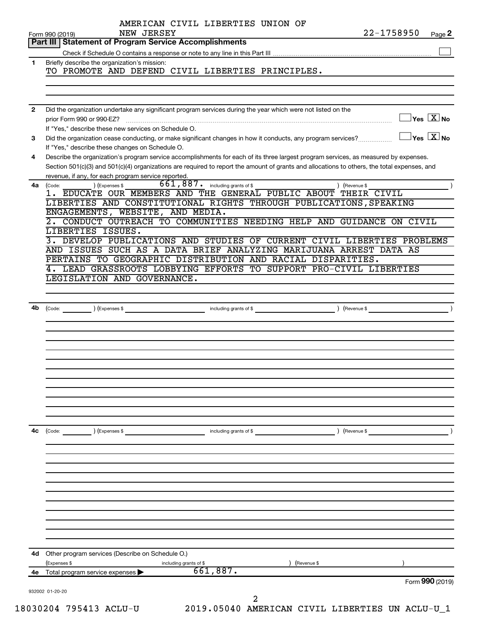|              | AMERICAN CIVIL LIBERTIES UNION OF<br>22-1758950<br>NEW JERSEY<br>Form 990 (2019)<br>Page 2                                                                                                                                                                                                                                                  |
|--------------|---------------------------------------------------------------------------------------------------------------------------------------------------------------------------------------------------------------------------------------------------------------------------------------------------------------------------------------------|
|              | Part III   Statement of Program Service Accomplishments                                                                                                                                                                                                                                                                                     |
|              |                                                                                                                                                                                                                                                                                                                                             |
| $\mathbf 1$  | Briefly describe the organization's mission:<br>TO PROMOTE AND DEFEND CIVIL LIBERTIES PRINCIPLES.                                                                                                                                                                                                                                           |
| $\mathbf{2}$ | Did the organization undertake any significant program services during the year which were not listed on the                                                                                                                                                                                                                                |
|              | $\sqrt{\mathsf{Yes}\ \mathbf{X}}$ No<br>prior Form 990 or 990-EZ?<br>If "Yes," describe these new services on Schedule O.                                                                                                                                                                                                                   |
| 3            | $ {\mathsf Y}{\mathsf e}{\mathsf s}^\top\overline{{\mathsf X}} $ No<br>Did the organization cease conducting, or make significant changes in how it conducts, any program services?<br>If "Yes," describe these changes on Schedule O.                                                                                                      |
| 4            | Describe the organization's program service accomplishments for each of its three largest program services, as measured by expenses.<br>Section 501(c)(3) and 501(c)(4) organizations are required to report the amount of grants and allocations to others, the total expenses, and<br>revenue, if any, for each program service reported. |
| 4a           | $\overline{661,887}$ . including grants of \$<br>(Code:<br>(Expenses \$<br>) (Revenue \$                                                                                                                                                                                                                                                    |
|              | 1. EDUCATE OUR MEMBERS AND THE GENERAL PUBLIC ABOUT THEIR CIVIL                                                                                                                                                                                                                                                                             |
|              | LIBERTIES AND CONSTITUTIONAL RIGHTS THROUGH PUBLICATIONS, SPEAKING                                                                                                                                                                                                                                                                          |
|              | ENGAGEMENTS, WEBSITE, AND MEDIA.                                                                                                                                                                                                                                                                                                            |
|              | 2. CONDUCT OUTREACH TO COMMUNITIES NEEDING HELP AND GUIDANCE ON CIVIL                                                                                                                                                                                                                                                                       |
|              |                                                                                                                                                                                                                                                                                                                                             |
|              | LIBERTIES ISSUES.                                                                                                                                                                                                                                                                                                                           |
|              | 3. DEVELOP PUBLICATIONS AND STUDIES OF CURRENT CIVIL LIBERTIES PROBLEMS                                                                                                                                                                                                                                                                     |
|              | AND ISSUES SUCH AS A DATA BRIEF ANALYZING MARIJUANA ARREST DATA AS                                                                                                                                                                                                                                                                          |
|              | PERTAINS TO GEOGRAPHIC DISTRIBUTION AND RACIAL DISPARITIES.                                                                                                                                                                                                                                                                                 |
|              | 4. LEAD GRASSROOTS LOBBYING EFFORTS TO SUPPORT PRO-CIVIL LIBERTIES                                                                                                                                                                                                                                                                          |
|              | LEGISLATION AND GOVERNANCE.                                                                                                                                                                                                                                                                                                                 |
|              |                                                                                                                                                                                                                                                                                                                                             |
|              |                                                                                                                                                                                                                                                                                                                                             |
|              |                                                                                                                                                                                                                                                                                                                                             |
| 4b           | including grants of \$<br>(Expenses \$<br>(Revenue \$<br>(Code:                                                                                                                                                                                                                                                                             |
|              |                                                                                                                                                                                                                                                                                                                                             |
|              |                                                                                                                                                                                                                                                                                                                                             |
|              |                                                                                                                                                                                                                                                                                                                                             |
|              |                                                                                                                                                                                                                                                                                                                                             |
|              |                                                                                                                                                                                                                                                                                                                                             |
|              |                                                                                                                                                                                                                                                                                                                                             |
|              |                                                                                                                                                                                                                                                                                                                                             |
|              |                                                                                                                                                                                                                                                                                                                                             |
|              |                                                                                                                                                                                                                                                                                                                                             |
|              |                                                                                                                                                                                                                                                                                                                                             |
|              |                                                                                                                                                                                                                                                                                                                                             |
|              |                                                                                                                                                                                                                                                                                                                                             |
|              |                                                                                                                                                                                                                                                                                                                                             |
|              |                                                                                                                                                                                                                                                                                                                                             |
| 4c           | ) (Expenses \$<br>(Code:<br>including grants of \$<br>) (Revenue \$                                                                                                                                                                                                                                                                         |
|              |                                                                                                                                                                                                                                                                                                                                             |
|              |                                                                                                                                                                                                                                                                                                                                             |
|              |                                                                                                                                                                                                                                                                                                                                             |
|              |                                                                                                                                                                                                                                                                                                                                             |
|              |                                                                                                                                                                                                                                                                                                                                             |
|              |                                                                                                                                                                                                                                                                                                                                             |
|              |                                                                                                                                                                                                                                                                                                                                             |
|              |                                                                                                                                                                                                                                                                                                                                             |
|              |                                                                                                                                                                                                                                                                                                                                             |
|              |                                                                                                                                                                                                                                                                                                                                             |
|              |                                                                                                                                                                                                                                                                                                                                             |
|              |                                                                                                                                                                                                                                                                                                                                             |
|              |                                                                                                                                                                                                                                                                                                                                             |
|              |                                                                                                                                                                                                                                                                                                                                             |
| 4d           | Other program services (Describe on Schedule O.)                                                                                                                                                                                                                                                                                            |
|              | (Expenses \$<br>including grants of \$<br>(Revenue \$                                                                                                                                                                                                                                                                                       |
| 4е           | 661,887.<br>Total program service expenses >                                                                                                                                                                                                                                                                                                |
|              | Form 990 (2019)                                                                                                                                                                                                                                                                                                                             |
|              | 932002 01-20-20<br>2                                                                                                                                                                                                                                                                                                                        |
|              |                                                                                                                                                                                                                                                                                                                                             |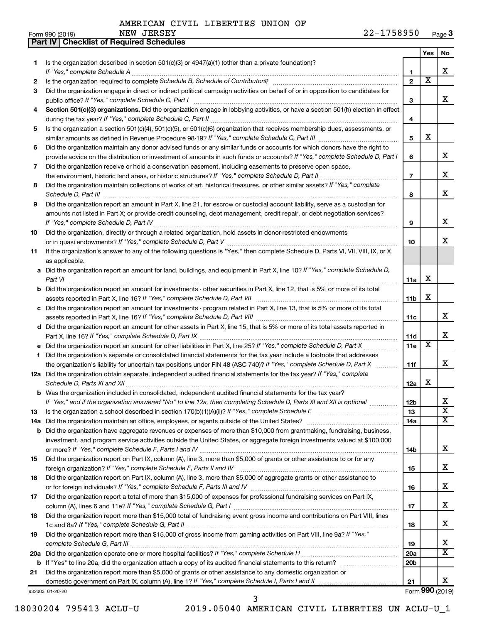**Part IV Checklist of Required Schedules**

|          |                                                                                                                                                                                                                                                           |                       | Yes | No                      |
|----------|-----------------------------------------------------------------------------------------------------------------------------------------------------------------------------------------------------------------------------------------------------------|-----------------------|-----|-------------------------|
| 1.       | Is the organization described in section $501(c)(3)$ or $4947(a)(1)$ (other than a private foundation)?                                                                                                                                                   |                       |     |                         |
|          | If "Yes," complete Schedule A                                                                                                                                                                                                                             | 1                     |     | x                       |
| 2        | Is the organization required to complete Schedule B, Schedule of Contributors? [111] [12] the organization required to complete Schedule B, Schedule of Contributors?                                                                                     | $\mathbf{2}$          | х   |                         |
| 3        | Did the organization engage in direct or indirect political campaign activities on behalf of or in opposition to candidates for                                                                                                                           |                       |     |                         |
|          | public office? If "Yes," complete Schedule C, Part I                                                                                                                                                                                                      | 3                     |     | х                       |
| 4        | Section 501(c)(3) organizations. Did the organization engage in lobbying activities, or have a section 501(h) election in effect                                                                                                                          |                       |     |                         |
|          |                                                                                                                                                                                                                                                           | 4                     |     |                         |
| 5        | Is the organization a section 501(c)(4), 501(c)(5), or 501(c)(6) organization that receives membership dues, assessments, or                                                                                                                              |                       | х   |                         |
|          |                                                                                                                                                                                                                                                           | 5                     |     |                         |
| 6        | Did the organization maintain any donor advised funds or any similar funds or accounts for which donors have the right to<br>provide advice on the distribution or investment of amounts in such funds or accounts? If "Yes," complete Schedule D, Part I | 6                     |     | х                       |
| 7        | Did the organization receive or hold a conservation easement, including easements to preserve open space,                                                                                                                                                 |                       |     |                         |
|          | the environment, historic land areas, or historic structures? If "Yes," complete Schedule D, Part II                                                                                                                                                      | $\overline{7}$        |     | х                       |
| 8        | Did the organization maintain collections of works of art, historical treasures, or other similar assets? If "Yes," complete                                                                                                                              |                       |     |                         |
|          | Schedule D, Part III <b>www.community.community.community.community.community.community.com</b>                                                                                                                                                           | 8                     |     | х                       |
| 9        | Did the organization report an amount in Part X, line 21, for escrow or custodial account liability, serve as a custodian for                                                                                                                             |                       |     |                         |
|          | amounts not listed in Part X; or provide credit counseling, debt management, credit repair, or debt negotiation services?                                                                                                                                 |                       |     |                         |
|          |                                                                                                                                                                                                                                                           | 9                     |     | х                       |
| 10       | Did the organization, directly or through a related organization, hold assets in donor-restricted endowments                                                                                                                                              |                       |     |                         |
|          |                                                                                                                                                                                                                                                           | 10                    |     | x                       |
| 11       | If the organization's answer to any of the following questions is "Yes," then complete Schedule D, Parts VI, VII, VIII, IX, or X                                                                                                                          |                       |     |                         |
|          | as applicable.                                                                                                                                                                                                                                            |                       |     |                         |
|          | a Did the organization report an amount for land, buildings, and equipment in Part X, line 10? If "Yes," complete Schedule D,                                                                                                                             |                       |     |                         |
|          | Part VI                                                                                                                                                                                                                                                   | 11a                   | X   |                         |
|          | <b>b</b> Did the organization report an amount for investments - other securities in Part X, line 12, that is 5% or more of its total                                                                                                                     |                       |     |                         |
|          |                                                                                                                                                                                                                                                           | 11 <sub>b</sub>       | х   |                         |
|          | c Did the organization report an amount for investments - program related in Part X, line 13, that is 5% or more of its total                                                                                                                             |                       |     |                         |
|          |                                                                                                                                                                                                                                                           | 11c                   |     | х                       |
|          | d Did the organization report an amount for other assets in Part X, line 15, that is 5% or more of its total assets reported in                                                                                                                           |                       |     |                         |
|          |                                                                                                                                                                                                                                                           | 11d                   |     | х                       |
|          |                                                                                                                                                                                                                                                           | 11e                   | х   |                         |
| f        | Did the organization's separate or consolidated financial statements for the tax year include a footnote that addresses                                                                                                                                   |                       |     |                         |
|          | the organization's liability for uncertain tax positions under FIN 48 (ASC 740)? If "Yes," complete Schedule D, Part X                                                                                                                                    | 11f                   |     | x                       |
|          | 12a Did the organization obtain separate, independent audited financial statements for the tax year? If "Yes," complete                                                                                                                                   |                       |     |                         |
|          |                                                                                                                                                                                                                                                           | 12a                   | х   |                         |
|          | <b>b</b> Was the organization included in consolidated, independent audited financial statements for the tax year?                                                                                                                                        |                       |     |                         |
|          | If "Yes," and if the organization answered "No" to line 12a, then completing Schedule D, Parts XI and XII is optional                                                                                                                                     | 12 <sub>b</sub><br>13 |     | $\overline{\text{x}}$   |
| 13       |                                                                                                                                                                                                                                                           | <b>14a</b>            |     | $\overline{\mathbf{X}}$ |
| 14a<br>b | Did the organization have aggregate revenues or expenses of more than \$10,000 from grantmaking, fundraising, business,                                                                                                                                   |                       |     |                         |
|          | investment, and program service activities outside the United States, or aggregate foreign investments valued at \$100,000                                                                                                                                |                       |     |                         |
|          |                                                                                                                                                                                                                                                           | 14b                   |     | х                       |
| 15       | Did the organization report on Part IX, column (A), line 3, more than \$5,000 of grants or other assistance to or for any                                                                                                                                 |                       |     |                         |
|          |                                                                                                                                                                                                                                                           | 15                    |     | х                       |
| 16       | Did the organization report on Part IX, column (A), line 3, more than \$5,000 of aggregate grants or other assistance to                                                                                                                                  |                       |     |                         |
|          |                                                                                                                                                                                                                                                           | 16                    |     | х                       |
| 17       | Did the organization report a total of more than \$15,000 of expenses for professional fundraising services on Part IX,                                                                                                                                   |                       |     |                         |
|          |                                                                                                                                                                                                                                                           | 17                    |     | х                       |
| 18       | Did the organization report more than \$15,000 total of fundraising event gross income and contributions on Part VIII, lines                                                                                                                              |                       |     |                         |
|          |                                                                                                                                                                                                                                                           | 18                    |     | X.                      |
| 19       | Did the organization report more than \$15,000 of gross income from gaming activities on Part VIII, line 9a? If "Yes,"                                                                                                                                    |                       |     |                         |
|          |                                                                                                                                                                                                                                                           | 19                    |     | x                       |
| 20a      |                                                                                                                                                                                                                                                           | 20a                   |     | $\overline{\texttt{X}}$ |
| b        |                                                                                                                                                                                                                                                           | 20 <sub>b</sub>       |     |                         |
| 21       | Did the organization report more than \$5,000 of grants or other assistance to any domestic organization or                                                                                                                                               |                       |     |                         |
|          |                                                                                                                                                                                                                                                           | 21                    |     | x                       |
|          | 932003 01-20-20                                                                                                                                                                                                                                           |                       |     | Form 990 (2019)         |

18030204 795413 ACLU-U 2019.05040 AMERICAN CIVIL LIBERTIES UN ACLU-U\_1

3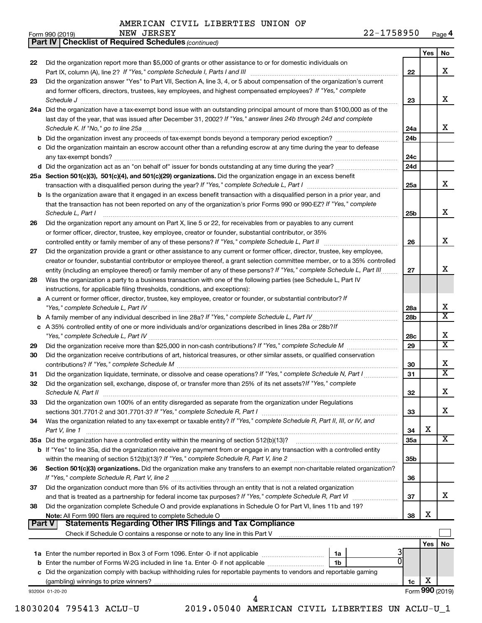*(continued)* **Part IV Checklist of Required Schedules**

| Form 990 (2019) | NEW | <b>JERSEY</b> | 1758950<br>າາ<br>-44- | Page <b>4</b> |
|-----------------|-----|---------------|-----------------------|---------------|
|-----------------|-----|---------------|-----------------------|---------------|

|               |                                                                                                                                                                                                                                                         |                        | Yes | No                           |
|---------------|---------------------------------------------------------------------------------------------------------------------------------------------------------------------------------------------------------------------------------------------------------|------------------------|-----|------------------------------|
| 22            | Did the organization report more than \$5,000 of grants or other assistance to or for domestic individuals on                                                                                                                                           |                        |     |                              |
|               |                                                                                                                                                                                                                                                         | 22                     |     | x                            |
| 23            | Did the organization answer "Yes" to Part VII, Section A, line 3, 4, or 5 about compensation of the organization's current                                                                                                                              |                        |     |                              |
|               | and former officers, directors, trustees, key employees, and highest compensated employees? If "Yes," complete                                                                                                                                          |                        |     |                              |
|               | Schedule J <b>Martin Communication Contract Communication</b> Contract Communication Communication Communication Communication                                                                                                                          | 23                     |     | x                            |
|               | 24a Did the organization have a tax-exempt bond issue with an outstanding principal amount of more than \$100,000 as of the                                                                                                                             |                        |     |                              |
|               | last day of the year, that was issued after December 31, 2002? If "Yes," answer lines 24b through 24d and complete                                                                                                                                      |                        |     | x                            |
|               |                                                                                                                                                                                                                                                         | 24a<br>24 <sub>b</sub> |     |                              |
|               | c Did the organization maintain an escrow account other than a refunding escrow at any time during the year to defease                                                                                                                                  |                        |     |                              |
|               |                                                                                                                                                                                                                                                         | 24c                    |     |                              |
|               | d Did the organization act as an "on behalf of" issuer for bonds outstanding at any time during the year?                                                                                                                                               | 24d                    |     |                              |
|               | 25a Section 501(c)(3), 501(c)(4), and 501(c)(29) organizations. Did the organization engage in an excess benefit                                                                                                                                        |                        |     |                              |
|               |                                                                                                                                                                                                                                                         | 25a                    |     | x                            |
|               | <b>b</b> Is the organization aware that it engaged in an excess benefit transaction with a disqualified person in a prior year, and                                                                                                                     |                        |     |                              |
|               | that the transaction has not been reported on any of the organization's prior Forms 990 or 990-EZ? If "Yes," complete                                                                                                                                   |                        |     |                              |
|               | Schedule L, Part I                                                                                                                                                                                                                                      | 25 <sub>b</sub>        |     | x                            |
| 26            | Did the organization report any amount on Part X, line 5 or 22, for receivables from or payables to any current                                                                                                                                         |                        |     |                              |
|               | or former officer, director, trustee, key employee, creator or founder, substantial contributor, or 35%                                                                                                                                                 |                        |     |                              |
|               |                                                                                                                                                                                                                                                         | 26                     |     | x                            |
| 27            | Did the organization provide a grant or other assistance to any current or former officer, director, trustee, key employee,                                                                                                                             |                        |     |                              |
|               | creator or founder, substantial contributor or employee thereof, a grant selection committee member, or to a 35% controlled<br>entity (including an employee thereof) or family member of any of these persons? If "Yes," complete Schedule L, Part III | 27                     |     | x                            |
| 28            | Was the organization a party to a business transaction with one of the following parties (see Schedule L, Part IV                                                                                                                                       |                        |     |                              |
|               | instructions, for applicable filing thresholds, conditions, and exceptions):                                                                                                                                                                            |                        |     |                              |
|               | a A current or former officer, director, trustee, key employee, creator or founder, or substantial contributor? If                                                                                                                                      |                        |     |                              |
|               |                                                                                                                                                                                                                                                         | 28a                    |     | х                            |
|               |                                                                                                                                                                                                                                                         | 28b                    |     | $\overline{\texttt{x}}$      |
|               | c A 35% controlled entity of one or more individuals and/or organizations described in lines 28a or 28b?If                                                                                                                                              |                        |     |                              |
|               |                                                                                                                                                                                                                                                         | 28c                    |     | х                            |
| 29            |                                                                                                                                                                                                                                                         | 29                     |     | $\overline{\texttt{x}}$      |
| 30            | Did the organization receive contributions of art, historical treasures, or other similar assets, or qualified conservation                                                                                                                             |                        |     |                              |
|               |                                                                                                                                                                                                                                                         | 30                     |     | Х<br>$\overline{\texttt{x}}$ |
| 31            | Did the organization liquidate, terminate, or dissolve and cease operations? If "Yes," complete Schedule N, Part I                                                                                                                                      | 31                     |     |                              |
| 32            | Did the organization sell, exchange, dispose of, or transfer more than 25% of its net assets? If "Yes," complete                                                                                                                                        | 32                     |     | х                            |
| 33            | Did the organization own 100% of an entity disregarded as separate from the organization under Regulations                                                                                                                                              |                        |     |                              |
|               |                                                                                                                                                                                                                                                         | 33                     |     | x                            |
| 34            | Was the organization related to any tax-exempt or taxable entity? If "Yes," complete Schedule R, Part II, III, or IV, and                                                                                                                               |                        |     |                              |
|               | Part V, line 1                                                                                                                                                                                                                                          | 34                     | х   |                              |
|               | 35a Did the organization have a controlled entity within the meaning of section 512(b)(13)?                                                                                                                                                             | <b>35a</b>             |     | X                            |
|               | b If "Yes" to line 35a, did the organization receive any payment from or engage in any transaction with a controlled entity                                                                                                                             |                        |     |                              |
|               |                                                                                                                                                                                                                                                         | 35 <sub>b</sub>        |     |                              |
| 36            | Section 501(c)(3) organizations. Did the organization make any transfers to an exempt non-charitable related organization?                                                                                                                              |                        |     |                              |
|               |                                                                                                                                                                                                                                                         | 36                     |     |                              |
| 37            | Did the organization conduct more than 5% of its activities through an entity that is not a related organization                                                                                                                                        |                        |     |                              |
|               |                                                                                                                                                                                                                                                         | 37                     |     | x                            |
| 38            | Did the organization complete Schedule O and provide explanations in Schedule O for Part VI, lines 11b and 19?                                                                                                                                          | 38                     | х   |                              |
| <b>Part V</b> |                                                                                                                                                                                                                                                         |                        |     |                              |
|               | Check if Schedule O contains a response or note to any line in this Part V [11] [12] Check if Schedule O contains a response or note to any line in this Part V                                                                                         |                        |     |                              |
|               |                                                                                                                                                                                                                                                         |                        | Yes | No.                          |
|               | 1a                                                                                                                                                                                                                                                      |                        |     |                              |
|               | 0<br>1b                                                                                                                                                                                                                                                 |                        |     |                              |
|               | c Did the organization comply with backup withholding rules for reportable payments to vendors and reportable gaming                                                                                                                                    |                        |     |                              |
|               |                                                                                                                                                                                                                                                         | 1c                     | х   |                              |
|               | 932004 01-20-20<br>4                                                                                                                                                                                                                                    |                        |     | Form 990 (2019)              |
|               |                                                                                                                                                                                                                                                         |                        |     |                              |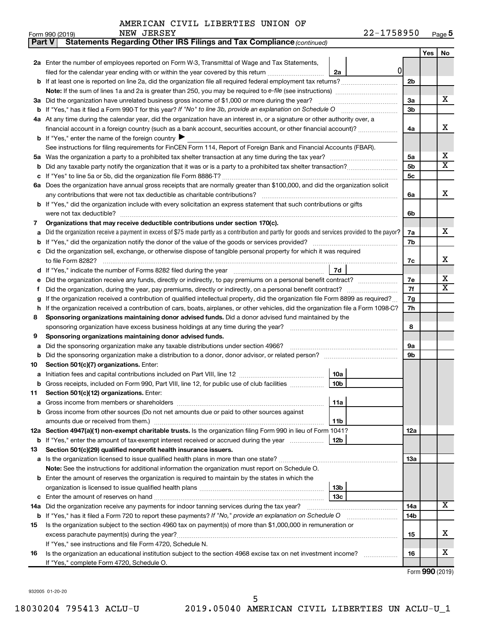| Part V | Statements Regarding Other IRS Filings and Tax Compliance (continued)                                                                                                                                                               |                |     |                              |  |  |  |  |  |
|--------|-------------------------------------------------------------------------------------------------------------------------------------------------------------------------------------------------------------------------------------|----------------|-----|------------------------------|--|--|--|--|--|
|        |                                                                                                                                                                                                                                     |                | Yes | No                           |  |  |  |  |  |
|        | 2a Enter the number of employees reported on Form W-3, Transmittal of Wage and Tax Statements,                                                                                                                                      |                |     |                              |  |  |  |  |  |
|        | 0 <br>filed for the calendar year ending with or within the year covered by this return<br>2a                                                                                                                                       |                |     |                              |  |  |  |  |  |
|        |                                                                                                                                                                                                                                     | 2 <sub>b</sub> |     |                              |  |  |  |  |  |
|        |                                                                                                                                                                                                                                     |                |     |                              |  |  |  |  |  |
|        | 3a Did the organization have unrelated business gross income of \$1,000 or more during the year?                                                                                                                                    | За             |     | х                            |  |  |  |  |  |
|        |                                                                                                                                                                                                                                     | 3b             |     |                              |  |  |  |  |  |
|        | 4a At any time during the calendar year, did the organization have an interest in, or a signature or other authority over, a                                                                                                        |                |     |                              |  |  |  |  |  |
|        | financial account in a foreign country (such as a bank account, securities account, or other financial account)?                                                                                                                    | 4a             |     | х                            |  |  |  |  |  |
|        | <b>b</b> If "Yes," enter the name of the foreign country $\blacktriangleright$                                                                                                                                                      |                |     |                              |  |  |  |  |  |
|        | See instructions for filing requirements for FinCEN Form 114, Report of Foreign Bank and Financial Accounts (FBAR).                                                                                                                 |                |     |                              |  |  |  |  |  |
| 5a     |                                                                                                                                                                                                                                     | 5a             |     | x                            |  |  |  |  |  |
| b      |                                                                                                                                                                                                                                     | 5b             |     | $\overline{\textbf{x}}$      |  |  |  |  |  |
|        |                                                                                                                                                                                                                                     | 5с             |     |                              |  |  |  |  |  |
|        | 6a Does the organization have annual gross receipts that are normally greater than \$100,000, and did the organization solicit                                                                                                      |                |     |                              |  |  |  |  |  |
|        |                                                                                                                                                                                                                                     | 6a             |     | х                            |  |  |  |  |  |
|        | b If "Yes," did the organization include with every solicitation an express statement that such contributions or gifts                                                                                                              |                |     |                              |  |  |  |  |  |
|        | were not tax deductible?                                                                                                                                                                                                            | 6b             |     |                              |  |  |  |  |  |
| 7      | Organizations that may receive deductible contributions under section 170(c).                                                                                                                                                       |                |     |                              |  |  |  |  |  |
| a      | Did the organization receive a payment in excess of \$75 made partly as a contribution and partly for goods and services provided to the payor?                                                                                     | 7a             |     | х                            |  |  |  |  |  |
| b      |                                                                                                                                                                                                                                     | 7b             |     |                              |  |  |  |  |  |
|        | Did the organization sell, exchange, or otherwise dispose of tangible personal property for which it was required                                                                                                                   |                |     |                              |  |  |  |  |  |
|        |                                                                                                                                                                                                                                     | 7c             |     | х                            |  |  |  |  |  |
| d      | 7d                                                                                                                                                                                                                                  |                |     |                              |  |  |  |  |  |
|        | Did the organization receive any funds, directly or indirectly, to pay premiums on a personal benefit contract?                                                                                                                     | 7e             |     | х<br>$\overline{\mathbf{X}}$ |  |  |  |  |  |
| f      |                                                                                                                                                                                                                                     |                |     |                              |  |  |  |  |  |
| g      | If the organization received a contribution of qualified intellectual property, did the organization file Form 8899 as required?                                                                                                    |                |     |                              |  |  |  |  |  |
| h      | If the organization received a contribution of cars, boats, airplanes, or other vehicles, did the organization file a Form 1098-C?                                                                                                  |                |     |                              |  |  |  |  |  |
| 8      | Sponsoring organizations maintaining donor advised funds. Did a donor advised fund maintained by the                                                                                                                                |                |     |                              |  |  |  |  |  |
|        |                                                                                                                                                                                                                                     | 8              |     |                              |  |  |  |  |  |
| 9      | Sponsoring organizations maintaining donor advised funds.                                                                                                                                                                           |                |     |                              |  |  |  |  |  |
| а      | Did the sponsoring organization make any taxable distributions under section 4966?                                                                                                                                                  | 9а             |     |                              |  |  |  |  |  |
| b      |                                                                                                                                                                                                                                     | 9b             |     |                              |  |  |  |  |  |
| 10     | Section 501(c)(7) organizations. Enter:                                                                                                                                                                                             |                |     |                              |  |  |  |  |  |
|        | 10a                                                                                                                                                                                                                                 |                |     |                              |  |  |  |  |  |
|        | <b>b</b> Gross receipts, included on Form 990, Part VIII, line 12, for public use of club facilities <i>manumum</i><br>10b                                                                                                          |                |     |                              |  |  |  |  |  |
| 11     | Section 501(c)(12) organizations. Enter:                                                                                                                                                                                            |                |     |                              |  |  |  |  |  |
| а      | 11a                                                                                                                                                                                                                                 |                |     |                              |  |  |  |  |  |
|        | Gross income from other sources (Do not net amounts due or paid to other sources against                                                                                                                                            |                |     |                              |  |  |  |  |  |
|        | amounts due or received from them.)<br>11b<br>12a Section 4947(a)(1) non-exempt charitable trusts. Is the organization filing Form 990 in lieu of Form 1041?                                                                        |                |     |                              |  |  |  |  |  |
|        | 12b<br><b>b</b> If "Yes," enter the amount of tax-exempt interest received or accrued during the year                                                                                                                               | 12a            |     |                              |  |  |  |  |  |
| 13     | Section 501(c)(29) qualified nonprofit health insurance issuers.                                                                                                                                                                    |                |     |                              |  |  |  |  |  |
|        | a Is the organization licensed to issue qualified health plans in more than one state?                                                                                                                                              | 13a            |     |                              |  |  |  |  |  |
|        | Note: See the instructions for additional information the organization must report on Schedule O.                                                                                                                                   |                |     |                              |  |  |  |  |  |
|        | <b>b</b> Enter the amount of reserves the organization is required to maintain by the states in which the                                                                                                                           |                |     |                              |  |  |  |  |  |
|        | 13b                                                                                                                                                                                                                                 |                |     |                              |  |  |  |  |  |
| c      | 13c                                                                                                                                                                                                                                 |                |     |                              |  |  |  |  |  |
|        | 14a Did the organization receive any payments for indoor tanning services during the tax year?                                                                                                                                      | 14a            |     | x                            |  |  |  |  |  |
|        | 14b                                                                                                                                                                                                                                 |                |     |                              |  |  |  |  |  |
| 15     | <b>b</b> If "Yes," has it filed a Form 720 to report these payments? If "No," provide an explanation on Schedule O<br>Is the organization subject to the section 4960 tax on payment(s) of more than \$1,000,000 in remuneration or |                |     |                              |  |  |  |  |  |
|        | excess parachute payment(s) during the year?                                                                                                                                                                                        | 15             |     | х                            |  |  |  |  |  |
|        | If "Yes," see instructions and file Form 4720, Schedule N.                                                                                                                                                                          |                |     |                              |  |  |  |  |  |
| 16     | Is the organization an educational institution subject to the section 4968 excise tax on net investment income?                                                                                                                     | 16             |     | x                            |  |  |  |  |  |
|        | If "Yes," complete Form 4720, Schedule O.                                                                                                                                                                                           |                |     |                              |  |  |  |  |  |

Form (2019) **990**

932005 01-20-20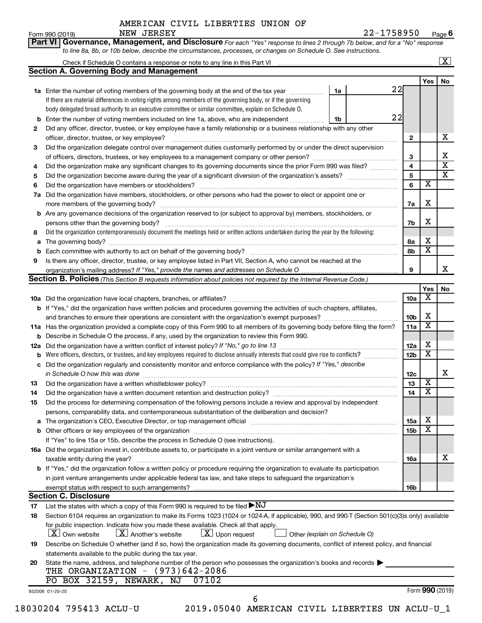Form 990 (2019) Page **6** NEW JERSEY 22-1758950

|          |                                                                                                                                                                          |    |    |                 |                         | $\boxed{\textbf{X}}$    |
|----------|--------------------------------------------------------------------------------------------------------------------------------------------------------------------------|----|----|-----------------|-------------------------|-------------------------|
|          | <b>Section A. Governing Body and Management</b>                                                                                                                          |    |    |                 |                         |                         |
|          |                                                                                                                                                                          |    |    |                 | Yes                     | No                      |
|          | 1a Enter the number of voting members of the governing body at the end of the tax year <i>manumum</i>                                                                    | 1a | 22 |                 |                         |                         |
|          | If there are material differences in voting rights among members of the governing body, or if the governing                                                              |    |    |                 |                         |                         |
|          | body delegated broad authority to an executive committee or similar committee, explain on Schedule O.                                                                    |    |    |                 |                         |                         |
| b        | Enter the number of voting members included on line 1a, above, who are independent                                                                                       | 1b | 22 |                 |                         |                         |
| 2        | Did any officer, director, trustee, or key employee have a family relationship or a business relationship with any other<br>officer, director, trustee, or key employee? |    |    | $\mathbf{2}$    |                         | х                       |
| 3        | Did the organization delegate control over management duties customarily performed by or under the direct supervision                                                    |    |    |                 |                         |                         |
|          |                                                                                                                                                                          |    |    | 3               |                         | Χ                       |
| 4        | Did the organization make any significant changes to its governing documents since the prior Form 990 was filed?                                                         |    |    | 4               |                         | $\overline{\mathbf{x}}$ |
| 5        |                                                                                                                                                                          |    |    | 5               |                         | $\overline{\textbf{X}}$ |
| 6        |                                                                                                                                                                          |    |    | 6               | $\overline{\mathbf{x}}$ |                         |
| 7a       | Did the organization have members, stockholders, or other persons who had the power to elect or appoint one or                                                           |    |    |                 |                         |                         |
|          |                                                                                                                                                                          |    |    | 7a              | х                       |                         |
| b        | Are any governance decisions of the organization reserved to (or subject to approval by) members, stockholders, or                                                       |    |    |                 |                         |                         |
|          |                                                                                                                                                                          |    |    | 7b              | X                       |                         |
| 8        | Did the organization contemporaneously document the meetings held or written actions undertaken during the year by the following:                                        |    |    |                 |                         |                         |
| а        |                                                                                                                                                                          |    |    | 8а              | х                       |                         |
|          | Each committee with authority to act on behalf of the governing body? [11] [12] [22] [23] [23] [23] [23] [24] [                                                          |    |    | 8b              | $\overline{\mathbf{x}}$ |                         |
| 9        | Is there any officer, director, trustee, or key employee listed in Part VII, Section A, who cannot be reached at the                                                     |    |    |                 |                         |                         |
|          |                                                                                                                                                                          |    |    | 9               |                         | х                       |
|          | Section B. Policies (This Section B requests information about policies not required by the Internal Revenue Code.)                                                      |    |    |                 |                         |                         |
|          |                                                                                                                                                                          |    |    |                 | Yes                     | No                      |
|          |                                                                                                                                                                          |    |    | 10a             | х                       |                         |
|          | <b>b</b> If "Yes," did the organization have written policies and procedures governing the activities of such chapters, affiliates,                                      |    |    |                 |                         |                         |
|          |                                                                                                                                                                          |    |    | 10 <sub>b</sub> | х                       |                         |
|          | 11a Has the organization provided a complete copy of this Form 990 to all members of its governing body before filing the form?                                          |    |    | 11a             | X                       |                         |
|          | <b>b</b> Describe in Schedule O the process, if any, used by the organization to review this Form 990.                                                                   |    |    |                 |                         |                         |
|          |                                                                                                                                                                          |    |    | 12a             | х                       |                         |
|          | Were officers, directors, or trustees, and key employees required to disclose annually interests that could give rise to conflicts?                                      |    |    | 12 <sub>b</sub> | $\overline{\textbf{x}}$ |                         |
|          | c Did the organization regularly and consistently monitor and enforce compliance with the policy? If "Yes," describe                                                     |    |    |                 |                         |                         |
|          | in Schedule O how this was done continuous continuous continuous contract of the state of the state of the sta                                                           |    |    | 12c             |                         | х                       |
| 13       |                                                                                                                                                                          |    |    | 13              | $\overline{\mathbf{x}}$ |                         |
|          | Did the organization have a written document retention and destruction policy? [111] manufaction policy?                                                                 |    |    | 14              | $\overline{\mathtt{x}}$ |                         |
| 14<br>15 | Did the process for determining compensation of the following persons include a review and approval by independent                                                       |    |    |                 |                         |                         |
|          | persons, comparability data, and contemporaneous substantiation of the deliberation and decision?                                                                        |    |    |                 |                         |                         |
| а        |                                                                                                                                                                          |    |    | 15a             | х                       |                         |
|          |                                                                                                                                                                          |    |    | 15 <sub>b</sub> | X                       |                         |
|          | If "Yes" to line 15a or 15b, describe the process in Schedule O (see instructions).                                                                                      |    |    |                 |                         |                         |
|          | 16a Did the organization invest in, contribute assets to, or participate in a joint venture or similar arrangement with a                                                |    |    |                 |                         |                         |
|          | taxable entity during the year?                                                                                                                                          |    |    | 16a             |                         | x                       |
|          | b If "Yes," did the organization follow a written policy or procedure requiring the organization to evaluate its participation                                           |    |    |                 |                         |                         |
|          |                                                                                                                                                                          |    |    |                 |                         |                         |
|          | in joint venture arrangements under applicable federal tax law, and take steps to safeguard the organization's                                                           |    |    |                 |                         |                         |
|          | exempt status with respect to such arrangements?                                                                                                                         |    |    | 16b             |                         |                         |
|          | <b>Section C. Disclosure</b>                                                                                                                                             |    |    |                 |                         |                         |
| 17       | List the states with which a copy of this Form 990 is required to be filed $\blacktriangleright\mathrm{NJ}$                                                              |    |    |                 |                         |                         |
| 18       | Section 6104 requires an organization to make its Forms 1023 (1024 or 1024-A, if applicable), 990, and 990-T (Section 501(c)(3)s only) available                         |    |    |                 |                         |                         |
|          | for public inspection. Indicate how you made these available. Check all that apply.                                                                                      |    |    |                 |                         |                         |
|          | $\lfloor x \rfloor$ Upon request<br><b>X</b> Own website<br>$\lfloor \mathbf{X} \rfloor$ Another's website<br>Other (explain on Schedule O)                              |    |    |                 |                         |                         |
| 19       | Describe on Schedule O whether (and if so, how) the organization made its governing documents, conflict of interest policy, and financial                                |    |    |                 |                         |                         |
|          | statements available to the public during the tax year.                                                                                                                  |    |    |                 |                         |                         |
| 20       | State the name, address, and telephone number of the person who possesses the organization's books and records                                                           |    |    |                 |                         |                         |
|          | THE ORGANIZATION - (973)642-2086                                                                                                                                         |    |    |                 |                         |                         |
|          |                                                                                                                                                                          |    |    |                 |                         |                         |
|          | PO BOX 32159, NEWARK, NJ<br>07102                                                                                                                                        |    |    |                 |                         |                         |
|          | 932006 01-20-20<br>6                                                                                                                                                     |    |    |                 | Form 990 (2019)         |                         |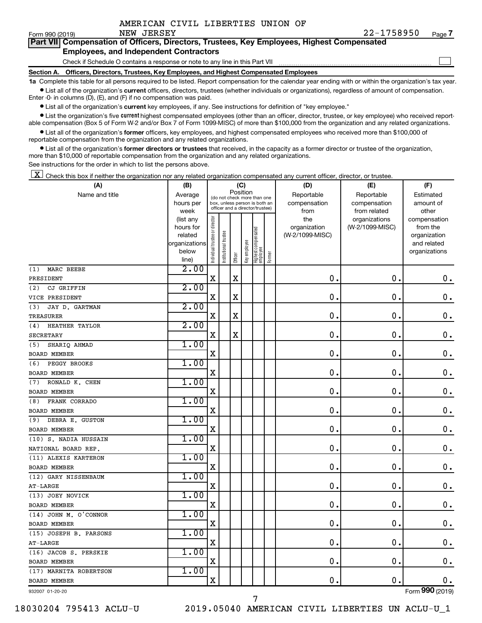$\Box$ 

| Form 990 (2019) |  | NEW JEKSEY |  | 77-1758950                                                                                 | Page |
|-----------------|--|------------|--|--------------------------------------------------------------------------------------------|------|
|                 |  |            |  | Part VII Compensation of Officers, Directors, Trustees, Key Employees, Highest Compensated |      |

#### **Employees, and Independent Contractors**

Check if Schedule O contains a response or note to any line in this Part VII

**Section A. Officers, Directors, Trustees, Key Employees, and Highest Compensated Employees**

**1a**  Complete this table for all persons required to be listed. Report compensation for the calendar year ending with or within the organization's tax year.  $\bullet$  List all of the organization's current officers, directors, trustees (whether individuals or organizations), regardless of amount of compensation.

Enter -0- in columns (D), (E), and (F) if no compensation was paid.

**•** List all of the organization's current key employees, if any. See instructions for definition of "key employee."

• List the organization's five *current* highest compensated employees (other than an officer, director, trustee, or key employee) who received reportable compensation (Box 5 of Form W-2 and/or Box 7 of Form 1099-MISC) of more than \$100,000 from the organization and any related organizations.

 $\bullet$  List all of the organization's former officers, key employees, and highest compensated employees who received more than \$100,000 of reportable compensation from the organization and any related organizations.

**•** List all of the organization's former directors or trustees that received, in the capacity as a former director or trustee of the organization, more than \$10,000 of reportable compensation from the organization and any related organizations.

See instructions for the order in which to list the persons above.

 $\boxed{\textbf{X}}$  Check this box if neither the organization nor any related organization compensated any current officer, director, or trustee.

| (A)                    | (B)                    |                                |                                                                  | (C)         |              |                                   |        | (D)                             | (E)                              | (F)                      |
|------------------------|------------------------|--------------------------------|------------------------------------------------------------------|-------------|--------------|-----------------------------------|--------|---------------------------------|----------------------------------|--------------------------|
| Name and title         | Average                |                                | (do not check more than one                                      | Position    |              |                                   |        | Reportable                      | Reportable                       | Estimated                |
|                        | hours per              |                                | box, unless person is both an<br>officer and a director/trustee) |             |              |                                   |        | compensation                    | compensation                     | amount of                |
|                        | week                   |                                |                                                                  |             |              |                                   |        | from                            | from related                     | other                    |
|                        | (list any<br>hours for | Individual trustee or director |                                                                  |             |              |                                   |        | the                             | organizations<br>(W-2/1099-MISC) | compensation<br>from the |
|                        | related                |                                |                                                                  |             |              |                                   |        | organization<br>(W-2/1099-MISC) |                                  | organization             |
|                        | organizations          |                                |                                                                  |             |              |                                   |        |                                 |                                  | and related              |
|                        | below                  |                                | Institutional trustee                                            |             | Key employee |                                   |        |                                 |                                  | organizations            |
|                        | line)                  |                                |                                                                  | Officer     |              | Highest compensated<br>  employee | Former |                                 |                                  |                          |
| MARC BEEBE<br>(1)      | 2.00                   |                                |                                                                  |             |              |                                   |        |                                 |                                  |                          |
| PRESIDENT              |                        | $\mathbf X$                    |                                                                  | X           |              |                                   |        | 0.                              | $\mathbf 0$ .                    | 0.                       |
| (2)<br>CJ GRIFFIN      | 2.00                   |                                |                                                                  |             |              |                                   |        |                                 |                                  |                          |
| VICE PRESIDENT         |                        | $\mathbf X$                    |                                                                  | $\mathbf X$ |              |                                   |        | $\mathbf 0$ .                   | $\mathbf 0$ .                    | $\mathbf 0$ .            |
| JAY D. GARTMAN<br>(3)  | 2.00                   |                                |                                                                  |             |              |                                   |        |                                 |                                  |                          |
| <b>TREASURER</b>       |                        | $\mathbf X$                    |                                                                  | X           |              |                                   |        | $\mathbf 0$                     | 0.                               | 0.                       |
| HEATHER TAYLOR<br>(4)  | 2.00                   |                                |                                                                  |             |              |                                   |        |                                 |                                  |                          |
| <b>SECRETARY</b>       |                        | $\mathbf X$                    |                                                                  | $\mathbf X$ |              |                                   |        | $\mathbf 0$                     | 0.                               | $\mathbf 0$ .            |
| SHARIQ AHMAD<br>(5)    | 1.00                   |                                |                                                                  |             |              |                                   |        |                                 |                                  |                          |
| <b>BOARD MEMBER</b>    |                        | X                              |                                                                  |             |              |                                   |        | 0                               | 0.                               | $\mathbf 0$ .            |
| PEGGY BROOKS<br>(6)    | 1.00                   |                                |                                                                  |             |              |                                   |        |                                 |                                  |                          |
| <b>BOARD MEMBER</b>    |                        | X                              |                                                                  |             |              |                                   |        | 0                               | 0.                               | $\mathbf 0$ .            |
| RONALD K. CHEN<br>(7)  | 1.00                   |                                |                                                                  |             |              |                                   |        |                                 |                                  |                          |
| <b>BOARD MEMBER</b>    |                        | X                              |                                                                  |             |              |                                   |        | $\mathbf 0$ .                   | $\mathbf 0$                      | $\mathbf 0$ .            |
| FRANK CORRADO<br>(8)   | 1.00                   |                                |                                                                  |             |              |                                   |        |                                 |                                  |                          |
| <b>BOARD MEMBER</b>    |                        | X                              |                                                                  |             |              |                                   |        | 0                               | 0.                               | $\mathbf 0$ .            |
| DEBRA E. GUSTON<br>(9) | 1.00                   |                                |                                                                  |             |              |                                   |        |                                 |                                  |                          |
| <b>BOARD MEMBER</b>    |                        | $\mathbf X$                    |                                                                  |             |              |                                   |        | $\mathbf 0$ .                   | $\mathbf 0$ .                    | $\mathbf 0$ .            |
| (10) S. NADIA HUSSAIN  | 1.00                   |                                |                                                                  |             |              |                                   |        |                                 |                                  |                          |
| NATIONAL BOARD REP.    |                        | X                              |                                                                  |             |              |                                   |        | 0.                              | $\mathbf 0$ .                    | 0.                       |
| (11) ALEXIS KARTERON   | 1.00                   |                                |                                                                  |             |              |                                   |        |                                 |                                  |                          |
| <b>BOARD MEMBER</b>    |                        | $\mathbf X$                    |                                                                  |             |              |                                   |        | $\mathbf 0$                     | $\mathbf 0$                      | $\mathbf 0$ .            |
| (12) GARY NISSENBAUM   | 1.00                   |                                |                                                                  |             |              |                                   |        |                                 |                                  |                          |
| AT-LARGE               |                        | X                              |                                                                  |             |              |                                   |        | 0                               | $\mathbf 0$ .                    | $\mathbf 0$ .            |
| (13) JOEY NOVICK       | 1.00                   |                                |                                                                  |             |              |                                   |        |                                 |                                  |                          |
| <b>BOARD MEMBER</b>    |                        | X                              |                                                                  |             |              |                                   |        | 0                               | 0.                               | $\mathbf 0$ .            |
| (14) JOHN M. O'CONNOR  | 1.00                   |                                |                                                                  |             |              |                                   |        |                                 |                                  |                          |
| <b>BOARD MEMBER</b>    |                        | $\mathbf X$                    |                                                                  |             |              |                                   |        | $\mathbf 0$ .                   | О.                               | $\mathbf 0$ .            |
| (15) JOSEPH B. PARSONS | 1.00                   |                                |                                                                  |             |              |                                   |        |                                 |                                  |                          |
| AT-LARGE               |                        | $\mathbf X$                    |                                                                  |             |              |                                   |        | 0                               | $\mathbf 0$                      | $\mathbf 0$ .            |
| (16) JACOB S. PERSKIE  | 1.00                   |                                |                                                                  |             |              |                                   |        |                                 |                                  |                          |
| <b>BOARD MEMBER</b>    |                        | X                              |                                                                  |             |              |                                   |        | $\mathbf 0$                     | $\mathbf 0$ .                    | 0.                       |
| (17) MARNITA ROBERTSON | 1.00                   |                                |                                                                  |             |              |                                   |        |                                 |                                  |                          |
| <b>BOARD MEMBER</b>    |                        | $\mathbf X$                    |                                                                  |             |              |                                   |        | 0.                              | $\mathbf 0$                      | 0.                       |
| 932007 01-20-20        |                        |                                |                                                                  |             |              |                                   |        |                                 |                                  | Form 990 (2019)          |

7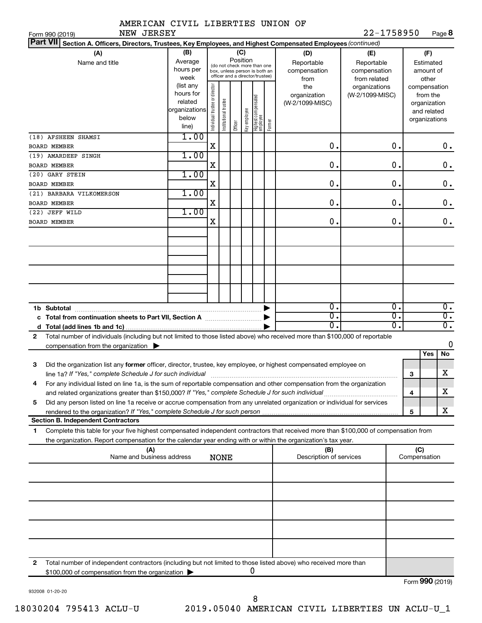|  | AMERICAN CIVIL LIBERTIES UNION OF |  |
|--|-----------------------------------|--|
|  |                                   |  |

NEW JERSEY

Form 990 (2019) Page **8**

|              | Part VII Section A. Officers, Directors, Trustees, Key Employees, and Highest Compensated Employees (continued)                      |                                                    |                                |                       |         |              |                                   |            |                         |                 |                  |           |                              |                  |
|--------------|--------------------------------------------------------------------------------------------------------------------------------------|----------------------------------------------------|--------------------------------|-----------------------|---------|--------------|-----------------------------------|------------|-------------------------|-----------------|------------------|-----------|------------------------------|------------------|
|              | (B)<br>(C)<br>(A)                                                                                                                    |                                                    |                                |                       |         |              |                                   |            | (D)                     | (E)             |                  |           | (F)                          |                  |
|              | Name and title                                                                                                                       | Position<br>Average<br>(do not check more than one |                                |                       |         |              |                                   | Reportable | Reportable              |                 |                  | Estimated |                              |                  |
|              |                                                                                                                                      | hours per                                          |                                |                       |         |              | box, unless person is both an     |            | compensation            | compensation    |                  |           | amount of                    |                  |
|              |                                                                                                                                      | week                                               |                                |                       |         |              | officer and a director/trustee)   |            | from                    | from related    |                  |           | other                        |                  |
|              |                                                                                                                                      | (list any                                          |                                |                       |         |              |                                   |            | the                     | organizations   |                  |           | compensation                 |                  |
|              |                                                                                                                                      | hours for                                          |                                |                       |         |              |                                   |            | organization            | (W-2/1099-MISC) |                  |           | from the                     |                  |
|              |                                                                                                                                      | related<br>organizations                           |                                |                       |         |              |                                   |            | (W-2/1099-MISC)         |                 |                  |           | organization                 |                  |
|              |                                                                                                                                      | below                                              |                                |                       |         |              |                                   |            |                         |                 |                  |           | and related<br>organizations |                  |
|              |                                                                                                                                      | line)                                              | Individual trustee or director | Institutional trustee | Officer | Key employee | Highest compensated<br>  employee | Former     |                         |                 |                  |           |                              |                  |
|              | (18) AFSHEEN SHAMSI                                                                                                                  | 1.00                                               |                                |                       |         |              |                                   |            |                         |                 |                  |           |                              |                  |
|              | <b>BOARD MEMBER</b>                                                                                                                  |                                                    | X                              |                       |         |              |                                   |            | 0.                      |                 | $\mathbf 0$ .    |           |                              | 0.               |
|              | (19) AMARDEEP SINGH                                                                                                                  | 1.00                                               |                                |                       |         |              |                                   |            |                         |                 |                  |           |                              |                  |
|              | <b>BOARD MEMBER</b>                                                                                                                  |                                                    | X                              |                       |         |              |                                   |            | 0.                      |                 | О.               |           |                              | $\mathbf 0$ .    |
|              | (20) GARY STEIN                                                                                                                      | 1.00                                               |                                |                       |         |              |                                   |            |                         |                 |                  |           |                              |                  |
|              | <b>BOARD MEMBER</b>                                                                                                                  |                                                    | X                              |                       |         |              |                                   |            | 0.                      |                 | О.               |           |                              | $\mathbf 0$ .    |
|              | (21) BARBARA VILKOMERSON                                                                                                             | 1.00                                               |                                |                       |         |              |                                   |            |                         |                 |                  |           |                              |                  |
|              | BOARD MEMBER                                                                                                                         |                                                    | X                              |                       |         |              |                                   |            | 0.                      |                 | О.               |           |                              | $\mathbf 0$ .    |
|              | (22) JEFF WILD                                                                                                                       | 1.00                                               |                                |                       |         |              |                                   |            |                         |                 |                  |           |                              |                  |
|              | <b>BOARD MEMBER</b>                                                                                                                  |                                                    | Χ                              |                       |         |              |                                   |            | О.                      |                 | О.               |           |                              | $\mathbf 0$ .    |
|              |                                                                                                                                      |                                                    |                                |                       |         |              |                                   |            |                         |                 |                  |           |                              |                  |
|              |                                                                                                                                      |                                                    |                                |                       |         |              |                                   |            |                         |                 |                  |           |                              |                  |
|              |                                                                                                                                      |                                                    |                                |                       |         |              |                                   |            |                         |                 |                  |           |                              |                  |
|              |                                                                                                                                      |                                                    |                                |                       |         |              |                                   |            |                         |                 |                  |           |                              |                  |
|              |                                                                                                                                      |                                                    |                                |                       |         |              |                                   |            |                         |                 |                  |           |                              |                  |
|              |                                                                                                                                      |                                                    |                                |                       |         |              |                                   |            |                         |                 |                  |           |                              |                  |
|              |                                                                                                                                      |                                                    |                                |                       |         |              |                                   |            |                         |                 |                  |           |                              |                  |
|              |                                                                                                                                      |                                                    |                                |                       |         |              |                                   |            |                         |                 |                  |           |                              |                  |
|              | 1b Subtotal                                                                                                                          |                                                    |                                |                       |         |              |                                   |            | Ο.                      |                 | $\overline{0}$ . |           |                              | $\overline{0}$ . |
|              | c Total from continuation sheets to Part VII, Section A [11, 11, 11, 11, 11]                                                         |                                                    |                                |                       |         |              |                                   |            | σ.                      |                 | σ.               |           |                              | $\overline{0}$ . |
| d            |                                                                                                                                      |                                                    |                                |                       |         |              |                                   |            | О.                      |                 | σ.               |           |                              | $\overline{0}$ . |
| $\mathbf{2}$ | Total number of individuals (including but not limited to those listed above) who received more than \$100,000 of reportable         |                                                    |                                |                       |         |              |                                   |            |                         |                 |                  |           |                              |                  |
|              | compensation from the organization $\blacktriangleright$                                                                             |                                                    |                                |                       |         |              |                                   |            |                         |                 |                  |           |                              | 0                |
|              |                                                                                                                                      |                                                    |                                |                       |         |              |                                   |            |                         |                 |                  |           | Yes                          | No               |
| 3            | Did the organization list any former officer, director, trustee, key employee, or highest compensated employee on                    |                                                    |                                |                       |         |              |                                   |            |                         |                 |                  |           |                              |                  |
|              | line 1a? If "Yes," complete Schedule J for such individual                                                                           |                                                    |                                |                       |         |              |                                   |            |                         |                 |                  | 3         |                              | x                |
| 4            | For any individual listed on line 1a, is the sum of reportable compensation and other compensation from the organization             |                                                    |                                |                       |         |              |                                   |            |                         |                 |                  |           |                              |                  |
|              |                                                                                                                                      |                                                    |                                |                       |         |              |                                   |            |                         |                 |                  | 4         |                              | X                |
| 5            | Did any person listed on line 1a receive or accrue compensation from any unrelated organization or individual for services           |                                                    |                                |                       |         |              |                                   |            |                         |                 |                  |           |                              |                  |
|              | rendered to the organization? If "Yes," complete Schedule J for such person manufaction contains and contained                       |                                                    |                                |                       |         |              |                                   |            |                         |                 |                  | 5         |                              | x                |
|              | <b>Section B. Independent Contractors</b>                                                                                            |                                                    |                                |                       |         |              |                                   |            |                         |                 |                  |           |                              |                  |
| 1            | Complete this table for your five highest compensated independent contractors that received more than \$100,000 of compensation from |                                                    |                                |                       |         |              |                                   |            |                         |                 |                  |           |                              |                  |
|              | the organization. Report compensation for the calendar year ending with or within the organization's tax year.                       |                                                    |                                |                       |         |              |                                   |            |                         |                 |                  |           |                              |                  |
|              | (A)                                                                                                                                  |                                                    |                                |                       |         |              |                                   |            | (B)                     |                 |                  |           | (C)                          |                  |
|              | Name and business address                                                                                                            |                                                    |                                | <b>NONE</b>           |         |              |                                   |            | Description of services |                 |                  |           | Compensation                 |                  |
|              |                                                                                                                                      |                                                    |                                |                       |         |              |                                   |            |                         |                 |                  |           |                              |                  |
|              |                                                                                                                                      |                                                    |                                |                       |         |              |                                   |            |                         |                 |                  |           |                              |                  |
|              |                                                                                                                                      |                                                    |                                |                       |         |              |                                   |            |                         |                 |                  |           |                              |                  |
|              |                                                                                                                                      |                                                    |                                |                       |         |              |                                   |            |                         |                 |                  |           |                              |                  |
|              |                                                                                                                                      |                                                    |                                |                       |         |              |                                   |            |                         |                 |                  |           |                              |                  |
|              |                                                                                                                                      |                                                    |                                |                       |         |              |                                   |            |                         |                 |                  |           |                              |                  |
|              |                                                                                                                                      |                                                    |                                |                       |         |              |                                   |            |                         |                 |                  |           |                              |                  |
|              |                                                                                                                                      |                                                    |                                |                       |         |              |                                   |            |                         |                 |                  |           |                              |                  |
|              |                                                                                                                                      |                                                    |                                |                       |         |              |                                   |            |                         |                 |                  |           |                              |                  |
|              |                                                                                                                                      |                                                    |                                |                       |         |              |                                   |            |                         |                 |                  |           |                              |                  |
| 2            | Total number of independent contractors (including but not limited to those listed above) who received more than                     |                                                    |                                |                       |         |              |                                   |            |                         |                 |                  |           |                              |                  |
|              | \$100,000 of compensation from the organization                                                                                      |                                                    |                                |                       |         |              | 0                                 |            |                         |                 |                  |           |                              |                  |

932008 01-20-20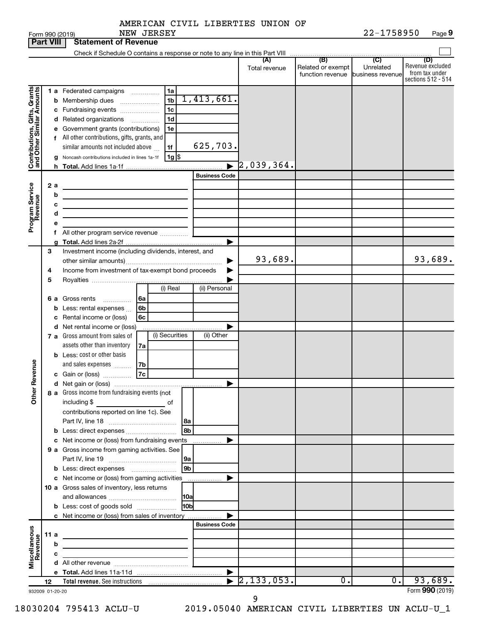|  | AMERICAN CIVIL LIBERTIES UNION OF |  |
|--|-----------------------------------|--|
|  |                                   |  |

|                              |      |        | NEW JERSEY<br>Form 990 (2019)                                                                                          |                      |                      |                                                        | 22-1758950 | Page 9                                                   |
|------------------------------|------|--------|------------------------------------------------------------------------------------------------------------------------|----------------------|----------------------|--------------------------------------------------------|------------|----------------------------------------------------------|
| <b>Part VIII</b>             |      |        | <b>Statement of Revenue</b>                                                                                            |                      |                      |                                                        |            |                                                          |
|                              |      |        |                                                                                                                        |                      |                      | (B)                                                    | (C)        | (D)                                                      |
|                              |      |        |                                                                                                                        |                      | (A)<br>Total revenue | Related or exempt<br>function revenue business revenue | Unrelated  | Revenue excluded<br>from tax under<br>sections 512 - 514 |
|                              |      |        | 1a<br>1 a Federated campaigns                                                                                          |                      |                      |                                                        |            |                                                          |
| Contributions, Gifts, Grants |      |        | 1 <sub>b</sub><br><b>b</b> Membership dues                                                                             | 1,413,661.           |                      |                                                        |            |                                                          |
|                              |      |        | 1c<br>c Fundraising events                                                                                             |                      |                      |                                                        |            |                                                          |
|                              |      |        | 1d<br>d Related organizations                                                                                          |                      |                      |                                                        |            |                                                          |
|                              |      |        | e Government grants (contributions)<br>1e                                                                              |                      |                      |                                                        |            |                                                          |
|                              |      |        | f All other contributions, gifts, grants, and                                                                          |                      |                      |                                                        |            |                                                          |
|                              |      |        | similar amounts not included above<br>1f                                                                               | 625,703.             |                      |                                                        |            |                                                          |
|                              |      |        | $1g$ \$<br>g Noncash contributions included in lines 1a-1f                                                             |                      |                      |                                                        |            |                                                          |
|                              |      |        |                                                                                                                        |                      | $\rceil$ 2,039,364.  |                                                        |            |                                                          |
|                              |      |        |                                                                                                                        | <b>Business Code</b> |                      |                                                        |            |                                                          |
| Program Service<br>Revenue   |      | 2a     |                                                                                                                        |                      |                      |                                                        |            |                                                          |
|                              |      | b      | the control of the control of the control of the control of the control of                                             |                      |                      |                                                        |            |                                                          |
|                              |      | с      | <u> 1989 - Johann Stein, marwolaethau a bhann an t-Albann an t-Albann an t-Albann an t-Albann an t-Albann an t-Alb</u> |                      |                      |                                                        |            |                                                          |
|                              |      | d<br>е | the control of the control of the control of the control of                                                            |                      |                      |                                                        |            |                                                          |
|                              |      |        |                                                                                                                        |                      |                      |                                                        |            |                                                          |
|                              |      | g      |                                                                                                                        |                      |                      |                                                        |            |                                                          |
|                              | 3    |        | Investment income (including dividends, interest, and                                                                  |                      |                      |                                                        |            |                                                          |
|                              |      |        |                                                                                                                        |                      | 93,689.              |                                                        |            | 93,689.                                                  |
|                              | 4    |        | Income from investment of tax-exempt bond proceeds                                                                     |                      |                      |                                                        |            |                                                          |
|                              | 5    |        |                                                                                                                        |                      |                      |                                                        |            |                                                          |
|                              |      |        | (i) Real                                                                                                               | (ii) Personal        |                      |                                                        |            |                                                          |
|                              |      | 6а     | Gross rents<br>l 6a                                                                                                    |                      |                      |                                                        |            |                                                          |
|                              |      | b      | 6b<br>Less: rental expenses                                                                                            |                      |                      |                                                        |            |                                                          |
|                              |      | с      | 6c<br>Rental income or (loss)                                                                                          |                      |                      |                                                        |            |                                                          |
|                              |      |        | d Net rental income or (loss)<br>(i) Securities<br>7 a Gross amount from sales of                                      | (ii) Other           |                      |                                                        |            |                                                          |
|                              |      |        | assets other than inventory<br>7a                                                                                      |                      |                      |                                                        |            |                                                          |
|                              |      |        | <b>b</b> Less: cost or other basis                                                                                     |                      |                      |                                                        |            |                                                          |
|                              |      |        | and sales expenses<br>7b                                                                                               |                      |                      |                                                        |            |                                                          |
| evenue                       |      |        | 7c<br>c Gain or (loss)                                                                                                 |                      |                      |                                                        |            |                                                          |
| Œ                            |      |        |                                                                                                                        |                      |                      |                                                        |            |                                                          |
| Other                        |      |        | 8 a Gross income from fundraising events (not                                                                          |                      |                      |                                                        |            |                                                          |
|                              |      |        | including \$<br>оf                                                                                                     |                      |                      |                                                        |            |                                                          |
|                              |      |        | contributions reported on line 1c). See                                                                                |                      |                      |                                                        |            |                                                          |
|                              |      |        | l 8a                                                                                                                   |                      |                      |                                                        |            |                                                          |
|                              |      |        | 8b                                                                                                                     |                      |                      |                                                        |            |                                                          |
|                              |      |        | c Net income or (loss) from fundraising events<br>9 a Gross income from gaming activities. See                         |                      |                      |                                                        |            |                                                          |
|                              |      |        | l 9a                                                                                                                   |                      |                      |                                                        |            |                                                          |
|                              |      |        | 9 <sub>b</sub>                                                                                                         |                      |                      |                                                        |            |                                                          |
|                              |      |        | c Net income or (loss) from gaming activities                                                                          |                      |                      |                                                        |            |                                                          |
|                              |      |        | 10 a Gross sales of inventory, less returns                                                                            |                      |                      |                                                        |            |                                                          |
|                              |      |        |                                                                                                                        |                      |                      |                                                        |            |                                                          |
|                              |      |        | l10bl<br><b>b</b> Less: cost of goods sold                                                                             |                      |                      |                                                        |            |                                                          |
|                              |      |        | c Net income or (loss) from sales of inventory                                                                         |                      |                      |                                                        |            |                                                          |
|                              |      |        |                                                                                                                        | <b>Business Code</b> |                      |                                                        |            |                                                          |
|                              | 11 a |        |                                                                                                                        |                      |                      |                                                        |            |                                                          |
|                              |      | b      |                                                                                                                        |                      |                      |                                                        |            |                                                          |
| Miscellaneous<br>Revenue     |      | c      |                                                                                                                        |                      |                      |                                                        |            |                                                          |
|                              |      |        |                                                                                                                        |                      |                      |                                                        |            |                                                          |
|                              | 12   |        |                                                                                                                        |                      | 2, 133, 053.         | ο.                                                     | $0$ .      | 93,689.                                                  |
| 932009 01-20-20              |      |        |                                                                                                                        |                      |                      |                                                        |            | Form 990 (2019)                                          |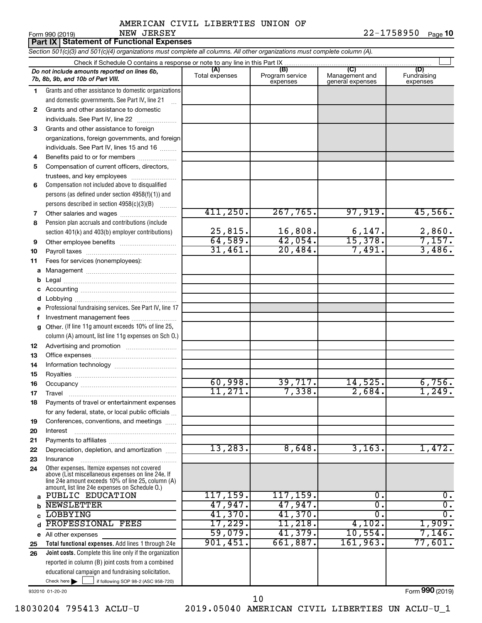**10**

|    | NEW JERSEY<br>Form 990 (2019)<br><b>Part IX Statement of Functional Expenses</b>                                                                                                                           |                |                 |                        | 22-1758950<br>Page 10 |
|----|------------------------------------------------------------------------------------------------------------------------------------------------------------------------------------------------------------|----------------|-----------------|------------------------|-----------------------|
|    | Section 501(c)(3) and 501(c)(4) organizations must complete all columns. All other organizations must complete column (A).                                                                                 |                |                 |                        |                       |
|    |                                                                                                                                                                                                            |                |                 |                        |                       |
|    | Do not include amounts reported on lines 6b,                                                                                                                                                               | (A)            | (B)             | $\overline{C}$         | (D)                   |
|    | 7b, 8b, 9b, and 10b of Part VIII.                                                                                                                                                                          | Total expenses | Program service | Management and         | Fundraising           |
| 1  | Grants and other assistance to domestic organizations                                                                                                                                                      |                | expenses        | general expenses       | expenses              |
|    | and domestic governments. See Part IV, line 21                                                                                                                                                             |                |                 |                        |                       |
| 2  | Grants and other assistance to domestic                                                                                                                                                                    |                |                 |                        |                       |
|    | individuals. See Part IV, line 22                                                                                                                                                                          |                |                 |                        |                       |
| 3  | Grants and other assistance to foreign                                                                                                                                                                     |                |                 |                        |                       |
|    | organizations, foreign governments, and foreign                                                                                                                                                            |                |                 |                        |                       |
|    | individuals. See Part IV, lines 15 and 16                                                                                                                                                                  |                |                 |                        |                       |
| 4  | Benefits paid to or for members                                                                                                                                                                            |                |                 |                        |                       |
| 5  | Compensation of current officers, directors,                                                                                                                                                               |                |                 |                        |                       |
|    | trustees, and key employees                                                                                                                                                                                |                |                 |                        |                       |
| 6  | Compensation not included above to disqualified                                                                                                                                                            |                |                 |                        |                       |
|    | persons (as defined under section 4958(f)(1)) and                                                                                                                                                          |                |                 |                        |                       |
|    | persons described in section 4958(c)(3)(B)                                                                                                                                                                 |                |                 |                        |                       |
| 7  |                                                                                                                                                                                                            | 411,250.       | 267,765.        | 97,919.                | 45,566.               |
| 8  | Pension plan accruals and contributions (include                                                                                                                                                           |                |                 |                        |                       |
|    | section 401(k) and 403(b) employer contributions)                                                                                                                                                          | 25,815.        | 16,808.         |                        | 2,860.                |
| 9  |                                                                                                                                                                                                            | 64,589.        | 42,054.         | $\frac{6,147}{15,378}$ | 7,157.                |
| 10 |                                                                                                                                                                                                            | 31,461.        | 20,484.         | 7,491.                 | 3,486.                |
| 11 | Fees for services (nonemployees):                                                                                                                                                                          |                |                 |                        |                       |
| а  |                                                                                                                                                                                                            |                |                 |                        |                       |
| b  |                                                                                                                                                                                                            |                |                 |                        |                       |
| c  |                                                                                                                                                                                                            |                |                 |                        |                       |
| d  |                                                                                                                                                                                                            |                |                 |                        |                       |
| е  | Professional fundraising services. See Part IV, line 17                                                                                                                                                    |                |                 |                        |                       |
| f  | Investment management fees                                                                                                                                                                                 |                |                 |                        |                       |
| g  | Other. (If line 11g amount exceeds 10% of line 25,                                                                                                                                                         |                |                 |                        |                       |
|    | column (A) amount, list line 11g expenses on Sch O.)                                                                                                                                                       |                |                 |                        |                       |
| 12 |                                                                                                                                                                                                            |                |                 |                        |                       |
| 13 |                                                                                                                                                                                                            |                |                 |                        |                       |
| 14 |                                                                                                                                                                                                            |                |                 |                        |                       |
| 15 |                                                                                                                                                                                                            |                |                 |                        |                       |
| 16 |                                                                                                                                                                                                            | 60,998.        | 39,717 <b>.</b> | 14,525.                | 6,756.                |
| 17 | Travel                                                                                                                                                                                                     | 11,271.        | 7,338.          | 2,684.                 | 1,249.                |
| 18 | Payments of travel or entertainment expenses                                                                                                                                                               |                |                 |                        |                       |
|    | for any federal, state, or local public officials                                                                                                                                                          |                |                 |                        |                       |
| 19 | Conferences, conventions, and meetings                                                                                                                                                                     |                |                 |                        |                       |
| 20 | Interest                                                                                                                                                                                                   |                |                 |                        |                       |
| 21 |                                                                                                                                                                                                            |                |                 |                        |                       |
| 22 | Depreciation, depletion, and amortization                                                                                                                                                                  | 13,283.        | 8,648.          | 3,163.                 | 1,472.                |
| 23 | Insurance                                                                                                                                                                                                  |                |                 |                        |                       |
| 24 | Other expenses. Itemize expenses not covered<br>above (List miscellaneous expenses on line 24e. If<br>line 24e amount exceeds 10% of line 25, column (A)<br>amount, list line 24e expenses on Schedule 0.) |                |                 |                        |                       |
|    | a PUBLIC EDUCATION                                                                                                                                                                                         | 117, 159.      | 117, 159.       | 0.                     | 0.                    |
| b  | <b>NEWSLETTER</b>                                                                                                                                                                                          | 47,947.        | 47,947.         | Ο.                     | $\overline{0}$ .      |
| c  | <b>LOBBYING</b>                                                                                                                                                                                            | 41,370.        | 41,370.         | σ.                     | $\overline{0}$ .      |
| d  | PROFESSIONAL FEES                                                                                                                                                                                          | 17,229.        | 11,218.         | 4,102.                 | 1,909.                |
|    | e All other expenses                                                                                                                                                                                       | 59,079.        | 41,379.         | 10,554.                | 7,146.                |
| 25 | Total functional expenses. Add lines 1 through 24e                                                                                                                                                         | 901,451.       | 661,887.        | 161,963.               | 77,601.               |

Check here if following SOP 98-2 (ASC 958-720) **Joint costs.** Complete this line only if the organization **26** reported in column (B) joint costs from a combined educational campaign and fundraising solicitation.

932010 01-20-20

Form (2019) **990**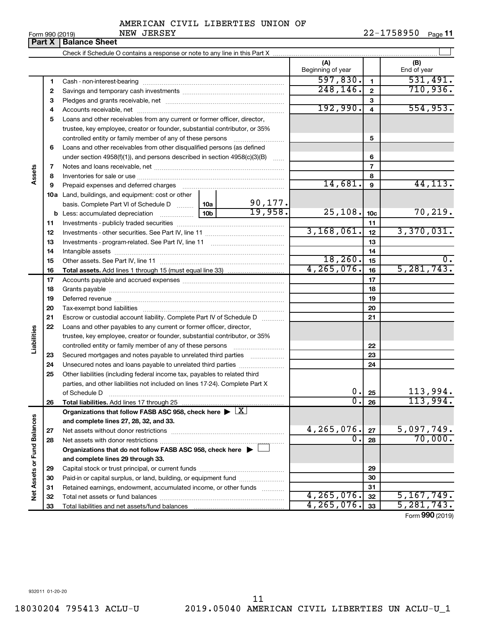|  | AMERICAN CIVIL LIBERTIES UNION OF |  |
|--|-----------------------------------|--|
|  |                                   |  |

 $\perp$ 

| <b>Part X</b> | <b>Balance Sheet</b>                   |                          |                      |             |
|---------------|----------------------------------------|--------------------------|----------------------|-------------|
|               |                                        |                          |                      |             |
|               |                                        | (A)<br>Beginning of year |                      | End of year |
|               | Cash - non-interest-bearing            | 597.830.                 |                      |             |
| 2             | Savings and temporary cash investments |                          |                      |             |
|               | O Distance and montened about the most |                          | $\ddot{\phantom{0}}$ |             |

| $\overline{2}$<br>2<br>3<br>З<br>192,990.<br>554,953.<br>$\overline{\mathbf{4}}$<br>4<br>Loans and other receivables from any current or former officer, director,<br>5<br>trustee, key employee, creator or founder, substantial contributor, or 35%<br>5<br>controlled entity or family member of any of these persons<br>Loans and other receivables from other disqualified persons (as defined<br>6<br>under section 4958(f)(1)), and persons described in section 4958(c)(3)(B)<br>6<br>$\overline{7}$<br>7<br>Assets<br>8<br>8<br>14,681.<br>44, 113.<br>$\mathbf{9}$<br>Prepaid expenses and deferred charges<br>9<br><b>10a</b> Land, buildings, and equipment: cost or other<br>90, 177.<br>basis. Complete Part VI of Schedule D  10a<br>19,958.<br>25,108.<br>70, 219.<br>10 <sub>b</sub><br>10 <sub>c</sub><br>11<br>11<br>3,168,061.<br>3,370,031.<br>12<br>12<br>13<br>13<br>14<br>14<br>18, 260.<br>$\overline{0}$ .<br>15<br>15<br>4, 265, 076.<br>5, 281, 743.<br>16<br>16<br><b>Total assets.</b> Add lines 1 through 15 (must equal line 33) <i></i><br>17<br>17<br>18<br>18<br>19<br>19<br>20<br>20<br>Escrow or custodial account liability. Complete Part IV of Schedule D<br>21<br>21<br>22<br>Loans and other payables to any current or former officer, director,<br>Liabilities<br>trustee, key employee, creator or founder, substantial contributor, or 35%<br>22<br>23<br>Secured mortgages and notes payable to unrelated third parties<br>23<br>24<br>24<br>Other liabilities (including federal income tax, payables to related third<br>25<br>parties, and other liabilities not included on lines 17-24). Complete Part X<br>113,994.<br>0.<br>25<br>of Schedule D<br>113,994.<br>$\overline{0}$ .<br>26<br>26<br>Organizations that follow FASB ASC 958, check here $\blacktriangleright \lfloor \underline{X} \rfloor$<br>Net Assets or Fund Balances<br>and complete lines 27, 28, 32, and 33.<br>5,097,749.<br>4,265,076.<br>27<br>70,000.<br>$\overline{0}$ .<br>28<br>28<br>Organizations that do not follow FASB ASC 958, check here $\blacktriangleright$<br>and complete lines 29 through 33.<br>29<br>29<br>30<br>Paid-in or capital surplus, or land, building, or equipment fund<br>30<br>31<br>Retained earnings, endowment, accumulated income, or other funds<br>31<br>4, 265, 076.<br>5,167,749.<br>32<br>32<br>4, 265, 076.<br>5, 281, 743.<br>33<br>33 | 1 |  |  |  | 597,830.  | $\mathbf{1}$ | 531,491. |
|-------------------------------------------------------------------------------------------------------------------------------------------------------------------------------------------------------------------------------------------------------------------------------------------------------------------------------------------------------------------------------------------------------------------------------------------------------------------------------------------------------------------------------------------------------------------------------------------------------------------------------------------------------------------------------------------------------------------------------------------------------------------------------------------------------------------------------------------------------------------------------------------------------------------------------------------------------------------------------------------------------------------------------------------------------------------------------------------------------------------------------------------------------------------------------------------------------------------------------------------------------------------------------------------------------------------------------------------------------------------------------------------------------------------------------------------------------------------------------------------------------------------------------------------------------------------------------------------------------------------------------------------------------------------------------------------------------------------------------------------------------------------------------------------------------------------------------------------------------------------------------------------------------------------------------------------------------------------------------------------------------------------------------------------------------------------------------------------------------------------------------------------------------------------------------------------------------------------------------------------------------------------------------------------------------------------------------------------------------------------------------------------------------------|---|--|--|--|-----------|--------------|----------|
|                                                                                                                                                                                                                                                                                                                                                                                                                                                                                                                                                                                                                                                                                                                                                                                                                                                                                                                                                                                                                                                                                                                                                                                                                                                                                                                                                                                                                                                                                                                                                                                                                                                                                                                                                                                                                                                                                                                                                                                                                                                                                                                                                                                                                                                                                                                                                                                                             |   |  |  |  | 248, 146. |              | 710,936. |
|                                                                                                                                                                                                                                                                                                                                                                                                                                                                                                                                                                                                                                                                                                                                                                                                                                                                                                                                                                                                                                                                                                                                                                                                                                                                                                                                                                                                                                                                                                                                                                                                                                                                                                                                                                                                                                                                                                                                                                                                                                                                                                                                                                                                                                                                                                                                                                                                             |   |  |  |  |           |              |          |
|                                                                                                                                                                                                                                                                                                                                                                                                                                                                                                                                                                                                                                                                                                                                                                                                                                                                                                                                                                                                                                                                                                                                                                                                                                                                                                                                                                                                                                                                                                                                                                                                                                                                                                                                                                                                                                                                                                                                                                                                                                                                                                                                                                                                                                                                                                                                                                                                             |   |  |  |  |           |              |          |
|                                                                                                                                                                                                                                                                                                                                                                                                                                                                                                                                                                                                                                                                                                                                                                                                                                                                                                                                                                                                                                                                                                                                                                                                                                                                                                                                                                                                                                                                                                                                                                                                                                                                                                                                                                                                                                                                                                                                                                                                                                                                                                                                                                                                                                                                                                                                                                                                             |   |  |  |  |           |              |          |
|                                                                                                                                                                                                                                                                                                                                                                                                                                                                                                                                                                                                                                                                                                                                                                                                                                                                                                                                                                                                                                                                                                                                                                                                                                                                                                                                                                                                                                                                                                                                                                                                                                                                                                                                                                                                                                                                                                                                                                                                                                                                                                                                                                                                                                                                                                                                                                                                             |   |  |  |  |           |              |          |
|                                                                                                                                                                                                                                                                                                                                                                                                                                                                                                                                                                                                                                                                                                                                                                                                                                                                                                                                                                                                                                                                                                                                                                                                                                                                                                                                                                                                                                                                                                                                                                                                                                                                                                                                                                                                                                                                                                                                                                                                                                                                                                                                                                                                                                                                                                                                                                                                             |   |  |  |  |           |              |          |
|                                                                                                                                                                                                                                                                                                                                                                                                                                                                                                                                                                                                                                                                                                                                                                                                                                                                                                                                                                                                                                                                                                                                                                                                                                                                                                                                                                                                                                                                                                                                                                                                                                                                                                                                                                                                                                                                                                                                                                                                                                                                                                                                                                                                                                                                                                                                                                                                             |   |  |  |  |           |              |          |
|                                                                                                                                                                                                                                                                                                                                                                                                                                                                                                                                                                                                                                                                                                                                                                                                                                                                                                                                                                                                                                                                                                                                                                                                                                                                                                                                                                                                                                                                                                                                                                                                                                                                                                                                                                                                                                                                                                                                                                                                                                                                                                                                                                                                                                                                                                                                                                                                             |   |  |  |  |           |              |          |
|                                                                                                                                                                                                                                                                                                                                                                                                                                                                                                                                                                                                                                                                                                                                                                                                                                                                                                                                                                                                                                                                                                                                                                                                                                                                                                                                                                                                                                                                                                                                                                                                                                                                                                                                                                                                                                                                                                                                                                                                                                                                                                                                                                                                                                                                                                                                                                                                             |   |  |  |  |           |              |          |
|                                                                                                                                                                                                                                                                                                                                                                                                                                                                                                                                                                                                                                                                                                                                                                                                                                                                                                                                                                                                                                                                                                                                                                                                                                                                                                                                                                                                                                                                                                                                                                                                                                                                                                                                                                                                                                                                                                                                                                                                                                                                                                                                                                                                                                                                                                                                                                                                             |   |  |  |  |           |              |          |
|                                                                                                                                                                                                                                                                                                                                                                                                                                                                                                                                                                                                                                                                                                                                                                                                                                                                                                                                                                                                                                                                                                                                                                                                                                                                                                                                                                                                                                                                                                                                                                                                                                                                                                                                                                                                                                                                                                                                                                                                                                                                                                                                                                                                                                                                                                                                                                                                             |   |  |  |  |           |              |          |
|                                                                                                                                                                                                                                                                                                                                                                                                                                                                                                                                                                                                                                                                                                                                                                                                                                                                                                                                                                                                                                                                                                                                                                                                                                                                                                                                                                                                                                                                                                                                                                                                                                                                                                                                                                                                                                                                                                                                                                                                                                                                                                                                                                                                                                                                                                                                                                                                             |   |  |  |  |           |              |          |
|                                                                                                                                                                                                                                                                                                                                                                                                                                                                                                                                                                                                                                                                                                                                                                                                                                                                                                                                                                                                                                                                                                                                                                                                                                                                                                                                                                                                                                                                                                                                                                                                                                                                                                                                                                                                                                                                                                                                                                                                                                                                                                                                                                                                                                                                                                                                                                                                             |   |  |  |  |           |              |          |
|                                                                                                                                                                                                                                                                                                                                                                                                                                                                                                                                                                                                                                                                                                                                                                                                                                                                                                                                                                                                                                                                                                                                                                                                                                                                                                                                                                                                                                                                                                                                                                                                                                                                                                                                                                                                                                                                                                                                                                                                                                                                                                                                                                                                                                                                                                                                                                                                             |   |  |  |  |           |              |          |
|                                                                                                                                                                                                                                                                                                                                                                                                                                                                                                                                                                                                                                                                                                                                                                                                                                                                                                                                                                                                                                                                                                                                                                                                                                                                                                                                                                                                                                                                                                                                                                                                                                                                                                                                                                                                                                                                                                                                                                                                                                                                                                                                                                                                                                                                                                                                                                                                             |   |  |  |  |           |              |          |
|                                                                                                                                                                                                                                                                                                                                                                                                                                                                                                                                                                                                                                                                                                                                                                                                                                                                                                                                                                                                                                                                                                                                                                                                                                                                                                                                                                                                                                                                                                                                                                                                                                                                                                                                                                                                                                                                                                                                                                                                                                                                                                                                                                                                                                                                                                                                                                                                             |   |  |  |  |           |              |          |
|                                                                                                                                                                                                                                                                                                                                                                                                                                                                                                                                                                                                                                                                                                                                                                                                                                                                                                                                                                                                                                                                                                                                                                                                                                                                                                                                                                                                                                                                                                                                                                                                                                                                                                                                                                                                                                                                                                                                                                                                                                                                                                                                                                                                                                                                                                                                                                                                             |   |  |  |  |           |              |          |
|                                                                                                                                                                                                                                                                                                                                                                                                                                                                                                                                                                                                                                                                                                                                                                                                                                                                                                                                                                                                                                                                                                                                                                                                                                                                                                                                                                                                                                                                                                                                                                                                                                                                                                                                                                                                                                                                                                                                                                                                                                                                                                                                                                                                                                                                                                                                                                                                             |   |  |  |  |           |              |          |
|                                                                                                                                                                                                                                                                                                                                                                                                                                                                                                                                                                                                                                                                                                                                                                                                                                                                                                                                                                                                                                                                                                                                                                                                                                                                                                                                                                                                                                                                                                                                                                                                                                                                                                                                                                                                                                                                                                                                                                                                                                                                                                                                                                                                                                                                                                                                                                                                             |   |  |  |  |           |              |          |
|                                                                                                                                                                                                                                                                                                                                                                                                                                                                                                                                                                                                                                                                                                                                                                                                                                                                                                                                                                                                                                                                                                                                                                                                                                                                                                                                                                                                                                                                                                                                                                                                                                                                                                                                                                                                                                                                                                                                                                                                                                                                                                                                                                                                                                                                                                                                                                                                             |   |  |  |  |           |              |          |
|                                                                                                                                                                                                                                                                                                                                                                                                                                                                                                                                                                                                                                                                                                                                                                                                                                                                                                                                                                                                                                                                                                                                                                                                                                                                                                                                                                                                                                                                                                                                                                                                                                                                                                                                                                                                                                                                                                                                                                                                                                                                                                                                                                                                                                                                                                                                                                                                             |   |  |  |  |           |              |          |
|                                                                                                                                                                                                                                                                                                                                                                                                                                                                                                                                                                                                                                                                                                                                                                                                                                                                                                                                                                                                                                                                                                                                                                                                                                                                                                                                                                                                                                                                                                                                                                                                                                                                                                                                                                                                                                                                                                                                                                                                                                                                                                                                                                                                                                                                                                                                                                                                             |   |  |  |  |           |              |          |
|                                                                                                                                                                                                                                                                                                                                                                                                                                                                                                                                                                                                                                                                                                                                                                                                                                                                                                                                                                                                                                                                                                                                                                                                                                                                                                                                                                                                                                                                                                                                                                                                                                                                                                                                                                                                                                                                                                                                                                                                                                                                                                                                                                                                                                                                                                                                                                                                             |   |  |  |  |           |              |          |
|                                                                                                                                                                                                                                                                                                                                                                                                                                                                                                                                                                                                                                                                                                                                                                                                                                                                                                                                                                                                                                                                                                                                                                                                                                                                                                                                                                                                                                                                                                                                                                                                                                                                                                                                                                                                                                                                                                                                                                                                                                                                                                                                                                                                                                                                                                                                                                                                             |   |  |  |  |           |              |          |
|                                                                                                                                                                                                                                                                                                                                                                                                                                                                                                                                                                                                                                                                                                                                                                                                                                                                                                                                                                                                                                                                                                                                                                                                                                                                                                                                                                                                                                                                                                                                                                                                                                                                                                                                                                                                                                                                                                                                                                                                                                                                                                                                                                                                                                                                                                                                                                                                             |   |  |  |  |           |              |          |
|                                                                                                                                                                                                                                                                                                                                                                                                                                                                                                                                                                                                                                                                                                                                                                                                                                                                                                                                                                                                                                                                                                                                                                                                                                                                                                                                                                                                                                                                                                                                                                                                                                                                                                                                                                                                                                                                                                                                                                                                                                                                                                                                                                                                                                                                                                                                                                                                             |   |  |  |  |           |              |          |
|                                                                                                                                                                                                                                                                                                                                                                                                                                                                                                                                                                                                                                                                                                                                                                                                                                                                                                                                                                                                                                                                                                                                                                                                                                                                                                                                                                                                                                                                                                                                                                                                                                                                                                                                                                                                                                                                                                                                                                                                                                                                                                                                                                                                                                                                                                                                                                                                             |   |  |  |  |           |              |          |
|                                                                                                                                                                                                                                                                                                                                                                                                                                                                                                                                                                                                                                                                                                                                                                                                                                                                                                                                                                                                                                                                                                                                                                                                                                                                                                                                                                                                                                                                                                                                                                                                                                                                                                                                                                                                                                                                                                                                                                                                                                                                                                                                                                                                                                                                                                                                                                                                             |   |  |  |  |           |              |          |
|                                                                                                                                                                                                                                                                                                                                                                                                                                                                                                                                                                                                                                                                                                                                                                                                                                                                                                                                                                                                                                                                                                                                                                                                                                                                                                                                                                                                                                                                                                                                                                                                                                                                                                                                                                                                                                                                                                                                                                                                                                                                                                                                                                                                                                                                                                                                                                                                             |   |  |  |  |           |              |          |
|                                                                                                                                                                                                                                                                                                                                                                                                                                                                                                                                                                                                                                                                                                                                                                                                                                                                                                                                                                                                                                                                                                                                                                                                                                                                                                                                                                                                                                                                                                                                                                                                                                                                                                                                                                                                                                                                                                                                                                                                                                                                                                                                                                                                                                                                                                                                                                                                             |   |  |  |  |           |              |          |
|                                                                                                                                                                                                                                                                                                                                                                                                                                                                                                                                                                                                                                                                                                                                                                                                                                                                                                                                                                                                                                                                                                                                                                                                                                                                                                                                                                                                                                                                                                                                                                                                                                                                                                                                                                                                                                                                                                                                                                                                                                                                                                                                                                                                                                                                                                                                                                                                             |   |  |  |  |           |              |          |
|                                                                                                                                                                                                                                                                                                                                                                                                                                                                                                                                                                                                                                                                                                                                                                                                                                                                                                                                                                                                                                                                                                                                                                                                                                                                                                                                                                                                                                                                                                                                                                                                                                                                                                                                                                                                                                                                                                                                                                                                                                                                                                                                                                                                                                                                                                                                                                                                             |   |  |  |  |           |              |          |
|                                                                                                                                                                                                                                                                                                                                                                                                                                                                                                                                                                                                                                                                                                                                                                                                                                                                                                                                                                                                                                                                                                                                                                                                                                                                                                                                                                                                                                                                                                                                                                                                                                                                                                                                                                                                                                                                                                                                                                                                                                                                                                                                                                                                                                                                                                                                                                                                             |   |  |  |  |           |              |          |
|                                                                                                                                                                                                                                                                                                                                                                                                                                                                                                                                                                                                                                                                                                                                                                                                                                                                                                                                                                                                                                                                                                                                                                                                                                                                                                                                                                                                                                                                                                                                                                                                                                                                                                                                                                                                                                                                                                                                                                                                                                                                                                                                                                                                                                                                                                                                                                                                             |   |  |  |  |           |              |          |
|                                                                                                                                                                                                                                                                                                                                                                                                                                                                                                                                                                                                                                                                                                                                                                                                                                                                                                                                                                                                                                                                                                                                                                                                                                                                                                                                                                                                                                                                                                                                                                                                                                                                                                                                                                                                                                                                                                                                                                                                                                                                                                                                                                                                                                                                                                                                                                                                             |   |  |  |  |           |              |          |
|                                                                                                                                                                                                                                                                                                                                                                                                                                                                                                                                                                                                                                                                                                                                                                                                                                                                                                                                                                                                                                                                                                                                                                                                                                                                                                                                                                                                                                                                                                                                                                                                                                                                                                                                                                                                                                                                                                                                                                                                                                                                                                                                                                                                                                                                                                                                                                                                             |   |  |  |  |           |              |          |
|                                                                                                                                                                                                                                                                                                                                                                                                                                                                                                                                                                                                                                                                                                                                                                                                                                                                                                                                                                                                                                                                                                                                                                                                                                                                                                                                                                                                                                                                                                                                                                                                                                                                                                                                                                                                                                                                                                                                                                                                                                                                                                                                                                                                                                                                                                                                                                                                             |   |  |  |  |           |              |          |
|                                                                                                                                                                                                                                                                                                                                                                                                                                                                                                                                                                                                                                                                                                                                                                                                                                                                                                                                                                                                                                                                                                                                                                                                                                                                                                                                                                                                                                                                                                                                                                                                                                                                                                                                                                                                                                                                                                                                                                                                                                                                                                                                                                                                                                                                                                                                                                                                             |   |  |  |  |           |              |          |
|                                                                                                                                                                                                                                                                                                                                                                                                                                                                                                                                                                                                                                                                                                                                                                                                                                                                                                                                                                                                                                                                                                                                                                                                                                                                                                                                                                                                                                                                                                                                                                                                                                                                                                                                                                                                                                                                                                                                                                                                                                                                                                                                                                                                                                                                                                                                                                                                             |   |  |  |  |           |              |          |
|                                                                                                                                                                                                                                                                                                                                                                                                                                                                                                                                                                                                                                                                                                                                                                                                                                                                                                                                                                                                                                                                                                                                                                                                                                                                                                                                                                                                                                                                                                                                                                                                                                                                                                                                                                                                                                                                                                                                                                                                                                                                                                                                                                                                                                                                                                                                                                                                             |   |  |  |  |           |              |          |
|                                                                                                                                                                                                                                                                                                                                                                                                                                                                                                                                                                                                                                                                                                                                                                                                                                                                                                                                                                                                                                                                                                                                                                                                                                                                                                                                                                                                                                                                                                                                                                                                                                                                                                                                                                                                                                                                                                                                                                                                                                                                                                                                                                                                                                                                                                                                                                                                             |   |  |  |  |           |              |          |
|                                                                                                                                                                                                                                                                                                                                                                                                                                                                                                                                                                                                                                                                                                                                                                                                                                                                                                                                                                                                                                                                                                                                                                                                                                                                                                                                                                                                                                                                                                                                                                                                                                                                                                                                                                                                                                                                                                                                                                                                                                                                                                                                                                                                                                                                                                                                                                                                             |   |  |  |  |           |              |          |
|                                                                                                                                                                                                                                                                                                                                                                                                                                                                                                                                                                                                                                                                                                                                                                                                                                                                                                                                                                                                                                                                                                                                                                                                                                                                                                                                                                                                                                                                                                                                                                                                                                                                                                                                                                                                                                                                                                                                                                                                                                                                                                                                                                                                                                                                                                                                                                                                             |   |  |  |  |           |              |          |
| $T_{2}$ (000 0010)                                                                                                                                                                                                                                                                                                                                                                                                                                                                                                                                                                                                                                                                                                                                                                                                                                                                                                                                                                                                                                                                                                                                                                                                                                                                                                                                                                                                                                                                                                                                                                                                                                                                                                                                                                                                                                                                                                                                                                                                                                                                                                                                                                                                                                                                                                                                                                                          |   |  |  |  |           |              |          |

Form (2019) **990**

932011 01-20-20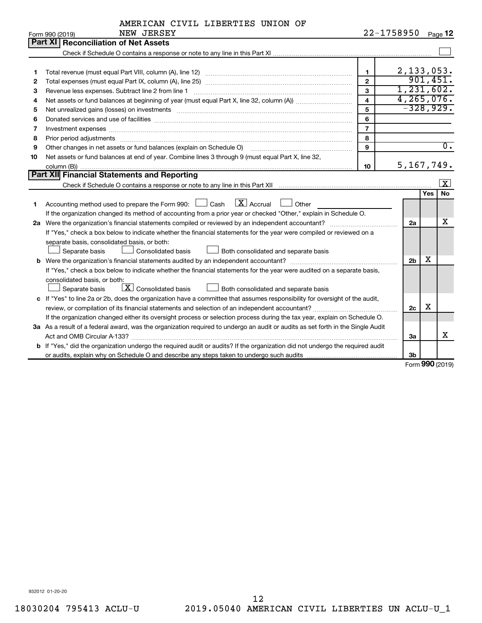|  | AMERICAN CIVIL LIBERTIES UNION OF |  |
|--|-----------------------------------|--|
|  |                                   |  |

|    | NEW JERSEY<br>Form 990 (2019)                                                                                                                                                                                                  |                         | 22-1758950     |            | Page 12          |
|----|--------------------------------------------------------------------------------------------------------------------------------------------------------------------------------------------------------------------------------|-------------------------|----------------|------------|------------------|
|    | <b>Reconciliation of Net Assets</b><br>Part XI                                                                                                                                                                                 |                         |                |            |                  |
|    |                                                                                                                                                                                                                                |                         |                |            |                  |
|    |                                                                                                                                                                                                                                |                         |                |            |                  |
| 1  |                                                                                                                                                                                                                                | $\mathbf{1}$            |                |            | 2,133,053.       |
| 2  |                                                                                                                                                                                                                                | $\overline{2}$          |                |            | 901,451.         |
| З  | Revenue less expenses. Subtract line 2 from line 1                                                                                                                                                                             | $\mathbf{3}$            |                |            | 1,231,602.       |
| 4  |                                                                                                                                                                                                                                | $\overline{\mathbf{4}}$ |                |            | 4, 265, 076.     |
| 5  |                                                                                                                                                                                                                                | 5                       |                |            | $-328,929.$      |
| 6  |                                                                                                                                                                                                                                | 6                       |                |            |                  |
| 7  | Investment expenses [[11] https://www.facebook.com/www.facebook.com/www.facebook.com/www.facebook.com/www.facebook.com/www.facebook.com/www.facebook.com/www.facebook.com/www.facebook.com/www.facebook.com/www.facebook.com/w | $\overline{7}$          |                |            |                  |
| 8  |                                                                                                                                                                                                                                | 8                       |                |            |                  |
| 9  | Other changes in net assets or fund balances (explain on Schedule O)                                                                                                                                                           | 9                       |                |            | $\overline{0}$ . |
| 10 | Net assets or fund balances at end of year. Combine lines 3 through 9 (must equal Part X, line 32,                                                                                                                             |                         |                |            |                  |
|    |                                                                                                                                                                                                                                | 10                      |                |            | 5, 167, 749.     |
|    | Part XII Financial Statements and Reporting                                                                                                                                                                                    |                         |                |            |                  |
|    |                                                                                                                                                                                                                                |                         |                |            | <u>  x</u>       |
|    |                                                                                                                                                                                                                                |                         |                | <b>Yes</b> | <b>No</b>        |
| 1  | Accounting method used to prepare the Form 990: $\Box$ Cash $\Box$ Accrual $\Box$ Other                                                                                                                                        |                         |                |            |                  |
|    | If the organization changed its method of accounting from a prior year or checked "Other," explain in Schedule O.                                                                                                              |                         |                |            |                  |
|    | 2a Were the organization's financial statements compiled or reviewed by an independent accountant?                                                                                                                             |                         | 2a             |            | X                |
|    | If "Yes," check a box below to indicate whether the financial statements for the year were compiled or reviewed on a                                                                                                           |                         |                |            |                  |
|    | separate basis, consolidated basis, or both:                                                                                                                                                                                   |                         |                |            |                  |
|    | Separate basis<br><b>Consolidated basis</b><br>Both consolidated and separate basis                                                                                                                                            |                         |                |            |                  |
|    |                                                                                                                                                                                                                                |                         | 2 <sub>b</sub> | х          |                  |
|    | If "Yes," check a box below to indicate whether the financial statements for the year were audited on a separate basis,                                                                                                        |                         |                |            |                  |
|    | consolidated basis, or both:                                                                                                                                                                                                   |                         |                |            |                  |
|    | $\boxed{\textbf{X}}$ Consolidated basis<br>Separate basis<br>Both consolidated and separate basis                                                                                                                              |                         |                |            |                  |
|    | c If "Yes" to line 2a or 2b, does the organization have a committee that assumes responsibility for oversight of the audit,                                                                                                    |                         |                |            |                  |
|    |                                                                                                                                                                                                                                |                         | 2c             | х          |                  |
|    | If the organization changed either its oversight process or selection process during the tax year, explain on Schedule O.                                                                                                      |                         |                |            |                  |
|    | 3a As a result of a federal award, was the organization required to undergo an audit or audits as set forth in the Single Audit                                                                                                |                         |                |            |                  |
|    |                                                                                                                                                                                                                                |                         | За             |            | х                |
|    | b If "Yes," did the organization undergo the required audit or audits? If the organization did not undergo the required audit                                                                                                  |                         |                |            |                  |
|    |                                                                                                                                                                                                                                |                         | 3b             |            |                  |

Form (2019) **990**

932012 01-20-20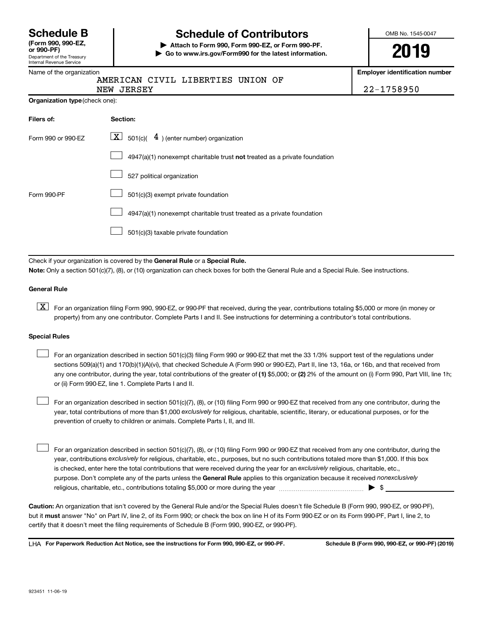|                             | <b>Schedule B</b> |
|-----------------------------|-------------------|
| $T_{\rm arm}$ 000 000 $E$ 7 |                   |

#### Department of the Treasury Internal Revenue Service **(Form 990, 990-EZ,**

# **Schedule of Contributors**

**or 990-PF) | Attach to Form 990, Form 990-EZ, or Form 990-PF. | Go to www.irs.gov/Form990 for the latest information.** OMB No. 1545-0047

**2019**

**Employer identification number**

|  | AMERICAN CIVIL LIBERTIES UNION OF |  |  |
|--|-----------------------------------|--|--|
|  |                                   |  |  |

NEW JERSEY 22-1758950

| Organization type (check one): |  |  |
|--------------------------------|--|--|
|--------------------------------|--|--|

| Filers of:         | Section:                                                                    |
|--------------------|-----------------------------------------------------------------------------|
| Form 990 or 990-EZ | $\boxed{\textbf{X}}$ 501(c)( 4) (enter number) organization                 |
|                    | $4947(a)(1)$ nonexempt charitable trust not treated as a private foundation |
|                    | 527 political organization                                                  |
| Form 990-PF        | 501(c)(3) exempt private foundation                                         |
|                    | 4947(a)(1) nonexempt charitable trust treated as a private foundation       |
|                    | 501(c)(3) taxable private foundation                                        |

Check if your organization is covered by the General Rule or a Special Rule. **Note:**  Only a section 501(c)(7), (8), or (10) organization can check boxes for both the General Rule and a Special Rule. See instructions.

#### **General Rule**

**K** For an organization filing Form 990, 990-EZ, or 990-PF that received, during the year, contributions totaling \$5,000 or more (in money or property) from any one contributor. Complete Parts I and II. See instructions for determining a contributor's total contributions.

#### **Special Rules**

 $\Box$ 

any one contributor, during the year, total contributions of the greater of (1) \$5,000; or (2) 2% of the amount on (i) Form 990, Part VIII, line 1h; For an organization described in section 501(c)(3) filing Form 990 or 990-EZ that met the 33 1/3% support test of the regulations under sections 509(a)(1) and 170(b)(1)(A)(vi), that checked Schedule A (Form 990 or 990-EZ), Part II, line 13, 16a, or 16b, and that received from or (ii) Form 990-EZ, line 1. Complete Parts I and II.  $\Box$ 

year, total contributions of more than \$1,000 *exclusively* for religious, charitable, scientific, literary, or educational purposes, or for the For an organization described in section 501(c)(7), (8), or (10) filing Form 990 or 990-EZ that received from any one contributor, during the prevention of cruelty to children or animals. Complete Parts I, II, and III.  $\Box$ 

purpose. Don't complete any of the parts unless the General Rule applies to this organization because it received nonexclusively year, contributions exclusively for religious, charitable, etc., purposes, but no such contributions totaled more than \$1,000. If this box is checked, enter here the total contributions that were received during the year for an exclusively religious, charitable, etc., For an organization described in section 501(c)(7), (8), or (10) filing Form 990 or 990-EZ that received from any one contributor, during the religious, charitable, etc., contributions totaling \$5,000 or more during the year  $\ldots$  $\ldots$  $\ldots$  $\ldots$  $\ldots$  $\ldots$ 

**Caution:**  An organization that isn't covered by the General Rule and/or the Special Rules doesn't file Schedule B (Form 990, 990-EZ, or 990-PF),  **must** but it answer "No" on Part IV, line 2, of its Form 990; or check the box on line H of its Form 990-EZ or on its Form 990-PF, Part I, line 2, to certify that it doesn't meet the filing requirements of Schedule B (Form 990, 990-EZ, or 990-PF).

**For Paperwork Reduction Act Notice, see the instructions for Form 990, 990-EZ, or 990-PF. Schedule B (Form 990, 990-EZ, or 990-PF) (2019)** LHA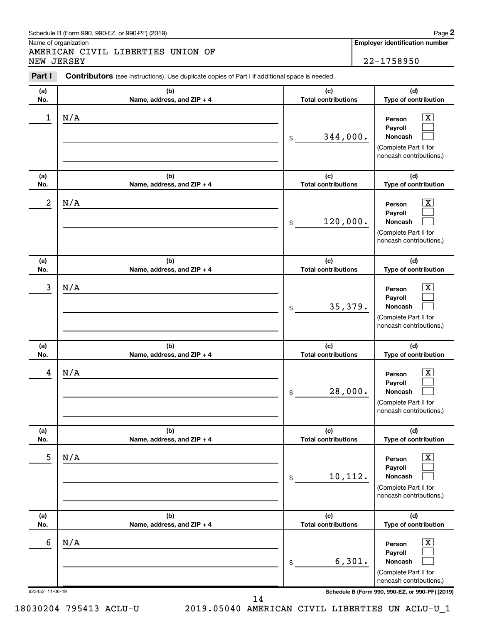#### Schedule B (Form 990, 990-EZ, or 990-PF) (2019)

Name of organization

AMERICAN CIVIL LIBERTIES UNION OF NEW JERSEY 22-1758950

**Employer identification number**

**2**

| Part I          | <b>Contributors</b> (see instructions). Use duplicate copies of Part I if additional space is needed. |                                   |                                                                                                             |
|-----------------|-------------------------------------------------------------------------------------------------------|-----------------------------------|-------------------------------------------------------------------------------------------------------------|
| (a)<br>No.      | (b)<br>Name, address, and ZIP + 4                                                                     | (c)<br><b>Total contributions</b> | (d)<br>Type of contribution                                                                                 |
| 1               | N/A                                                                                                   | 344,000.<br>\$                    | $\overline{\mathbf{X}}$<br>Person<br>Payroll<br>Noncash<br>(Complete Part II for<br>noncash contributions.) |
| (a)<br>No.      | (b)<br>Name, address, and ZIP + 4                                                                     | (c)<br><b>Total contributions</b> | (d)<br>Type of contribution                                                                                 |
| 2               | N/A                                                                                                   | 120,000.<br>\$                    | $\mathbf{X}$<br>Person<br>Payroll<br>Noncash<br>(Complete Part II for<br>noncash contributions.)            |
| (a)<br>No.      | (b)<br>Name, address, and ZIP + 4                                                                     | (c)<br><b>Total contributions</b> | (d)<br>Type of contribution                                                                                 |
| 3               | N/A                                                                                                   | 35,379.<br>\$                     | $\mathbf{X}$<br>Person<br>Payroll<br>Noncash<br>(Complete Part II for<br>noncash contributions.)            |
| (a)<br>No.      | (b)<br>Name, address, and ZIP + 4                                                                     | (c)<br><b>Total contributions</b> | (d)<br>Type of contribution                                                                                 |
| 4               | N/A                                                                                                   | 28,000.<br>\$                     | $\mathbf{X}$<br>Person<br>Payroll<br><b>Noncash</b><br>(Complete Part II for<br>noncash contributions.)     |
| (a)<br>No.      | (b)<br>Name, address, and ZIP + 4                                                                     | (c)<br><b>Total contributions</b> | (d)<br>Type of contribution                                                                                 |
| 5               | N/A                                                                                                   | 10,112.<br>\$                     | $\overline{\mathbf{X}}$<br>Person<br>Payroll<br>Noncash<br>(Complete Part II for<br>noncash contributions.) |
| (a)<br>No.      | (b)<br>Name, address, and ZIP + 4                                                                     | (c)<br><b>Total contributions</b> | (d)<br>Type of contribution                                                                                 |
| 6               | N/A                                                                                                   | 6,301.<br>\$                      | $\overline{\mathbf{X}}$<br>Person<br>Payroll<br>Noncash<br>(Complete Part II for<br>noncash contributions.) |
| 923452 11-06-19 |                                                                                                       |                                   | Schedule B (Form 990, 990-EZ, or 990-PF) (2019)                                                             |

14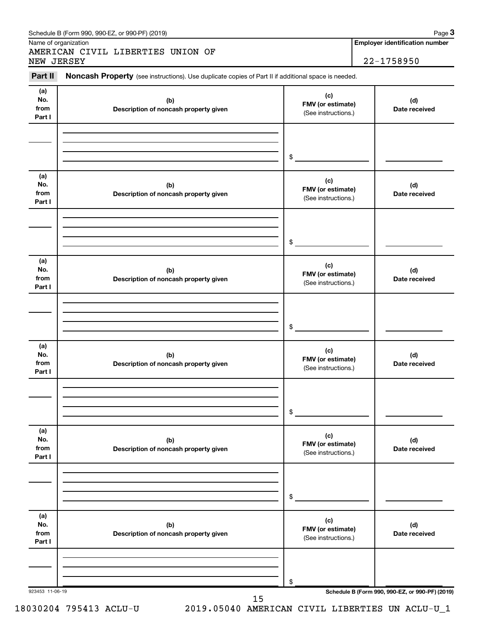| Part II                      | Noncash Property (see instructions). Use duplicate copies of Part II if additional space is needed. |                                                 |                      |
|------------------------------|-----------------------------------------------------------------------------------------------------|-------------------------------------------------|----------------------|
| (a)<br>No.<br>from<br>Part I | (b)<br>Description of noncash property given                                                        | (c)<br>FMV (or estimate)<br>(See instructions.) | (d)<br>Date received |
|                              |                                                                                                     | \$                                              |                      |
| (a)<br>No.<br>from<br>Part I | (b)<br>Description of noncash property given                                                        | (c)<br>FMV (or estimate)<br>(See instructions.) | (d)<br>Date received |
|                              |                                                                                                     | \$                                              |                      |
| (a)<br>No.<br>from<br>Part I | (b)<br>Description of noncash property given                                                        | (c)<br>FMV (or estimate)<br>(See instructions.) | (d)<br>Date received |
|                              |                                                                                                     | \$                                              |                      |
| (a)<br>No.<br>from<br>Part I | (b)<br>Description of noncash property given                                                        | (c)<br>FMV (or estimate)<br>(See instructions.) | (d)<br>Date received |
|                              |                                                                                                     | \$                                              |                      |
| (a)<br>No.<br>from<br>Part I | (b)<br>Description of noncash property given                                                        | (c)<br>FMV (or estimate)<br>(See instructions.) | (d)<br>Date received |
|                              |                                                                                                     | \$                                              |                      |
| (a)<br>No.<br>from<br>Part I | (b)<br>Description of noncash property given                                                        | (c)<br>FMV (or estimate)<br>(See instructions.) | (d)<br>Date received |
|                              |                                                                                                     |                                                 |                      |

#### Schedule B (Form 990, 990-EZ, or 990-PF) (2019)

Name of organization

AMERICAN CIVIL LIBERTIES UNION OF<br>NEW JERSEY

**Employer identification number 3**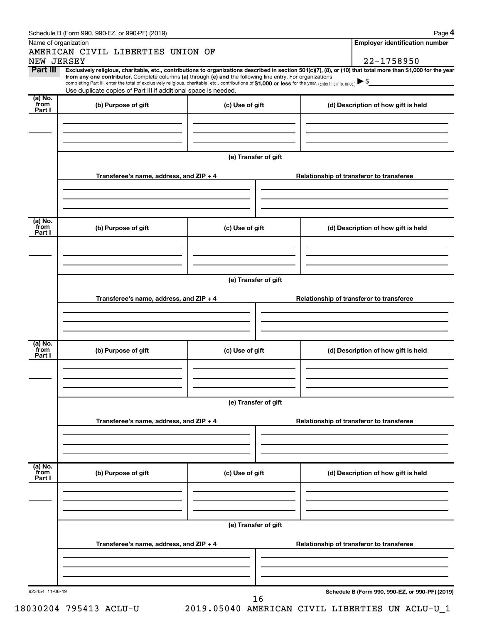|                        | Schedule B (Form 990, 990-EZ, or 990-PF) (2019)                                                                                                                                                                             |                      |                                          | Page 4                                          |
|------------------------|-----------------------------------------------------------------------------------------------------------------------------------------------------------------------------------------------------------------------------|----------------------|------------------------------------------|-------------------------------------------------|
|                        | Name of organization                                                                                                                                                                                                        |                      |                                          | <b>Employer identification number</b>           |
|                        | AMERICAN CIVIL LIBERTIES UNION OF                                                                                                                                                                                           |                      |                                          |                                                 |
| NEW JERSEY<br>Part III | Exclusively religious, charitable, etc., contributions to organizations described in section 501(c)(7), (8), or (10) that total more than \$1,000 for the year                                                              |                      |                                          | 22-1758950                                      |
|                        | from any one contributor. Complete columns (a) through (e) and the following line entry. For organizations                                                                                                                  |                      |                                          |                                                 |
|                        | completing Part III, enter the total of exclusively religious, charitable, etc., contributions of \$1,000 or less for the year. (Enter this info. once.)<br>Use duplicate copies of Part III if additional space is needed. |                      |                                          |                                                 |
| (a) No.                |                                                                                                                                                                                                                             |                      |                                          |                                                 |
| from<br>Part I         | (b) Purpose of gift                                                                                                                                                                                                         | (c) Use of gift      | (d) Description of how gift is held      |                                                 |
|                        |                                                                                                                                                                                                                             |                      |                                          |                                                 |
|                        |                                                                                                                                                                                                                             |                      |                                          |                                                 |
|                        |                                                                                                                                                                                                                             |                      |                                          |                                                 |
|                        |                                                                                                                                                                                                                             | (e) Transfer of gift |                                          |                                                 |
|                        |                                                                                                                                                                                                                             |                      |                                          |                                                 |
|                        | Transferee's name, address, and ZIP + 4                                                                                                                                                                                     |                      | Relationship of transferor to transferee |                                                 |
|                        |                                                                                                                                                                                                                             |                      |                                          |                                                 |
|                        |                                                                                                                                                                                                                             |                      |                                          |                                                 |
|                        |                                                                                                                                                                                                                             |                      |                                          |                                                 |
| (a) No.                |                                                                                                                                                                                                                             |                      |                                          |                                                 |
| from<br>Part I         | (b) Purpose of gift                                                                                                                                                                                                         | (c) Use of gift      | (d) Description of how gift is held      |                                                 |
|                        |                                                                                                                                                                                                                             |                      |                                          |                                                 |
|                        |                                                                                                                                                                                                                             |                      |                                          |                                                 |
|                        |                                                                                                                                                                                                                             |                      |                                          |                                                 |
|                        |                                                                                                                                                                                                                             | (e) Transfer of gift |                                          |                                                 |
|                        |                                                                                                                                                                                                                             |                      |                                          |                                                 |
|                        | Transferee's name, address, and ZIP + 4                                                                                                                                                                                     |                      | Relationship of transferor to transferee |                                                 |
|                        |                                                                                                                                                                                                                             |                      |                                          |                                                 |
|                        |                                                                                                                                                                                                                             |                      |                                          |                                                 |
|                        |                                                                                                                                                                                                                             |                      |                                          |                                                 |
| (a) No.<br>from        | (b) Purpose of gift                                                                                                                                                                                                         | (c) Use of gift      | (d) Description of how gift is held      |                                                 |
| Part I                 |                                                                                                                                                                                                                             |                      |                                          |                                                 |
|                        |                                                                                                                                                                                                                             |                      |                                          |                                                 |
|                        |                                                                                                                                                                                                                             |                      |                                          |                                                 |
|                        |                                                                                                                                                                                                                             |                      |                                          |                                                 |
|                        |                                                                                                                                                                                                                             | (e) Transfer of gift |                                          |                                                 |
|                        |                                                                                                                                                                                                                             |                      |                                          |                                                 |
|                        | Transferee's name, address, and ZIP + 4                                                                                                                                                                                     |                      | Relationship of transferor to transferee |                                                 |
|                        |                                                                                                                                                                                                                             |                      |                                          |                                                 |
|                        |                                                                                                                                                                                                                             |                      |                                          |                                                 |
|                        |                                                                                                                                                                                                                             |                      |                                          |                                                 |
| (a) No.<br>from        | (b) Purpose of gift                                                                                                                                                                                                         | (c) Use of gift      | (d) Description of how gift is held      |                                                 |
| Part I                 |                                                                                                                                                                                                                             |                      |                                          |                                                 |
|                        |                                                                                                                                                                                                                             |                      |                                          |                                                 |
|                        |                                                                                                                                                                                                                             |                      |                                          |                                                 |
|                        |                                                                                                                                                                                                                             |                      |                                          |                                                 |
|                        |                                                                                                                                                                                                                             | (e) Transfer of gift |                                          |                                                 |
|                        | Transferee's name, address, and ZIP + 4                                                                                                                                                                                     |                      | Relationship of transferor to transferee |                                                 |
|                        |                                                                                                                                                                                                                             |                      |                                          |                                                 |
|                        |                                                                                                                                                                                                                             |                      |                                          |                                                 |
|                        |                                                                                                                                                                                                                             |                      |                                          |                                                 |
|                        |                                                                                                                                                                                                                             |                      |                                          |                                                 |
| 923454 11-06-19        |                                                                                                                                                                                                                             | 16                   |                                          | Schedule B (Form 990, 990-EZ, or 990-PF) (2019) |
|                        |                                                                                                                                                                                                                             |                      |                                          |                                                 |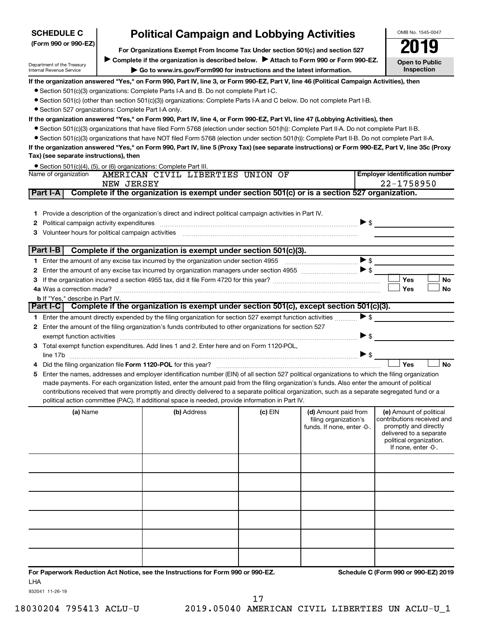| <b>Political Campaign and Lobbying Activities</b><br><b>SCHEDULE C</b> |            |                                                                                                                                                  |           |                                                                             |                                                                                                                                                             | OMB No. 1545-0047     |
|------------------------------------------------------------------------|------------|--------------------------------------------------------------------------------------------------------------------------------------------------|-----------|-----------------------------------------------------------------------------|-------------------------------------------------------------------------------------------------------------------------------------------------------------|-----------------------|
| (Form 990 or 990-EZ)                                                   |            | For Organizations Exempt From Income Tax Under section 501(c) and section 527                                                                    |           |                                                                             |                                                                                                                                                             |                       |
| Department of the Treasury                                             |            | Complete if the organization is described below. Attach to Form 990 or Form 990-EZ.                                                              |           |                                                                             |                                                                                                                                                             | <b>Open to Public</b> |
| Internal Revenue Service                                               |            | Go to www.irs.gov/Form990 for instructions and the latest information.                                                                           |           |                                                                             |                                                                                                                                                             | Inspection            |
|                                                                        |            | If the organization answered "Yes," on Form 990, Part IV, line 3, or Form 990-EZ, Part V, line 46 (Political Campaign Activities), then          |           |                                                                             |                                                                                                                                                             |                       |
|                                                                        |            | • Section 501(c)(3) organizations: Complete Parts I-A and B. Do not complete Part I-C.                                                           |           |                                                                             |                                                                                                                                                             |                       |
|                                                                        |            | • Section 501(c) (other than section 501(c)(3)) organizations: Complete Parts I-A and C below. Do not complete Part I-B.                         |           |                                                                             |                                                                                                                                                             |                       |
| • Section 527 organizations: Complete Part I-A only.                   |            |                                                                                                                                                  |           |                                                                             |                                                                                                                                                             |                       |
|                                                                        |            | If the organization answered "Yes," on Form 990, Part IV, line 4, or Form 990-EZ, Part VI, line 47 (Lobbying Activities), then                   |           |                                                                             |                                                                                                                                                             |                       |
|                                                                        |            | ● Section 501(c)(3) organizations that have filed Form 5768 (election under section 501(h)): Complete Part II-A. Do not complete Part II-B.      |           |                                                                             |                                                                                                                                                             |                       |
|                                                                        |            | • Section 501(c)(3) organizations that have NOT filed Form 5768 (election under section 501(h)): Complete Part II-B. Do not complete Part II-A.  |           |                                                                             |                                                                                                                                                             |                       |
|                                                                        |            | If the organization answered "Yes," on Form 990, Part IV, line 5 (Proxy Tax) (see separate instructions) or Form 990-EZ, Part V, line 35c (Proxy |           |                                                                             |                                                                                                                                                             |                       |
| Tax) (see separate instructions), then                                 |            |                                                                                                                                                  |           |                                                                             |                                                                                                                                                             |                       |
| Name of organization                                                   |            | $\bullet$ Section 501(c)(4), (5), or (6) organizations: Complete Part III.<br>AMERICAN CIVIL LIBERTIES UNION OF                                  |           |                                                                             | <b>Employer identification number</b>                                                                                                                       |                       |
|                                                                        | NEW JERSEY |                                                                                                                                                  |           |                                                                             | 22-1758950                                                                                                                                                  |                       |
| Part I-A                                                               |            | Complete if the organization is exempt under section 501(c) or is a section 527 organization.                                                    |           |                                                                             |                                                                                                                                                             |                       |
|                                                                        |            |                                                                                                                                                  |           |                                                                             |                                                                                                                                                             |                       |
| 1.                                                                     |            | Provide a description of the organization's direct and indirect political campaign activities in Part IV.                                        |           |                                                                             |                                                                                                                                                             |                       |
| Political campaign activity expenditures<br>2                          |            |                                                                                                                                                  |           |                                                                             | $\blacktriangleright$ \$                                                                                                                                    |                       |
| Volunteer hours for political campaign activities<br>3                 |            |                                                                                                                                                  |           |                                                                             |                                                                                                                                                             |                       |
|                                                                        |            |                                                                                                                                                  |           |                                                                             |                                                                                                                                                             |                       |
| Part I-B                                                               |            | Complete if the organization is exempt under section 501(c)(3).                                                                                  |           |                                                                             |                                                                                                                                                             |                       |
|                                                                        |            | 1 Enter the amount of any excise tax incurred by the organization under section 4955                                                             |           |                                                                             | $\blacktriangleright$ \$                                                                                                                                    |                       |
|                                                                        |            | 2 Enter the amount of any excise tax incurred by organization managers under section 4955                                                        |           |                                                                             | $\blacktriangleright$ \$                                                                                                                                    |                       |
|                                                                        |            |                                                                                                                                                  |           |                                                                             | Yes                                                                                                                                                         | No                    |
|                                                                        |            |                                                                                                                                                  |           |                                                                             | Yes                                                                                                                                                         | No                    |
| <b>b</b> If "Yes," describe in Part IV.                                |            |                                                                                                                                                  |           |                                                                             |                                                                                                                                                             |                       |
|                                                                        |            | Part I-C Complete if the organization is exempt under section 501(c), except section 501(c)(3).                                                  |           |                                                                             |                                                                                                                                                             |                       |
|                                                                        |            | 1 Enter the amount directly expended by the filing organization for section 527 exempt function activities                                       |           |                                                                             | $\blacktriangleright$ \$                                                                                                                                    |                       |
|                                                                        |            | 2 Enter the amount of the filing organization's funds contributed to other organizations for section 527                                         |           |                                                                             |                                                                                                                                                             |                       |
| exempt function activities                                             |            |                                                                                                                                                  |           |                                                                             | ▶ \$                                                                                                                                                        |                       |
|                                                                        |            | 3 Total exempt function expenditures. Add lines 1 and 2. Enter here and on Form 1120-POL,                                                        |           |                                                                             |                                                                                                                                                             |                       |
|                                                                        |            |                                                                                                                                                  |           |                                                                             |                                                                                                                                                             |                       |
|                                                                        |            | Did the filing organization file Form 1120-POL for this year?                                                                                    |           |                                                                             | Yes                                                                                                                                                         | <b>No</b>             |
| 5                                                                      |            | Enter the names, addresses and employer identification number (EIN) of all section 527 political organizations to which the filing organization  |           |                                                                             |                                                                                                                                                             |                       |
|                                                                        |            | made payments. For each organization listed, enter the amount paid from the filing organization's funds. Also enter the amount of political      |           |                                                                             |                                                                                                                                                             |                       |
|                                                                        |            | contributions received that were promptly and directly delivered to a separate political organization, such as a separate segregated fund or a   |           |                                                                             |                                                                                                                                                             |                       |
|                                                                        |            | political action committee (PAC). If additional space is needed, provide information in Part IV.                                                 |           |                                                                             |                                                                                                                                                             |                       |
| (a) Name                                                               |            | (b) Address                                                                                                                                      | $(c)$ EIN | (d) Amount paid from<br>filing organization's<br>funds. If none, enter -0-. | (e) Amount of political<br>contributions received and<br>promptly and directly<br>delivered to a separate<br>political organization.<br>If none, enter -0-. |                       |
|                                                                        |            |                                                                                                                                                  |           |                                                                             |                                                                                                                                                             |                       |

**For Paperwork Reduction Act Notice, see the Instructions for Form 990 or 990-EZ. Schedule C (Form 990 or 990-EZ) 2019** LHA

932041 11-26-19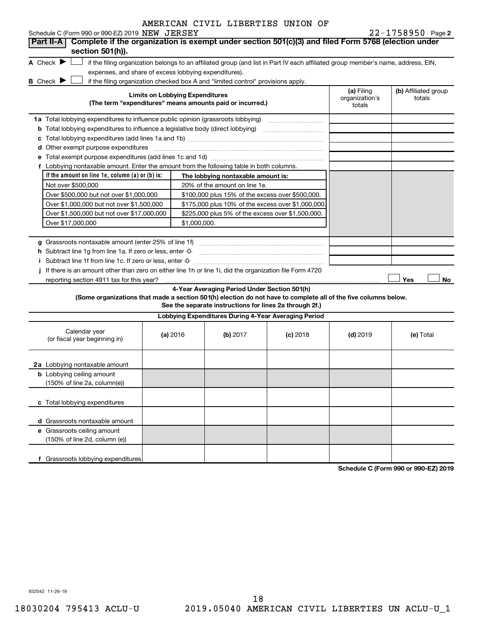| Schedule C (Form 990 or 990-EZ) 2019 NEW JERSEY                                                                                                                          |                                        |                                                         |                                                                                                                                   |                              | $22 - 1758950$ Page 2          |
|--------------------------------------------------------------------------------------------------------------------------------------------------------------------------|----------------------------------------|---------------------------------------------------------|-----------------------------------------------------------------------------------------------------------------------------------|------------------------------|--------------------------------|
| Complete if the organization is exempt under section 501(c)(3) and filed Form 5768 (election under<br><b>Part II-A</b>                                                   |                                        |                                                         |                                                                                                                                   |                              |                                |
| section 501(h)).                                                                                                                                                         |                                        |                                                         |                                                                                                                                   |                              |                                |
| A Check $\blacktriangleright$                                                                                                                                            |                                        |                                                         | if the filing organization belongs to an affiliated group (and list in Part IV each affiliated group member's name, address, EIN, |                              |                                |
| expenses, and share of excess lobbying expenditures).                                                                                                                    |                                        |                                                         |                                                                                                                                   |                              |                                |
| <b>B</b> Check $\blacktriangleright$<br>if the filing organization checked box A and "limited control" provisions apply.                                                 | <b>Limits on Lobbying Expenditures</b> |                                                         |                                                                                                                                   | (a) Filing<br>organization's | (b) Affiliated group<br>totals |
| (The term "expenditures" means amounts paid or incurred.)                                                                                                                |                                        |                                                         |                                                                                                                                   | totals                       |                                |
| 1a Total lobbying expenditures to influence public opinion (grassroots lobbying) [11] [12] Total lobbying expenditures to influence public opinion (grassroots lobbying) |                                        |                                                         |                                                                                                                                   |                              |                                |
|                                                                                                                                                                          |                                        |                                                         |                                                                                                                                   |                              |                                |
|                                                                                                                                                                          |                                        |                                                         |                                                                                                                                   |                              |                                |
| d Other exempt purpose expenditures                                                                                                                                      |                                        |                                                         |                                                                                                                                   |                              |                                |
|                                                                                                                                                                          |                                        |                                                         |                                                                                                                                   |                              |                                |
| f Lobbying nontaxable amount. Enter the amount from the following table in both columns.                                                                                 |                                        |                                                         |                                                                                                                                   |                              |                                |
| If the amount on line $1e$ , column $(a)$ or $(b)$ is:                                                                                                                   |                                        | The lobbying nontaxable amount is:                      |                                                                                                                                   |                              |                                |
| Not over \$500,000                                                                                                                                                       |                                        | 20% of the amount on line 1e.                           |                                                                                                                                   |                              |                                |
| Over \$500,000 but not over \$1,000,000                                                                                                                                  |                                        | \$100,000 plus 15% of the excess over \$500,000.        |                                                                                                                                   |                              |                                |
| Over \$1,000,000 but not over \$1,500,000                                                                                                                                |                                        | \$175,000 plus 10% of the excess over \$1,000,000       |                                                                                                                                   |                              |                                |
| Over \$1,500,000 but not over \$17,000,000                                                                                                                               |                                        | \$225,000 plus 5% of the excess over \$1,500,000.       |                                                                                                                                   |                              |                                |
| Over \$17,000,000                                                                                                                                                        | \$1,000,000.                           |                                                         |                                                                                                                                   |                              |                                |
|                                                                                                                                                                          |                                        |                                                         |                                                                                                                                   |                              |                                |
| g Grassroots nontaxable amount (enter 25% of line 1f)                                                                                                                    |                                        |                                                         |                                                                                                                                   |                              |                                |
| h Subtract line 1g from line 1a. If zero or less, enter -0-                                                                                                              |                                        |                                                         |                                                                                                                                   |                              |                                |
|                                                                                                                                                                          |                                        |                                                         |                                                                                                                                   |                              |                                |
| j If there is an amount other than zero on either line 1h or line 1i, did the organization file Form 4720                                                                |                                        |                                                         |                                                                                                                                   |                              |                                |
| reporting section 4911 tax for this year?                                                                                                                                |                                        |                                                         |                                                                                                                                   |                              | Yes<br>No                      |
|                                                                                                                                                                          |                                        | 4-Year Averaging Period Under Section 501(h)            |                                                                                                                                   |                              |                                |
| (Some organizations that made a section 501(h) election do not have to complete all of the five columns below.                                                           |                                        |                                                         |                                                                                                                                   |                              |                                |
|                                                                                                                                                                          |                                        | See the separate instructions for lines 2a through 2f.) |                                                                                                                                   |                              |                                |
|                                                                                                                                                                          |                                        | Lobbying Expenditures During 4-Year Averaging Period    |                                                                                                                                   |                              |                                |
| Calendar year<br>(or fiscal year beginning in)                                                                                                                           | (a) 2016                               | (b) 2017                                                | $(c)$ 2018                                                                                                                        | $(d)$ 2019                   | (e) Total                      |
| 2a Lobbying nontaxable amount                                                                                                                                            |                                        |                                                         |                                                                                                                                   |                              |                                |
| <b>b</b> Lobbying ceiling amount                                                                                                                                         |                                        |                                                         |                                                                                                                                   |                              |                                |
| (150% of line 2a, column(e))                                                                                                                                             |                                        |                                                         |                                                                                                                                   |                              |                                |
| c Total lobbying expenditures                                                                                                                                            |                                        |                                                         |                                                                                                                                   |                              |                                |
| d Grassroots nontaxable amount                                                                                                                                           |                                        |                                                         |                                                                                                                                   |                              |                                |
| e Grassroots ceiling amount                                                                                                                                              |                                        |                                                         |                                                                                                                                   |                              |                                |
| (150% of line 2d, column (e))                                                                                                                                            |                                        |                                                         |                                                                                                                                   |                              |                                |
| f Grassroots lobbying expenditures                                                                                                                                       |                                        |                                                         |                                                                                                                                   |                              |                                |

**Schedule C (Form 990 or 990-EZ) 2019**

932042 11-26-19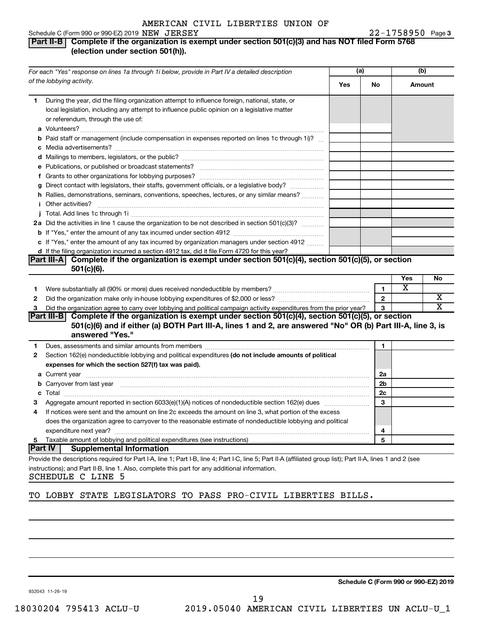#### Schedule C (Form 990 or 990-EZ) 2019  $NEW$   $JERSEY$   $22-1758950$  Page

#### **Part II-B Complete if the organization is exempt under section 501(c)(3) and has NOT filed Form 5768 (election under section 501(h)).**

|    | For each "Yes" response on lines 1a through 1i below, provide in Part IV a detailed description                                                                                                                                      | (a) |                | (b)    |    |
|----|--------------------------------------------------------------------------------------------------------------------------------------------------------------------------------------------------------------------------------------|-----|----------------|--------|----|
|    | of the lobbying activity.                                                                                                                                                                                                            | Yes | <b>No</b>      | Amount |    |
| 1  | During the year, did the filing organization attempt to influence foreign, national, state, or<br>local legislation, including any attempt to influence public opinion on a legislative matter<br>or referendum, through the use of: |     |                |        |    |
|    | <b>b</b> Paid staff or management (include compensation in expenses reported on lines 1c through 1i)?                                                                                                                                |     |                |        |    |
|    |                                                                                                                                                                                                                                      |     |                |        |    |
|    |                                                                                                                                                                                                                                      |     |                |        |    |
|    |                                                                                                                                                                                                                                      |     |                |        |    |
|    | g Direct contact with legislators, their staffs, government officials, or a legislative body? <i>manamer</i>                                                                                                                         |     |                |        |    |
|    | h Rallies, demonstrations, seminars, conventions, speeches, lectures, or any similar means?                                                                                                                                          |     |                |        |    |
|    |                                                                                                                                                                                                                                      |     |                |        |    |
|    | 2a Did the activities in line 1 cause the organization to be not described in section 501(c)(3)?                                                                                                                                     |     |                |        |    |
|    |                                                                                                                                                                                                                                      |     |                |        |    |
|    | c If "Yes," enter the amount of any tax incurred by organization managers under section 4912                                                                                                                                         |     |                |        |    |
|    | d If the filing organization incurred a section 4912 tax, did it file Form 4720 for this year?                                                                                                                                       |     |                |        |    |
|    | Part III-A Complete if the organization is exempt under section 501(c)(4), section 501(c)(5), or section<br>$501(c)(6)$ .                                                                                                            |     |                |        |    |
|    |                                                                                                                                                                                                                                      |     |                | Yes    | No |
| 1  |                                                                                                                                                                                                                                      |     | $\mathbf{1}$   | X      |    |
| 2  |                                                                                                                                                                                                                                      |     | $\mathbf{2}$   |        | х  |
| 3  | Did the organization agree to carry over lobbying and political campaign activity expenditures from the prior year?                                                                                                                  |     | 3              |        | X  |
|    | Part III-B Complete if the organization is exempt under section $501(c)(4)$ , section $501(c)(5)$ , or section                                                                                                                       |     |                |        |    |
|    | 501(c)(6) and if either (a) BOTH Part III-A, lines 1 and 2, are answered "No" OR (b) Part III-A, line 3, is<br>answered "Yes."                                                                                                       |     |                |        |    |
| 1. | Dues, assessments and similar amounts from members [11] matter contracts and similar amounts from members [11] matter contracts and similar amounts from members [11] matter contracts and similar amounts from members [11] m       |     | 1              |        |    |
| 2  | Section 162(e) nondeductible lobbying and political expenditures (do not include amounts of political                                                                                                                                |     |                |        |    |
|    | expenses for which the section 527(f) tax was paid).                                                                                                                                                                                 |     |                |        |    |
|    |                                                                                                                                                                                                                                      |     | 2a             |        |    |
|    | <b>b</b> Carryover from last year manufactured and content to content the content of the content of the content of the content of the content of the content of the content of the content of the content of the content of the con  |     | 2b             |        |    |
|    |                                                                                                                                                                                                                                      |     | 2 <sub>c</sub> |        |    |
| 3  |                                                                                                                                                                                                                                      |     | 3              |        |    |
| 4  | If notices were sent and the amount on line 2c exceeds the amount on line 3, what portion of the excess                                                                                                                              |     |                |        |    |
|    | does the organization agree to carryover to the reasonable estimate of nondeductible lobbying and political                                                                                                                          |     |                |        |    |
|    |                                                                                                                                                                                                                                      |     | 4              |        |    |
| 5  |                                                                                                                                                                                                                                      |     | 5              |        |    |
|    | Part IV  <br><b>Supplemental Information</b>                                                                                                                                                                                         |     |                |        |    |
|    | Provide the descriptions required for Part I-A, line 1; Part I-B, line 4; Part I-C, line 5; Part II-A (affiliated group list); Part II-A, lines 1 and 2 (see                                                                         |     |                |        |    |
|    | instructions); and Part II-B, line 1. Also, complete this part for any additional information.                                                                                                                                       |     |                |        |    |

SCHEDULE C LINE 5

# TO LOBBY STATE LEGISLATORS TO PASS PRO-CIVIL LIBERTIES BILLS.

932043 11-26-19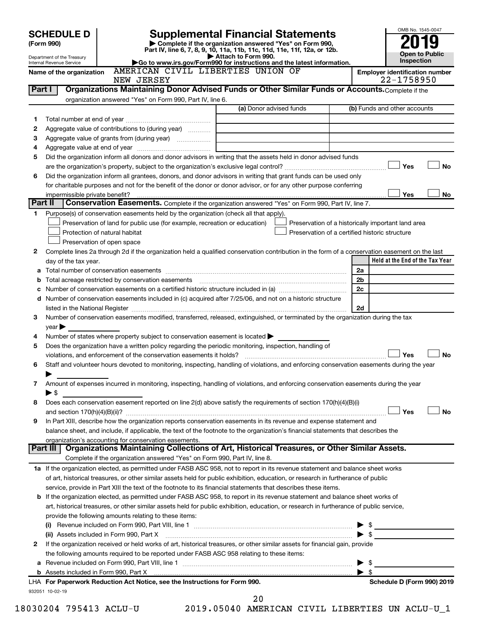|        | <b>SCHEDULE D</b><br>(Form 990)<br>Department of the Treasury<br>Internal Revenue Service         |                                                           | <b>Supplemental Financial Statements</b><br>Complete if the organization answered "Yes" on Form 990,<br>Part IV, line 6, 7, 8, 9, 10, 11a, 11b, 11c, 11d, 11e, 11f, 12a, or 12b.<br>Attach to Form 990.<br>Go to www.irs.gov/Form990 for instructions and the latest information. |                | OMB No. 1545-0047<br><b>Open to Public</b><br>Inspection |
|--------|---------------------------------------------------------------------------------------------------|-----------------------------------------------------------|-----------------------------------------------------------------------------------------------------------------------------------------------------------------------------------------------------------------------------------------------------------------------------------|----------------|----------------------------------------------------------|
|        | Name of the organization                                                                          | NEW JERSEY                                                | AMERICAN CIVIL LIBERTIES UNION OF                                                                                                                                                                                                                                                 |                | <b>Employer identification number</b><br>22-1758950      |
|        | Part I                                                                                            |                                                           | Organizations Maintaining Donor Advised Funds or Other Similar Funds or Accounts. Complete if the                                                                                                                                                                                 |                |                                                          |
|        |                                                                                                   | organization answered "Yes" on Form 990, Part IV, line 6. |                                                                                                                                                                                                                                                                                   |                |                                                          |
|        |                                                                                                   |                                                           | (a) Donor advised funds                                                                                                                                                                                                                                                           |                | (b) Funds and other accounts                             |
| 1      |                                                                                                   |                                                           |                                                                                                                                                                                                                                                                                   |                |                                                          |
| 2      | Aggregate value of contributions to (during year)                                                 |                                                           |                                                                                                                                                                                                                                                                                   |                |                                                          |
| З      |                                                                                                   |                                                           |                                                                                                                                                                                                                                                                                   |                |                                                          |
| 4      |                                                                                                   |                                                           |                                                                                                                                                                                                                                                                                   |                |                                                          |
| 5      |                                                                                                   |                                                           | Did the organization inform all donors and donor advisors in writing that the assets held in donor advised funds                                                                                                                                                                  |                |                                                          |
|        |                                                                                                   |                                                           |                                                                                                                                                                                                                                                                                   |                | Yes                                                      |
| 6      |                                                                                                   |                                                           | Did the organization inform all grantees, donors, and donor advisors in writing that grant funds can be used only                                                                                                                                                                 |                |                                                          |
|        |                                                                                                   |                                                           |                                                                                                                                                                                                                                                                                   |                |                                                          |
|        |                                                                                                   |                                                           | for charitable purposes and not for the benefit of the donor or donor advisor, or for any other purpose conferring                                                                                                                                                                |                |                                                          |
|        | impermissible private benefit?                                                                    |                                                           |                                                                                                                                                                                                                                                                                   |                | Yes                                                      |
|        | Part II                                                                                           |                                                           | Conservation Easements. Complete if the organization answered "Yes" on Form 990, Part IV, line 7.                                                                                                                                                                                 |                |                                                          |
| 1      | Purpose(s) of conservation easements held by the organization (check all that apply).             |                                                           |                                                                                                                                                                                                                                                                                   |                |                                                          |
|        | Preservation of land for public use (for example, recreation or education)                        |                                                           |                                                                                                                                                                                                                                                                                   |                | Preservation of a historically important land area       |
|        | Protection of natural habitat                                                                     |                                                           | Preservation of a certified historic structure                                                                                                                                                                                                                                    |                |                                                          |
|        | Preservation of open space                                                                        |                                                           |                                                                                                                                                                                                                                                                                   |                |                                                          |
| 2      |                                                                                                   |                                                           | Complete lines 2a through 2d if the organization held a qualified conservation contribution in the form of a conservation easement on the last                                                                                                                                    |                |                                                          |
|        | day of the tax year.                                                                              |                                                           |                                                                                                                                                                                                                                                                                   |                | Held at the End of the Tax Year                          |
| a      |                                                                                                   |                                                           |                                                                                                                                                                                                                                                                                   | 2a             |                                                          |
| b      |                                                                                                   |                                                           | Total acreage restricted by conservation easements [111] [12] material conservation conservation conservation of the set of the set of the set of the set of the set of the set of the set of the set of the set of the set of                                                    | 2 <sub>b</sub> |                                                          |
| c      |                                                                                                   |                                                           |                                                                                                                                                                                                                                                                                   | 2c             |                                                          |
|        |                                                                                                   |                                                           | d Number of conservation easements included in (c) acquired after 7/25/06, and not on a historic structure                                                                                                                                                                        |                |                                                          |
|        |                                                                                                   |                                                           |                                                                                                                                                                                                                                                                                   | 2d             |                                                          |
|        | $\mathsf{year}$                                                                                   |                                                           | Number of conservation easements modified, transferred, released, extinguished, or terminated by the organization during the tax                                                                                                                                                  |                |                                                          |
| 3<br>4 | Number of states where property subject to conservation easement is located $\blacktriangleright$ |                                                           |                                                                                                                                                                                                                                                                                   |                |                                                          |
| 5      |                                                                                                   |                                                           | Does the organization have a written policy regarding the periodic monitoring, inspection, handling of                                                                                                                                                                            |                |                                                          |
|        |                                                                                                   |                                                           | violations, and enforcement of the conservation easements it holds? [11] manufactions, and enforcement of the conservation easements it holds? [11] manufactions, and enforcement of the conservation easements it holds?                                                         |                | Yes                                                      |

| 8 | Does each conservation easement reported on line 2(d) above satisfy the requirements of section 170(h)(4) |                |
|---|-----------------------------------------------------------------------------------------------------------|----------------|
|   | and                                                                                                       | N <sub>c</sub> |

| organization's accounting for conservation easements.                                                                             |
|-----------------------------------------------------------------------------------------------------------------------------------|
|                                                                                                                                   |
| balance sheet, and include, if applicable, the text of the footnote to the organization's financial statements that describes the |
|                                                                                                                                   |
| 9 In Part XIII, describe how the organization reports conservation easements in its revenue and expense statement and             |

| <b>Part III</b>   Organizations Maintaining Collections of Art, Historical Treasures, or Other Similar Assets. |
|----------------------------------------------------------------------------------------------------------------|
| Complete if the organization answered "Yes" on Form 990, Part IV, line 8.                                      |

| 1a If the organization elected, as permitted under FASB ASC 958, not to report in its revenue statement and balance sheet works   |
|-----------------------------------------------------------------------------------------------------------------------------------|
| of art, historical treasures, or other similar assets held for public exhibition, education, or research in furtherance of public |
| service, provide in Part XIII the text of the footnote to its financial statements that describes these items.                    |

| <b>b</b> If the organization elected, as permitted under FASB ASC 958, to report in its revenue statement and balance sheet works of    |  |
|-----------------------------------------------------------------------------------------------------------------------------------------|--|
| art, historical treasures, or other similar assets held for public exhibition, education, or research in furtherance of public service, |  |
| provide the following amounts relating to these items:                                                                                  |  |
| $P\lambda$ . Decease to check of our Power 000, Dect VIII, the original                                                                 |  |

| a Revenue included on Form 990, Part VIII, line 1<br>$\blacktriangleright$ s                                                   |  |
|--------------------------------------------------------------------------------------------------------------------------------|--|
| the following amounts required to be reported under FASB ASC 958 relating to these items:                                      |  |
| 2 If the organization received or held works of art, historical treasures, or other similar assets for financial gain, provide |  |
| (ii) Assets included in Form 990, Part X [110] Marting and Martin Martin Martin Martin Martin Martin Martin Ma                 |  |
| Revenue included on Form 990, Part VIII, line 1<br>(i)                                                                         |  |

| <b>a</b> , Nobelo information in Form boot, Fare A                        |
|---------------------------------------------------------------------------|
| LHA For Paperwork Reduction Act Notice, see the Instructions for Form 990 |
| 932051 10-02-19                                                           |

**For Paperwork Reduction Act Notice, Schedule D (Form 990) 2019**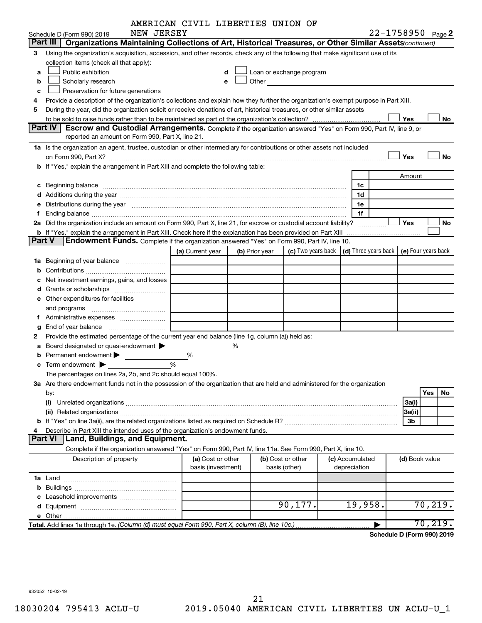|        |                                                                                                                                                                                                                                | AMERICAN CIVIL LIBERTIES UNION OF |   |                |                                                                                                                                                                                                                                |                 |                            |          |           |
|--------|--------------------------------------------------------------------------------------------------------------------------------------------------------------------------------------------------------------------------------|-----------------------------------|---|----------------|--------------------------------------------------------------------------------------------------------------------------------------------------------------------------------------------------------------------------------|-----------------|----------------------------|----------|-----------|
|        | NEW JERSEY<br>Schedule D (Form 990) 2019                                                                                                                                                                                       |                                   |   |                |                                                                                                                                                                                                                                |                 | 22-1758950 Page 2          |          |           |
|        | Part III   Organizations Maintaining Collections of Art, Historical Treasures, or Other Similar Assets (continued)                                                                                                             |                                   |   |                |                                                                                                                                                                                                                                |                 |                            |          |           |
| 3      | Using the organization's acquisition, accession, and other records, check any of the following that make significant use of its                                                                                                |                                   |   |                |                                                                                                                                                                                                                                |                 |                            |          |           |
|        | collection items (check all that apply):                                                                                                                                                                                       |                                   |   |                |                                                                                                                                                                                                                                |                 |                            |          |           |
| a      | Public exhibition                                                                                                                                                                                                              | d                                 |   |                | Loan or exchange program                                                                                                                                                                                                       |                 |                            |          |           |
| b      | Scholarly research                                                                                                                                                                                                             | e                                 |   |                | Other and the control of the control of the control of the control of the control of the control of the control of the control of the control of the control of the control of the control of the control of the control of th |                 |                            |          |           |
| c      | Preservation for future generations                                                                                                                                                                                            |                                   |   |                |                                                                                                                                                                                                                                |                 |                            |          |           |
| 4      | Provide a description of the organization's collections and explain how they further the organization's exempt purpose in Part XIII.                                                                                           |                                   |   |                |                                                                                                                                                                                                                                |                 |                            |          |           |
| 5      | During the year, did the organization solicit or receive donations of art, historical treasures, or other similar assets                                                                                                       |                                   |   |                |                                                                                                                                                                                                                                |                 |                            |          |           |
|        |                                                                                                                                                                                                                                |                                   |   |                |                                                                                                                                                                                                                                |                 | Yes                        |          | No        |
|        | <b>Part IV</b><br>Escrow and Custodial Arrangements. Complete if the organization answered "Yes" on Form 990, Part IV, line 9, or                                                                                              |                                   |   |                |                                                                                                                                                                                                                                |                 |                            |          |           |
|        | reported an amount on Form 990, Part X, line 21.                                                                                                                                                                               |                                   |   |                |                                                                                                                                                                                                                                |                 |                            |          |           |
|        | 1a Is the organization an agent, trustee, custodian or other intermediary for contributions or other assets not included                                                                                                       |                                   |   |                |                                                                                                                                                                                                                                |                 |                            |          |           |
|        |                                                                                                                                                                                                                                |                                   |   |                |                                                                                                                                                                                                                                |                 | Yes                        |          | <b>No</b> |
|        | b If "Yes," explain the arrangement in Part XIII and complete the following table:                                                                                                                                             |                                   |   |                |                                                                                                                                                                                                                                |                 |                            |          |           |
|        |                                                                                                                                                                                                                                |                                   |   |                |                                                                                                                                                                                                                                |                 | Amount                     |          |           |
| с      | Beginning balance measure contains and a state of the state of the state of the state of the state of the state of the state of the state of the state of the state of the state of the state of the state of the state of the |                                   |   |                |                                                                                                                                                                                                                                | 1c              |                            |          |           |
|        |                                                                                                                                                                                                                                |                                   |   |                |                                                                                                                                                                                                                                | 1d              |                            |          |           |
|        | Distributions during the year measurement contains and all the year measurement of the state of the state of the state of the state of the state of the state of the state of the state of the state of the state of the state |                                   |   |                |                                                                                                                                                                                                                                | 1е              |                            |          |           |
| f.     |                                                                                                                                                                                                                                |                                   |   |                |                                                                                                                                                                                                                                | 1f              |                            |          |           |
|        | 2a Did the organization include an amount on Form 990, Part X, line 21, for escrow or custodial account liability?                                                                                                             |                                   |   |                |                                                                                                                                                                                                                                |                 | Yes                        |          | No        |
|        | <b>b</b> If "Yes," explain the arrangement in Part XIII. Check here if the explanation has been provided on Part XIII                                                                                                          |                                   |   |                |                                                                                                                                                                                                                                |                 |                            |          |           |
| Part V | <b>Endowment Funds.</b> Complete if the organization answered "Yes" on Form 990, Part IV, line 10.                                                                                                                             |                                   |   |                |                                                                                                                                                                                                                                |                 |                            |          |           |
|        |                                                                                                                                                                                                                                | (a) Current year                  |   | (b) Prior year | (c) Two years back $\vert$ (d) Three years back $\vert$ (e) Four years back                                                                                                                                                    |                 |                            |          |           |
| 1a     | Beginning of year balance                                                                                                                                                                                                      |                                   |   |                |                                                                                                                                                                                                                                |                 |                            |          |           |
| b      |                                                                                                                                                                                                                                |                                   |   |                |                                                                                                                                                                                                                                |                 |                            |          |           |
|        | Net investment earnings, gains, and losses                                                                                                                                                                                     |                                   |   |                |                                                                                                                                                                                                                                |                 |                            |          |           |
| d      |                                                                                                                                                                                                                                |                                   |   |                |                                                                                                                                                                                                                                |                 |                            |          |           |
|        | e Other expenditures for facilities                                                                                                                                                                                            |                                   |   |                |                                                                                                                                                                                                                                |                 |                            |          |           |
|        | and programs                                                                                                                                                                                                                   |                                   |   |                |                                                                                                                                                                                                                                |                 |                            |          |           |
|        |                                                                                                                                                                                                                                |                                   |   |                |                                                                                                                                                                                                                                |                 |                            |          |           |
|        | End of year balance                                                                                                                                                                                                            |                                   |   |                |                                                                                                                                                                                                                                |                 |                            |          |           |
| 2      | Provide the estimated percentage of the current year end balance (line 1g, column (a)) held as:                                                                                                                                |                                   |   |                |                                                                                                                                                                                                                                |                 |                            |          |           |
|        | Board designated or quasi-endowment                                                                                                                                                                                            |                                   | % |                |                                                                                                                                                                                                                                |                 |                            |          |           |
|        | Permanent endowment                                                                                                                                                                                                            | %                                 |   |                |                                                                                                                                                                                                                                |                 |                            |          |           |
|        | c Term endowment $\blacktriangleright$                                                                                                                                                                                         | %                                 |   |                |                                                                                                                                                                                                                                |                 |                            |          |           |
|        | The percentages on lines 2a, 2b, and 2c should equal 100%.                                                                                                                                                                     |                                   |   |                |                                                                                                                                                                                                                                |                 |                            |          |           |
|        | 3a Are there endowment funds not in the possession of the organization that are held and administered for the organization                                                                                                     |                                   |   |                |                                                                                                                                                                                                                                |                 |                            |          |           |
|        | by:                                                                                                                                                                                                                            |                                   |   |                |                                                                                                                                                                                                                                |                 |                            | Yes      | No        |
|        |                                                                                                                                                                                                                                |                                   |   |                |                                                                                                                                                                                                                                |                 | 3a(i)                      |          |           |
|        |                                                                                                                                                                                                                                |                                   |   |                |                                                                                                                                                                                                                                |                 | 3a(ii)                     |          |           |
|        |                                                                                                                                                                                                                                |                                   |   |                |                                                                                                                                                                                                                                |                 | 3b                         |          |           |
|        | Describe in Part XIII the intended uses of the organization's endowment funds.                                                                                                                                                 |                                   |   |                |                                                                                                                                                                                                                                |                 |                            |          |           |
|        | Land, Buildings, and Equipment.<br><b>Part VI</b>                                                                                                                                                                              |                                   |   |                |                                                                                                                                                                                                                                |                 |                            |          |           |
|        | Complete if the organization answered "Yes" on Form 990, Part IV, line 11a. See Form 990, Part X, line 10.                                                                                                                     |                                   |   |                |                                                                                                                                                                                                                                |                 |                            |          |           |
|        | Description of property                                                                                                                                                                                                        | (a) Cost or other                 |   |                | (b) Cost or other                                                                                                                                                                                                              | (c) Accumulated | (d) Book value             |          |           |
|        |                                                                                                                                                                                                                                | basis (investment)                |   |                | basis (other)                                                                                                                                                                                                                  | depreciation    |                            |          |           |
|        |                                                                                                                                                                                                                                |                                   |   |                |                                                                                                                                                                                                                                |                 |                            |          |           |
| b      |                                                                                                                                                                                                                                |                                   |   |                |                                                                                                                                                                                                                                |                 |                            |          |           |
|        |                                                                                                                                                                                                                                |                                   |   |                |                                                                                                                                                                                                                                |                 |                            |          |           |
|        |                                                                                                                                                                                                                                |                                   |   |                | 90, 177.                                                                                                                                                                                                                       | 19,958.         |                            | 70, 219. |           |
|        |                                                                                                                                                                                                                                |                                   |   |                |                                                                                                                                                                                                                                |                 |                            |          |           |
|        | Total. Add lines 1a through 1e. (Column (d) must equal Form 990, Part X, column (B), line 10c.)                                                                                                                                |                                   |   |                |                                                                                                                                                                                                                                |                 |                            | 70, 219. |           |
|        |                                                                                                                                                                                                                                |                                   |   |                |                                                                                                                                                                                                                                |                 | Schedule D (Form 990) 2019 |          |           |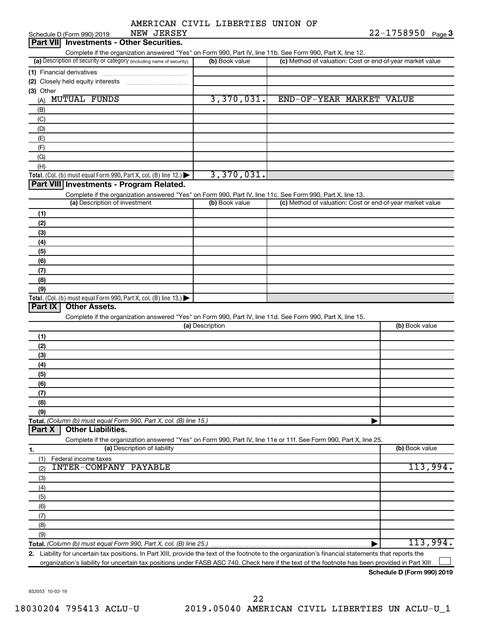|  | AMERICAN CIVIL LIBERTIES UNION OF |  |
|--|-----------------------------------|--|
|  |                                   |  |

| NEW JERSEY<br>Schedule D (Form 990) 2019                                                                                                             |                 | 22-1758950<br>Page 3                                      |
|------------------------------------------------------------------------------------------------------------------------------------------------------|-----------------|-----------------------------------------------------------|
| <b>Investments - Other Securities.</b><br><b>Part VIII</b>                                                                                           |                 |                                                           |
| Complete if the organization answered "Yes" on Form 990, Part IV, line 11b. See Form 990, Part X, line 12.                                           |                 |                                                           |
| (a) Description of security or category (including name of security)                                                                                 | (b) Book value  | (c) Method of valuation: Cost or end-of-year market value |
| (1) Financial derivatives                                                                                                                            |                 |                                                           |
| (2) Closely held equity interests                                                                                                                    |                 |                                                           |
| (3) Other                                                                                                                                            |                 |                                                           |
| <b>MUTUAL FUNDS</b><br>(A)                                                                                                                           | 3,370,031.      | END-OF-YEAR MARKET VALUE                                  |
| (B)                                                                                                                                                  |                 |                                                           |
| (C)                                                                                                                                                  |                 |                                                           |
| (D)                                                                                                                                                  |                 |                                                           |
| (E)                                                                                                                                                  |                 |                                                           |
| (F)                                                                                                                                                  |                 |                                                           |
| (G)                                                                                                                                                  |                 |                                                           |
| (H)                                                                                                                                                  |                 |                                                           |
| Total. (Col. (b) must equal Form 990, Part X, col. (B) line 12.)                                                                                     | 3,370,031.      |                                                           |
| Part VIII Investments - Program Related.                                                                                                             |                 |                                                           |
| Complete if the organization answered "Yes" on Form 990, Part IV, line 11c. See Form 990, Part X, line 13.                                           |                 |                                                           |
| (a) Description of investment                                                                                                                        | (b) Book value  | (c) Method of valuation: Cost or end-of-year market value |
| (1)                                                                                                                                                  |                 |                                                           |
| (2)                                                                                                                                                  |                 |                                                           |
| (3)                                                                                                                                                  |                 |                                                           |
| (4)                                                                                                                                                  |                 |                                                           |
| (5)                                                                                                                                                  |                 |                                                           |
| (6)                                                                                                                                                  |                 |                                                           |
| (7)                                                                                                                                                  |                 |                                                           |
| (8)                                                                                                                                                  |                 |                                                           |
| (9)                                                                                                                                                  |                 |                                                           |
| Total. (Col. (b) must equal Form 990, Part X, col. (B) line 13.) $\blacktriangleright$                                                               |                 |                                                           |
| Part IX<br><b>Other Assets.</b>                                                                                                                      |                 |                                                           |
| Complete if the organization answered "Yes" on Form 990, Part IV, line 11d. See Form 990, Part X, line 15.                                           |                 |                                                           |
|                                                                                                                                                      | (a) Description | (b) Book value                                            |
| (1)                                                                                                                                                  |                 |                                                           |
| (2)                                                                                                                                                  |                 |                                                           |
| (3)                                                                                                                                                  |                 |                                                           |
| (4)                                                                                                                                                  |                 |                                                           |
| (5)                                                                                                                                                  |                 |                                                           |
| (6)                                                                                                                                                  |                 |                                                           |
| (7)                                                                                                                                                  |                 |                                                           |
| (8)                                                                                                                                                  |                 |                                                           |
| (9)                                                                                                                                                  |                 |                                                           |
| Total. (Column (b) must equal Form 990, Part X, col. (B) line 15.).                                                                                  |                 |                                                           |
| <b>Other Liabilities.</b><br>Part X                                                                                                                  |                 |                                                           |
| Complete if the organization answered "Yes" on Form 990, Part IV, line 11e or 11f. See Form 990, Part X, line 25.                                    |                 |                                                           |
| (a) Description of liability<br>1.                                                                                                                   |                 | (b) Book value                                            |
| Federal income taxes<br>(1)                                                                                                                          |                 |                                                           |
| <b>INTER-COMPANY PAYABLE</b><br>(2)                                                                                                                  |                 | 113,994.                                                  |
| (3)                                                                                                                                                  |                 |                                                           |
| (4)                                                                                                                                                  |                 |                                                           |
| (5)                                                                                                                                                  |                 |                                                           |
| (6)                                                                                                                                                  |                 |                                                           |
| (7)                                                                                                                                                  |                 |                                                           |
| (8)                                                                                                                                                  |                 |                                                           |
| (9)                                                                                                                                                  |                 |                                                           |
|                                                                                                                                                      |                 | 113,994.                                                  |
| 2. Liability for uncertain tax positions. In Part XIII, provide the text of the footnote to the organization's financial statements that reports the |                 |                                                           |
|                                                                                                                                                      |                 |                                                           |

organization's liability for uncertain tax positions under FASB ASC 740. Check here if the text of the footnote has been provided in Part XIII...

**Schedule D (Form 990) 2019**

932053 10-02-19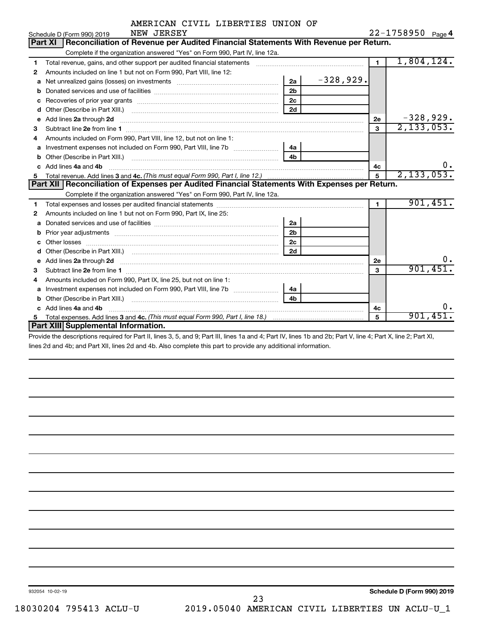|  | AMERICAN CIVIL LIBERTIES UNION OF |  |
|--|-----------------------------------|--|
|  |                                   |  |

|    | NEW JERSEY<br>Schedule D (Form 990) 2019                                                                                                                                                                                             |                |             |                | 22-1758950<br>Page 4 |
|----|--------------------------------------------------------------------------------------------------------------------------------------------------------------------------------------------------------------------------------------|----------------|-------------|----------------|----------------------|
|    | Reconciliation of Revenue per Audited Financial Statements With Revenue per Return.<br><b>Part XI</b>                                                                                                                                |                |             |                |                      |
|    | Complete if the organization answered "Yes" on Form 990, Part IV, line 12a.                                                                                                                                                          |                |             |                |                      |
| 1  | Total revenue, gains, and other support per audited financial statements                                                                                                                                                             |                |             | $\mathbf{1}$   | 1,804,124.           |
| 2  | Amounts included on line 1 but not on Form 990, Part VIII, line 12:                                                                                                                                                                  |                |             |                |                      |
| a  | Net unrealized gains (losses) on investments [111] [12] matter and all the unrealized gains (losses) on investments                                                                                                                  | 2a             | $-328,929.$ |                |                      |
|    |                                                                                                                                                                                                                                      | 2 <sub>b</sub> |             |                |                      |
| c  |                                                                                                                                                                                                                                      | 2c             |             |                |                      |
| d  |                                                                                                                                                                                                                                      | 2d             |             |                |                      |
| e  | Add lines 2a through 2d                                                                                                                                                                                                              |                |             | 2е             | $-328,929.$          |
| 3  |                                                                                                                                                                                                                                      |                |             | 3              | 2, 133, 053.         |
| 4  | Amounts included on Form 990. Part VIII. line 12, but not on line 1:                                                                                                                                                                 |                |             |                |                      |
|    |                                                                                                                                                                                                                                      | 4a             |             |                |                      |
| b  |                                                                                                                                                                                                                                      | 4 <sub>b</sub> |             |                |                      |
| C. | Add lines 4a and 4b                                                                                                                                                                                                                  |                |             | 4с             | ο.                   |
|    |                                                                                                                                                                                                                                      |                |             | 5              | 2, 133, 053.         |
|    | Part XII Reconciliation of Expenses per Audited Financial Statements With Expenses per Return.                                                                                                                                       |                |             |                |                      |
|    | Complete if the organization answered "Yes" on Form 990, Part IV, line 12a.                                                                                                                                                          |                |             |                |                      |
| 1  |                                                                                                                                                                                                                                      |                |             | $\blacksquare$ | 901,451.             |
| 2  | Amounts included on line 1 but not on Form 990, Part IX, line 25:                                                                                                                                                                    |                |             |                |                      |
| a  |                                                                                                                                                                                                                                      |                |             |                |                      |
|    |                                                                                                                                                                                                                                      | 2a             |             |                |                      |
| b  |                                                                                                                                                                                                                                      | 2 <sub>b</sub> |             |                |                      |
|    |                                                                                                                                                                                                                                      | 2c             |             |                |                      |
| d  |                                                                                                                                                                                                                                      | 2d             |             |                |                      |
| e  | Add lines 2a through 2d <b>continuum continuum contract and all the contract of the contract of the contract of the contract of the contract of the contract of the contract of the contract of the contract of the contract of </b> |                |             | 2e             | υ.                   |
| з  |                                                                                                                                                                                                                                      |                |             | 3              | 901,451.             |
| 4  | Amounts included on Form 990, Part IX, line 25, but not on line 1:                                                                                                                                                                   |                |             |                |                      |
| a  |                                                                                                                                                                                                                                      | 4a             |             |                |                      |
| b  | Other (Describe in Part XIII.)                                                                                                                                                                                                       | 4 <sub>h</sub> |             |                |                      |
| c  | Add lines 4a and 4b                                                                                                                                                                                                                  |                |             | 4c             | 0.                   |
|    | <b>Part XIII Supplemental Information.</b>                                                                                                                                                                                           |                |             | 5              | 901,451.             |

Provide the descriptions required for Part II, lines 3, 5, and 9; Part III, lines 1a and 4; Part IV, lines 1b and 2b; Part V, line 4; Part X, line 2; Part XI, lines 2d and 4b; and Part XII, lines 2d and 4b. Also complete this part to provide any additional information.

932054 10-02-19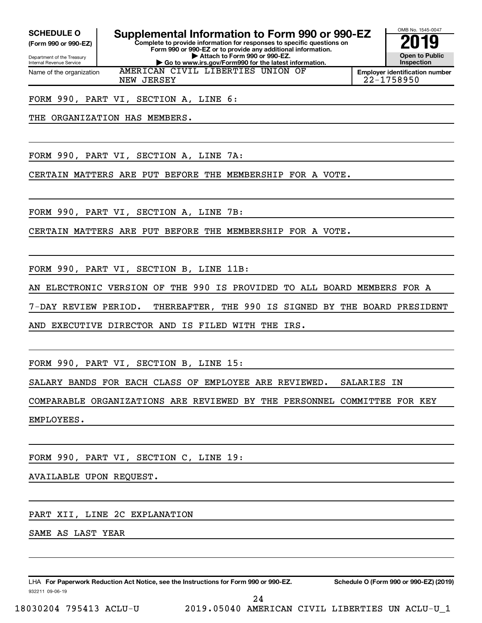**(Form 990 or 990-EZ)**

Department of the Treasury Internal Revenue Service Name of the organization

**Complete to provide information for responses to specific questions on SCHEDULE O Supplemental Information to Form 990 or 990-EZ 2019** 

**Form 990 or 990-EZ or to provide any additional information. | Attach to Form 990 or 990-EZ. | Go to www.irs.gov/Form990 for the latest information.** AMERICAN CIVIL LIBERTIES UNION OF



**Employer identification number** NEW JERSEY 22-1758950

FORM 990, PART VI, SECTION A, LINE 6:

THE ORGANIZATION HAS MEMBERS.

FORM 990, PART VI, SECTION A, LINE 7A:

CERTAIN MATTERS ARE PUT BEFORE THE MEMBERSHIP FOR A VOTE.

FORM 990, PART VI, SECTION A, LINE 7B:

CERTAIN MATTERS ARE PUT BEFORE THE MEMBERSHIP FOR A VOTE.

FORM 990, PART VI, SECTION B, LINE 11B:

AN ELECTRONIC VERSION OF THE 990 IS PROVIDED TO ALL BOARD MEMBERS FOR A

7-DAY REVIEW PERIOD. THEREAFTER, THE 990 IS SIGNED BY THE BOARD PRESIDENT

AND EXECUTIVE DIRECTOR AND IS FILED WITH THE IRS.

FORM 990, PART VI, SECTION B, LINE 15:

SALARY BANDS FOR EACH CLASS OF EMPLOYEE ARE REVIEWED. SALARIES IN

COMPARABLE ORGANIZATIONS ARE REVIEWED BY THE PERSONNEL COMMITTEE FOR KEY

EMPLOYEES.

FORM 990, PART VI, SECTION C, LINE 19:

AVAILABLE UPON REQUEST.

PART XII, LINE 2C EXPLANATION

SAME AS LAST YEAR

932211 09-06-19 LHA For Paperwork Reduction Act Notice, see the Instructions for Form 990 or 990-EZ. Schedule O (Form 990 or 990-EZ) (2019)

24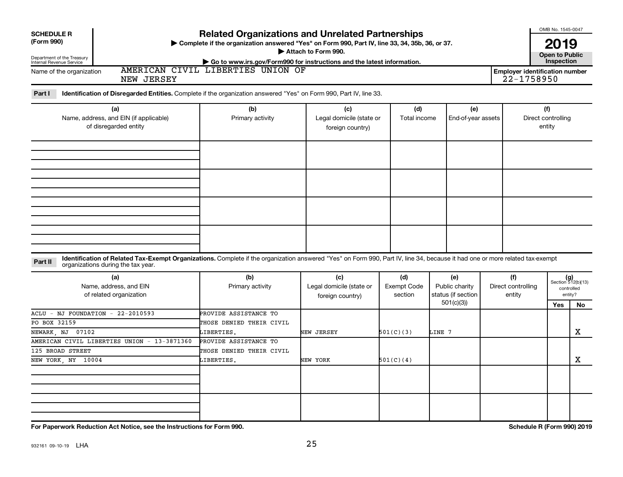| <b>SCHEDULE R</b>                                                                                                                                                                       | <b>Related Organizations and Unrelated Partnerships</b>                                                     |                                              |                               |                                      |  |                                       | OMB No. 1545-0047            |                             |
|-----------------------------------------------------------------------------------------------------------------------------------------------------------------------------------------|-------------------------------------------------------------------------------------------------------------|----------------------------------------------|-------------------------------|--------------------------------------|--|---------------------------------------|------------------------------|-----------------------------|
| (Form 990)                                                                                                                                                                              | > Complete if the organization answered "Yes" on Form 990, Part IV, line 33, 34, 35b, 36, or 37.            |                                              |                               |                                      |  |                                       |                              |                             |
| Department of the Treasury                                                                                                                                                              |                                                                                                             | Attach to Form 990.                          |                               |                                      |  |                                       | <b>Open to Public</b>        |                             |
| Internal Revenue Service                                                                                                                                                                | Go to www.irs.gov/Form990 for instructions and the latest information.<br>AMERICAN CIVIL LIBERTIES UNION OF |                                              |                               |                                      |  | <b>Employer identification number</b> | Inspection                   |                             |
| Name of the organization<br>NEW JERSEY                                                                                                                                                  |                                                                                                             |                                              |                               |                                      |  | 22-1758950                            |                              |                             |
| Identification of Disregarded Entities. Complete if the organization answered "Yes" on Form 990, Part IV, line 33.<br>Part I                                                            |                                                                                                             |                                              |                               |                                      |  |                                       |                              |                             |
|                                                                                                                                                                                         |                                                                                                             |                                              |                               |                                      |  |                                       |                              |                             |
| (a)                                                                                                                                                                                     | (b)                                                                                                         | (c)                                          | (d)                           | (e)                                  |  |                                       | (f)                          |                             |
| Name, address, and EIN (if applicable)<br>of disregarded entity                                                                                                                         | Primary activity                                                                                            | Legal domicile (state or                     | Total income                  | End-of-year assets                   |  |                                       | Direct controlling<br>entity |                             |
|                                                                                                                                                                                         |                                                                                                             | foreign country)                             |                               |                                      |  |                                       |                              |                             |
|                                                                                                                                                                                         |                                                                                                             |                                              |                               |                                      |  |                                       |                              |                             |
|                                                                                                                                                                                         |                                                                                                             |                                              |                               |                                      |  |                                       |                              |                             |
|                                                                                                                                                                                         |                                                                                                             |                                              |                               |                                      |  |                                       |                              |                             |
|                                                                                                                                                                                         |                                                                                                             |                                              |                               |                                      |  |                                       |                              |                             |
|                                                                                                                                                                                         |                                                                                                             |                                              |                               |                                      |  |                                       |                              |                             |
|                                                                                                                                                                                         |                                                                                                             |                                              |                               |                                      |  |                                       |                              |                             |
|                                                                                                                                                                                         |                                                                                                             |                                              |                               |                                      |  |                                       |                              |                             |
|                                                                                                                                                                                         |                                                                                                             |                                              |                               |                                      |  |                                       |                              |                             |
|                                                                                                                                                                                         |                                                                                                             |                                              |                               |                                      |  |                                       |                              |                             |
|                                                                                                                                                                                         |                                                                                                             |                                              |                               |                                      |  |                                       |                              |                             |
|                                                                                                                                                                                         |                                                                                                             |                                              |                               |                                      |  |                                       |                              |                             |
| Identification of Related Tax-Exempt Organizations. Complete if the organization answered "Yes" on Form 990, Part IV, line 34, because it had one or more related tax-exempt<br>Part II |                                                                                                             |                                              |                               |                                      |  |                                       |                              |                             |
| organizations during the tax year.                                                                                                                                                      |                                                                                                             |                                              |                               |                                      |  |                                       |                              |                             |
| (a)                                                                                                                                                                                     | (b)                                                                                                         | (c)                                          | (d)                           | (e)                                  |  | (f)                                   |                              | $(g)$<br>Section 512(b)(13) |
| Name, address, and EIN<br>of related organization                                                                                                                                       | Primary activity                                                                                            | Legal domicile (state or<br>foreign country) | <b>Exempt Code</b><br>section | Public charity<br>status (if section |  | Direct controlling<br>entity          |                              | controlled<br>entity?       |
|                                                                                                                                                                                         |                                                                                                             |                                              |                               | 501(c)(3)                            |  |                                       | <b>Yes</b>                   | No                          |
| ACLU<br>$-$ NJ FOUNDATION $-$ 22-2010593                                                                                                                                                | PROVIDE ASSISTANCE TO                                                                                       |                                              |                               |                                      |  |                                       |                              |                             |
| PO BOX 32159                                                                                                                                                                            | THOSE DENIED THEIR CIVIL                                                                                    |                                              |                               |                                      |  |                                       |                              |                             |
| NEWARK, NJ 07102                                                                                                                                                                        | LIBERTIES.                                                                                                  | NEW JERSEY                                   | 501(C)(3)                     | LINE 7                               |  |                                       |                              | $\mathbf X$                 |
| AMERICAN CIVIL LIBERTIES UNION - 13-3871360                                                                                                                                             | PROVIDE ASSISTANCE TO                                                                                       |                                              |                               |                                      |  |                                       |                              |                             |
| 125 BROAD STREET                                                                                                                                                                        | THOSE DENIED THEIR CIVIL                                                                                    |                                              |                               |                                      |  |                                       |                              |                             |
| NEW YORK, NY 10004                                                                                                                                                                      | LIBERTIES.                                                                                                  | NEW YORK                                     | 501(C)(4)                     |                                      |  |                                       |                              | x                           |
|                                                                                                                                                                                         |                                                                                                             |                                              |                               |                                      |  |                                       |                              |                             |
|                                                                                                                                                                                         |                                                                                                             |                                              |                               |                                      |  |                                       |                              |                             |
|                                                                                                                                                                                         |                                                                                                             |                                              |                               |                                      |  |                                       |                              |                             |
|                                                                                                                                                                                         |                                                                                                             |                                              |                               |                                      |  |                                       |                              |                             |
|                                                                                                                                                                                         |                                                                                                             |                                              |                               |                                      |  |                                       |                              |                             |

**For Paperwork Reduction Act Notice, see the Instructions for Form 990. Schedule R (Form 990) 2019**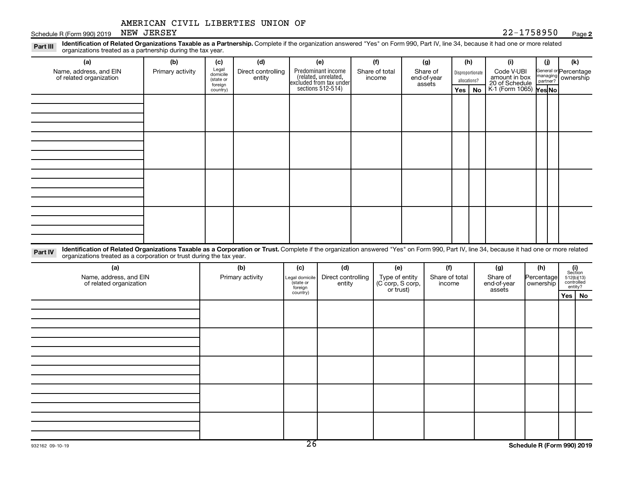Schedule R (Form 990) 2019 NEW JERSEY Page 22-1758950 Page

#### **2**

Legal General or Part III Identification of Related Organizations Taxable as a Partnership. Complete if the organization answered "Yes" on Form 990, Part IV, line 34, because it had one or more related<br>Read to the organizations tracted as **(a) (b) (c) (d) (e) (f) (g) (h) (i) (j) (k)** organizations treated as a partnership during the tax year.

| Name, address, and EIN<br>of related organization | Primary activity | Legal<br>domicile<br>(state or<br>foreign | Direct controlling<br>entity | Predominant income<br>related, unrelated,<br>excluded from tax under<br>sections 512-514) | Share of total<br>income | Share of<br>end-of-year<br>assets | allocations? | Disproportionate | Code V-UBI<br>amount in box<br>20 of Schedule<br>K-1 (Form 1065) <b>Yes No</b> |  | General or Percentage<br>managing<br>partner? |  |  |  |  |  |  |  |  |  |  |  |  |  |  |  |  |  |  |  |
|---------------------------------------------------|------------------|-------------------------------------------|------------------------------|-------------------------------------------------------------------------------------------|--------------------------|-----------------------------------|--------------|------------------|--------------------------------------------------------------------------------|--|-----------------------------------------------|--|--|--|--|--|--|--|--|--|--|--|--|--|--|--|--|--|--|--|
|                                                   |                  | country)                                  |                              |                                                                                           |                          |                                   | $Yes \mid$   | No               |                                                                                |  |                                               |  |  |  |  |  |  |  |  |  |  |  |  |  |  |  |  |  |  |  |
|                                                   |                  |                                           |                              |                                                                                           |                          |                                   |              |                  |                                                                                |  |                                               |  |  |  |  |  |  |  |  |  |  |  |  |  |  |  |  |  |  |  |
|                                                   |                  |                                           |                              |                                                                                           |                          |                                   |              |                  |                                                                                |  |                                               |  |  |  |  |  |  |  |  |  |  |  |  |  |  |  |  |  |  |  |
|                                                   |                  |                                           |                              |                                                                                           |                          |                                   |              |                  |                                                                                |  |                                               |  |  |  |  |  |  |  |  |  |  |  |  |  |  |  |  |  |  |  |
|                                                   |                  |                                           |                              |                                                                                           |                          |                                   |              |                  |                                                                                |  |                                               |  |  |  |  |  |  |  |  |  |  |  |  |  |  |  |  |  |  |  |
|                                                   |                  |                                           |                              |                                                                                           |                          |                                   |              |                  |                                                                                |  |                                               |  |  |  |  |  |  |  |  |  |  |  |  |  |  |  |  |  |  |  |
|                                                   |                  |                                           |                              |                                                                                           |                          |                                   |              |                  |                                                                                |  |                                               |  |  |  |  |  |  |  |  |  |  |  |  |  |  |  |  |  |  |  |
|                                                   |                  |                                           |                              |                                                                                           |                          |                                   |              |                  |                                                                                |  |                                               |  |  |  |  |  |  |  |  |  |  |  |  |  |  |  |  |  |  |  |
|                                                   |                  |                                           |                              |                                                                                           |                          |                                   |              |                  |                                                                                |  |                                               |  |  |  |  |  |  |  |  |  |  |  |  |  |  |  |  |  |  |  |
|                                                   |                  |                                           |                              |                                                                                           |                          |                                   |              |                  |                                                                                |  |                                               |  |  |  |  |  |  |  |  |  |  |  |  |  |  |  |  |  |  |  |
|                                                   |                  |                                           |                              |                                                                                           |                          |                                   |              |                  |                                                                                |  |                                               |  |  |  |  |  |  |  |  |  |  |  |  |  |  |  |  |  |  |  |
|                                                   |                  |                                           |                              |                                                                                           |                          |                                   |              |                  |                                                                                |  |                                               |  |  |  |  |  |  |  |  |  |  |  |  |  |  |  |  |  |  |  |
|                                                   |                  |                                           |                              |                                                                                           |                          |                                   |              |                  |                                                                                |  |                                               |  |  |  |  |  |  |  |  |  |  |  |  |  |  |  |  |  |  |  |
|                                                   |                  |                                           |                              |                                                                                           |                          |                                   |              |                  |                                                                                |  |                                               |  |  |  |  |  |  |  |  |  |  |  |  |  |  |  |  |  |  |  |
|                                                   |                  |                                           |                              |                                                                                           |                          |                                   |              |                  |                                                                                |  |                                               |  |  |  |  |  |  |  |  |  |  |  |  |  |  |  |  |  |  |  |
|                                                   |                  |                                           |                              |                                                                                           |                          |                                   |              |                  |                                                                                |  |                                               |  |  |  |  |  |  |  |  |  |  |  |  |  |  |  |  |  |  |  |
|                                                   |                  |                                           |                              |                                                                                           |                          |                                   |              |                  |                                                                                |  |                                               |  |  |  |  |  |  |  |  |  |  |  |  |  |  |  |  |  |  |  |

Part IV Identification of Related Organizations Taxable as a Corporation or Trust. Complete if the organization answered "Yes" on Form 990, Part IV, line 34, because it had one or more related organizations treated as a corporation or trust during the tax year.

| (a)<br>Name, address, and EIN<br>of related organization | (b)<br>Primary activity | (c)<br>Legal domicile<br>state or<br>foreign | (d)<br>Direct controlling<br>entity | (e)<br>Type of entity<br>(C corp, S corp,<br>or trust) | (f)<br>Share of total<br>income | (g)<br>Share of<br>end-of-year<br>assets | (h)<br>Percentage<br>  ownership | $\begin{array}{c} \textbf{(i)}\\ \text{Section}\\ 512 \text{(b)} \text{(13)}\\ \text{controlled} \\ \text{entity?} \end{array}$ |
|----------------------------------------------------------|-------------------------|----------------------------------------------|-------------------------------------|--------------------------------------------------------|---------------------------------|------------------------------------------|----------------------------------|---------------------------------------------------------------------------------------------------------------------------------|
|                                                          |                         | country)                                     |                                     |                                                        |                                 |                                          |                                  | Yes   No                                                                                                                        |
|                                                          |                         |                                              |                                     |                                                        |                                 |                                          |                                  |                                                                                                                                 |
|                                                          |                         |                                              |                                     |                                                        |                                 |                                          |                                  |                                                                                                                                 |
|                                                          |                         |                                              |                                     |                                                        |                                 |                                          |                                  |                                                                                                                                 |
|                                                          |                         |                                              |                                     |                                                        |                                 |                                          |                                  |                                                                                                                                 |
|                                                          |                         |                                              |                                     |                                                        |                                 |                                          |                                  |                                                                                                                                 |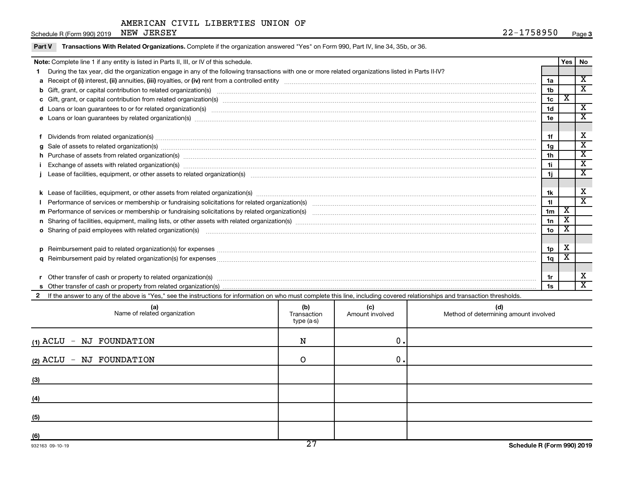Schedule R (Form 990)  $2019$  NEW JERSEY

 $\overline{\phantom{0}}$ 

|        | $30160061111011133072013$ $21211$                                                                                                                                                                                              |                |   | ⊤ ay∈ J                     |  |  |  |  |
|--------|--------------------------------------------------------------------------------------------------------------------------------------------------------------------------------------------------------------------------------|----------------|---|-----------------------------|--|--|--|--|
| Part V | Transactions With Related Organizations. Complete if the organization answered "Yes" on Form 990, Part IV, line 34, 35b, or 36.                                                                                                |                |   |                             |  |  |  |  |
|        | Note: Complete line 1 if any entity is listed in Parts II, III, or IV of this schedule.                                                                                                                                        |                |   |                             |  |  |  |  |
|        | During the tax year, did the organization engage in any of the following transactions with one or more related organizations listed in Parts II-IV?                                                                            |                |   |                             |  |  |  |  |
|        |                                                                                                                                                                                                                                | 1a             |   | $\mathbf x$                 |  |  |  |  |
|        | b Gift, grant, or capital contribution to related organization(s) manufaction contains and content to capital contribution to related organization(s) manufaction contains and contribution to related organization(s) manufac | 1 <sub>b</sub> |   | $\overline{\textnormal{x}}$ |  |  |  |  |
|        |                                                                                                                                                                                                                                | 1 <sub>c</sub> | x |                             |  |  |  |  |
|        | d Loans or loan guarantees to or for related organization(s) mature content to the content of the content of the content of the content of the content of the content of the content of the content of the content of the cont | 1 <sub>d</sub> |   | $\overline{\textbf{x}}$     |  |  |  |  |
|        | e Loans or loan guarantees by related organization(s) material contents and content to content the content of the content of the content of the content of the content of the content of the content of the content of the con | 1e             |   | $\overline{\textnormal{x}}$ |  |  |  |  |
|        |                                                                                                                                                                                                                                |                |   |                             |  |  |  |  |
|        | f Dividends from related organization(s) manufactured contains and contains and contains a series of the contains and contains a series of the contains and contains a series of the contains and contains a series of the con | 1f             |   | х                           |  |  |  |  |
|        | g Sale of assets to related organization(s) material content and content to the content of the content of the content of the content of the content of the content of the content of the content of the content of the content | 1 <sub>g</sub> |   | $\overline{\textbf{x}}$     |  |  |  |  |
|        | h Purchase of assets from related organization(s) manufactured manufactured manufactured manufactured manufactured manufactured manufactured manufactured manufactured manufactured manufactured manufactured manufactured man | 1 <sub>h</sub> |   | X                           |  |  |  |  |
|        | Exchange of assets with related organization(s) www.wallen.com/www.wallen.com/www.wallen.com/www.wallen.com/www.wallen.com/www.wallen.com/www.wallen.com/www.wallen.com/www.wallen.com/www.wallen.com/www.wallen.com/www.walle | 11             |   | $\mathbf x$                 |  |  |  |  |
|        |                                                                                                                                                                                                                                | 1j             |   | $\mathbf x$                 |  |  |  |  |
|        |                                                                                                                                                                                                                                |                |   |                             |  |  |  |  |
|        |                                                                                                                                                                                                                                | 1k             |   | х                           |  |  |  |  |
|        |                                                                                                                                                                                                                                | 11             |   | $\overline{\mathbf{x}}$     |  |  |  |  |
|        |                                                                                                                                                                                                                                | 1 <sub>m</sub> | х |                             |  |  |  |  |
|        |                                                                                                                                                                                                                                | 1n             | Χ |                             |  |  |  |  |
|        | o Sharing of paid employees with related organization(s) manufaction(s) and contain an example and contained an example and contained and contained and stated organization(s) manufactured and contained and contained and co | 1 <sub>o</sub> | х |                             |  |  |  |  |
|        |                                                                                                                                                                                                                                |                |   |                             |  |  |  |  |
|        |                                                                                                                                                                                                                                | 1p             | X |                             |  |  |  |  |
|        |                                                                                                                                                                                                                                | 1q             | X |                             |  |  |  |  |
|        |                                                                                                                                                                                                                                |                |   |                             |  |  |  |  |
|        |                                                                                                                                                                                                                                | 1r             |   | х                           |  |  |  |  |
|        |                                                                                                                                                                                                                                | 1s             |   | $\overline{\texttt{x}}$     |  |  |  |  |

2 If the answer to any of the above is "Yes," see the instructions for information on who must complete this line, including covered relationships and transaction thresholds.

| (a)<br>Name of related organization | (b)<br>Transaction<br>type (a-s) | (c)<br>Amount involved | (d)<br>Method of determining amount involved |
|-------------------------------------|----------------------------------|------------------------|----------------------------------------------|
| - NJ FOUNDATION<br>(1) ACLU         | N                                | 0.                     |                                              |
| - NJ FOUNDATION<br>(2) ACLU         | ∩                                | 0.                     |                                              |
| (3)                                 |                                  |                        |                                              |
| (4)                                 |                                  |                        |                                              |
| (5)                                 |                                  |                        |                                              |
| (6)                                 | $\overline{\phantom{a}}$         |                        |                                              |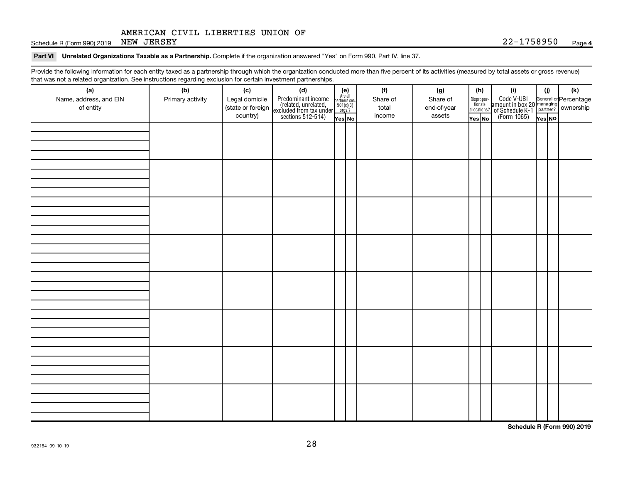Schedule R (Form 990) 2019 NEW JERSEY Page 22-1758950 Page

#### Part VI Unrelated Organizations Taxable as a Partnership. Complete if the organization answered "Yes" on Form 990, Part IV, line 37.

Provide the following information for each entity taxed as a partnership through which the organization conducted more than five percent of its activities (measured by total assets or gross revenue) that was not a related organization. See instructions regarding exclusion for certain investment partnerships.

| that was not a related erganization. Occupations regarding exclusion for cortain investment partnerships.<br>(a) | (b)              | (c)                           |                                                                                                                                                                                                                                                                                                                           |  | (f)             | (g)                   | (h)                   |              | (i)                                                                                                | (i)    |  | $(\mathsf{k})$ |  |
|------------------------------------------------------------------------------------------------------------------|------------------|-------------------------------|---------------------------------------------------------------------------------------------------------------------------------------------------------------------------------------------------------------------------------------------------------------------------------------------------------------------------|--|-----------------|-----------------------|-----------------------|--------------|----------------------------------------------------------------------------------------------------|--------|--|----------------|--|
| Name, address, and EIN                                                                                           | Primary activity | Legal domicile                | (d)<br>Predominant income<br>(related, unrelated, $\begin{array}{ l l }\n\hline\n\text{Areal} & \text{Areaall} \\ \text{(related, unrelated, unrelated, 501(c)(3))} \\ \hline\n\text{excluded from tax under} & \frac{501(c)(3)}{1008.2}\n\hline\n\text{Xes} & \text{N-} & \text{Yes} & \text{N-} \\ \hline\n\end{array}$ |  | Share of        | Share of              | Dispropor-<br>tionate |              | Code V-UBI<br>amount in box 20 managing<br>of Schedule K-1<br>(Form 1065)<br>$\overline{V}$ ves No |        |  |                |  |
| of entity                                                                                                        |                  | (state or foreign<br>country) |                                                                                                                                                                                                                                                                                                                           |  | total<br>income | end-of-year<br>assets | Yes No                | allocations? |                                                                                                    |        |  |                |  |
|                                                                                                                  |                  |                               |                                                                                                                                                                                                                                                                                                                           |  |                 |                       |                       |              |                                                                                                    | Yes No |  |                |  |
|                                                                                                                  |                  |                               |                                                                                                                                                                                                                                                                                                                           |  |                 |                       |                       |              |                                                                                                    |        |  |                |  |
|                                                                                                                  |                  |                               |                                                                                                                                                                                                                                                                                                                           |  |                 |                       |                       |              |                                                                                                    |        |  |                |  |
|                                                                                                                  |                  |                               |                                                                                                                                                                                                                                                                                                                           |  |                 |                       |                       |              |                                                                                                    |        |  |                |  |
|                                                                                                                  |                  |                               |                                                                                                                                                                                                                                                                                                                           |  |                 |                       |                       |              |                                                                                                    |        |  |                |  |
|                                                                                                                  |                  |                               |                                                                                                                                                                                                                                                                                                                           |  |                 |                       |                       |              |                                                                                                    |        |  |                |  |
|                                                                                                                  |                  |                               |                                                                                                                                                                                                                                                                                                                           |  |                 |                       |                       |              |                                                                                                    |        |  |                |  |
|                                                                                                                  |                  |                               |                                                                                                                                                                                                                                                                                                                           |  |                 |                       |                       |              |                                                                                                    |        |  |                |  |
|                                                                                                                  |                  |                               |                                                                                                                                                                                                                                                                                                                           |  |                 |                       |                       |              |                                                                                                    |        |  |                |  |
|                                                                                                                  |                  |                               |                                                                                                                                                                                                                                                                                                                           |  |                 |                       |                       |              |                                                                                                    |        |  |                |  |
|                                                                                                                  |                  |                               |                                                                                                                                                                                                                                                                                                                           |  |                 |                       |                       |              |                                                                                                    |        |  |                |  |
|                                                                                                                  |                  |                               |                                                                                                                                                                                                                                                                                                                           |  |                 |                       |                       |              |                                                                                                    |        |  |                |  |
|                                                                                                                  |                  |                               |                                                                                                                                                                                                                                                                                                                           |  |                 |                       |                       |              |                                                                                                    |        |  |                |  |
|                                                                                                                  |                  |                               |                                                                                                                                                                                                                                                                                                                           |  |                 |                       |                       |              |                                                                                                    |        |  |                |  |
|                                                                                                                  |                  |                               |                                                                                                                                                                                                                                                                                                                           |  |                 |                       |                       |              |                                                                                                    |        |  |                |  |
|                                                                                                                  |                  |                               |                                                                                                                                                                                                                                                                                                                           |  |                 |                       |                       |              |                                                                                                    |        |  |                |  |
|                                                                                                                  |                  |                               |                                                                                                                                                                                                                                                                                                                           |  |                 |                       |                       |              |                                                                                                    |        |  |                |  |
|                                                                                                                  |                  |                               |                                                                                                                                                                                                                                                                                                                           |  |                 |                       |                       |              |                                                                                                    |        |  |                |  |
|                                                                                                                  |                  |                               |                                                                                                                                                                                                                                                                                                                           |  |                 |                       |                       |              |                                                                                                    |        |  |                |  |
|                                                                                                                  |                  |                               |                                                                                                                                                                                                                                                                                                                           |  |                 |                       |                       |              |                                                                                                    |        |  |                |  |
|                                                                                                                  |                  |                               |                                                                                                                                                                                                                                                                                                                           |  |                 |                       |                       |              |                                                                                                    |        |  |                |  |
|                                                                                                                  |                  |                               |                                                                                                                                                                                                                                                                                                                           |  |                 |                       |                       |              |                                                                                                    |        |  |                |  |
|                                                                                                                  |                  |                               |                                                                                                                                                                                                                                                                                                                           |  |                 |                       |                       |              |                                                                                                    |        |  |                |  |
|                                                                                                                  |                  |                               |                                                                                                                                                                                                                                                                                                                           |  |                 |                       |                       |              |                                                                                                    |        |  |                |  |
|                                                                                                                  |                  |                               |                                                                                                                                                                                                                                                                                                                           |  |                 |                       |                       |              |                                                                                                    |        |  |                |  |
|                                                                                                                  |                  |                               |                                                                                                                                                                                                                                                                                                                           |  |                 |                       |                       |              |                                                                                                    |        |  |                |  |
|                                                                                                                  |                  |                               |                                                                                                                                                                                                                                                                                                                           |  |                 |                       |                       |              |                                                                                                    |        |  |                |  |
|                                                                                                                  |                  |                               |                                                                                                                                                                                                                                                                                                                           |  |                 |                       |                       |              |                                                                                                    |        |  |                |  |

**Schedule R (Form 990) 2019**